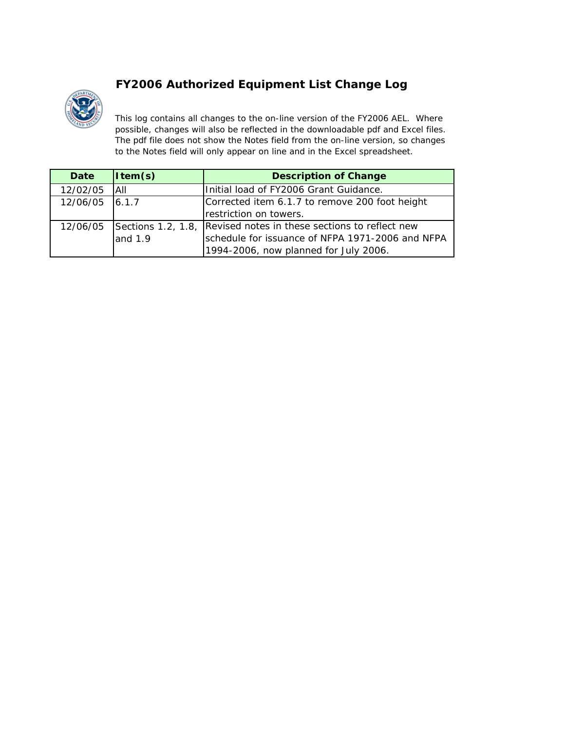## **FY2006 Authorized Equipment List Change Log**



*This log contains all changes to the on-line version of the FY2006 AEL. Where possible, changes will also be reflected in the downloadable pdf and Excel files. The pdf file does not show the Notes field from the on-line version, so changes to the Notes field will only appear on line and in the Excel spreadsheet.*

| Date           | $\vert$ Item(s) | <b>Description of Change</b>                                               |  |
|----------------|-----------------|----------------------------------------------------------------------------|--|
| 12/02/05       | <b>JAIL</b>     | Initial load of FY2006 Grant Guidance.                                     |  |
| 12/06/05 6.1.7 |                 | Corrected item 6.1.7 to remove 200 foot height                             |  |
|                |                 | restriction on towers.                                                     |  |
|                |                 | 12/06/05 Sections 1.2, 1.8, Revised notes in these sections to reflect new |  |
|                | and 1.9         | schedule for issuance of NFPA 1971-2006 and NFPA                           |  |
|                |                 | 1994-2006, now planned for July 2006.                                      |  |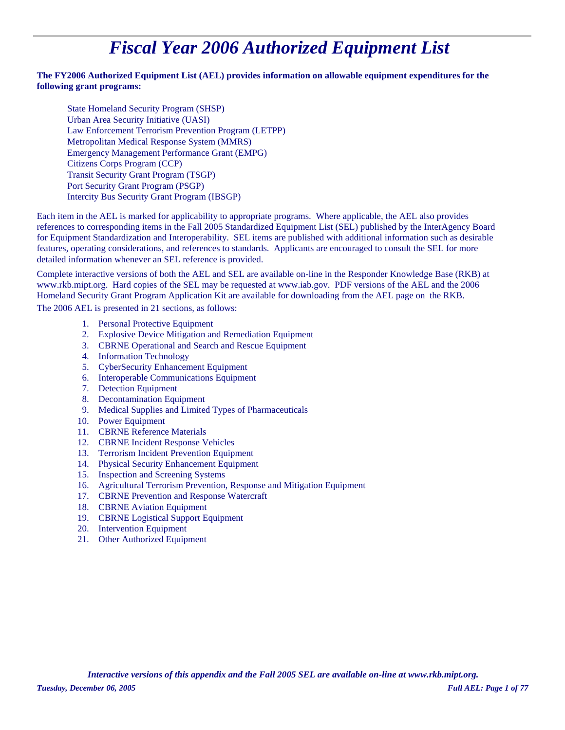# *Fiscal Year 2006 Authorized Equipment List*

#### **The FY2006 Authorized Equipment List (AEL) provides information on allowable equipment expenditures for the following grant programs:**

State Homeland Security Program (SHSP) Law Enforcement Terrorism Prevention Program (LETPP) Metropolitan Medical Response System (MMRS) Emergency Management Performance Grant (EMPG) Citizens Corps Program (CCP) Urban Area Security Initiative (UASI) Transit Security Grant Program (TSGP) Port Security Grant Program (PSGP) Intercity Bus Security Grant Program (IBSGP)

Each item in the AEL is marked for applicability to appropriate programs. Where applicable, the AEL also provides references to corresponding items in the Fall 2005 Standardized Equipment List (SEL) published by the InterAgency Board for Equipment Standardization and Interoperability. SEL items are published with additional information such as desirable features, operating considerations, and references to standards. Applicants are encouraged to consult the SEL for more detailed information whenever an SEL reference is provided.

Complete interactive versions of both the AEL and SEL are available on-line in the Responder Knowledge Base (RKB) at www.rkb.mipt.org. Hard copies of the SEL may be requested at www.iab.gov. PDF versions of the AEL and the 2006 Homeland Security Grant Program Application Kit are available for downloading from the AEL page on the RKB.

The 2006 AEL is presented in 21 sections, as follows:

- 1. Personal Protective Equipment
- 2. Explosive Device Mitigation and Remediation Equipment
- 3. CBRNE Operational and Search and Rescue Equipment
- 4. Information Technology
- 5. CyberSecurity Enhancement Equipment
- 6. Interoperable Communications Equipment
- 7. Detection Equipment
- 8. Decontamination Equipment
- 9. Medical Supplies and Limited Types of Pharmaceuticals
- 10. Power Equipment
- 11. CBRNE Reference Materials
- 12. CBRNE Incident Response Vehicles
- 13. Terrorism Incident Prevention Equipment
- 14. Physical Security Enhancement Equipment
- 15. Inspection and Screening Systems
- 16. Agricultural Terrorism Prevention, Response and Mitigation Equipment
- 17. CBRNE Prevention and Response Watercraft
- 18. CBRNE Aviation Equipment
- 19. CBRNE Logistical Support Equipment
- 20. Intervention Equipment
- 21. Other Authorized Equipment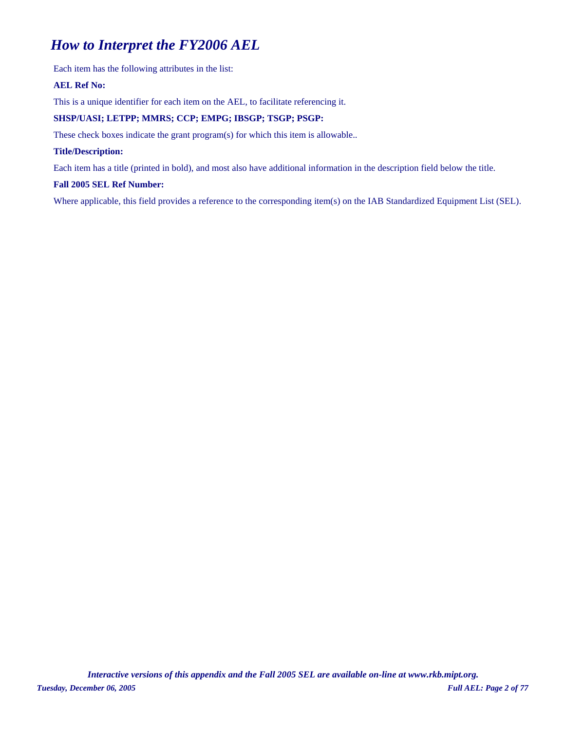## *How to Interpret the FY2006 AEL*

Each item has the following attributes in the list:

#### **AEL Ref No:**

This is a unique identifier for each item on the AEL, to facilitate referencing it.

#### **SHSP/UASI; LETPP; MMRS; CCP; EMPG; IBSGP; TSGP; PSGP:**

These check boxes indicate the grant program(s) for which this item is allowable..

#### **Title/Description:**

Each item has a title (printed in bold), and most also have additional information in the description field below the title.

#### **Fall 2005 SEL Ref Number:**

Where applicable, this field provides a reference to the corresponding item(s) on the IAB Standardized Equipment List (SEL).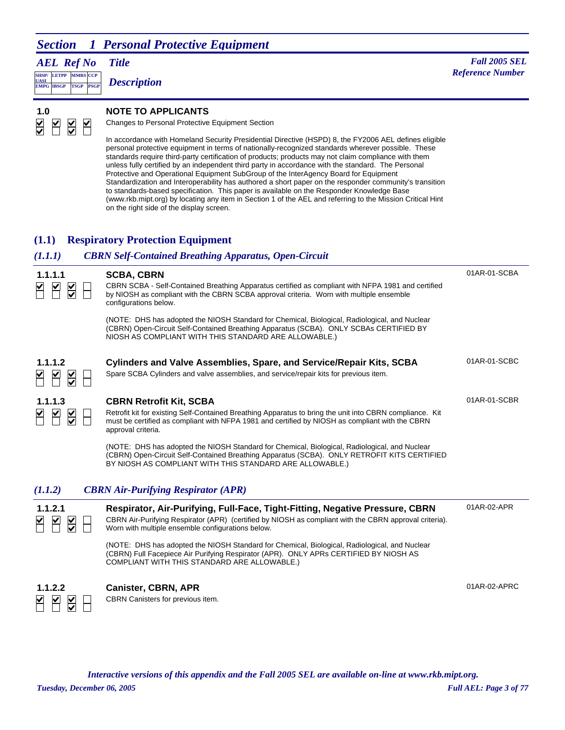*AEL Ref No*

**SHSP/ UASI LETPP PSGP CCP EMPG IBSGP TSGP** *Description*

*Title Fall 2005 SEL* **MMRS** *Reference Number* 



#### **1.0 NOTE TO APPLICANTS**

Changes to Personal Protective Equipment Section

In accordance with Homeland Security Presidential Directive (HSPD) 8, the FY2006 AEL defines eligible personal protective equipment in terms of nationally-recognized standards wherever possible. These standards require third-party certification of products; products may not claim compliance with them unless fully certified by an independent third party in accordance with the standard. The Personal Protective and Operational Equipment SubGroup of the InterAgency Board for Equipment Standardization and Interoperability has authored a short paper on the responder community's transition to standards-based specification. This paper is available on the Responder Knowledge Base (www.rkb.mipt.org) by locating any item in Section 1 of the AEL and referring to the Mission Critical Hint on the right side of the display screen.

#### **(1.1) Respiratory Protection Equipment**

#### *(1.1.1) CBRN Self-Contained Breathing Apparatus, Open-Circuit* 01AR-01-SCBA **1.1.1.1 SCBA, CBRN** CBRN SCBA - Self-Contained Breathing Apparatus certified as compliant with NFPA 1981 and certified  $\frac{1}{2}$ by NIOSH as compliant with the CBRN SCBA approval criteria. Worn with multiple ensemble configurations below. (NOTE: DHS has adopted the NIOSH Standard for Chemical, Biological, Radiological, and Nuclear (CBRN) Open-Circuit Self-Contained Breathing Apparatus (SCBA). ONLY SCBAs CERTIFIED BY NIOSH AS COMPLIANT WITH THIS STANDARD ARE ALLOWABLE.) 01AR-01-SCBC **1.1.1.2 Cylinders and Valve Assemblies, Spare, and Service/Repair Kits, SCBA** Spare SCBA Cylinders and valve assemblies, and service/repair kits for previous item.  $\mathbf{M}$ 01AR-01-SCBR **1.1.1.3 CBRN Retrofit Kit, SCBA** N N N Retrofit kit for existing Self-Contained Breathing Apparatus to bring the unit into CBRN compliance. Kit must be certified as compliant with NFPA 1981 and certified by NIOSH as compliant with the CBRN approval criteria. (NOTE: DHS has adopted the NIOSH Standard for Chemical, Biological, Radiological, and Nuclear (CBRN) Open-Circuit Self-Contained Breathing Apparatus (SCBA). ONLY RETROFIT KITS CERTIFIED BY NIOSH AS COMPLIANT WITH THIS STANDARD ARE ALLOWABLE.) *(1.1.2) CBRN Air-Purifying Respirator (APR)* 01AR-02-APR **1.1.2.1 Respirator, Air-Purifying, Full-Face, Tight-Fitting, Negative Pressure, CBRN**  $\frac{1}{2}$ CBRN Air-Purifying Respirator (APR) (certified by NIOSH as compliant with the CBRN approval criteria). Worn with multiple ensemble configurations below. (NOTE: DHS has adopted the NIOSH Standard for Chemical, Biological, Radiological, and Nuclear (CBRN) Full Facepiece Air Purifying Respirator (APR). ONLY APRs CERTIFIED BY NIOSH AS COMPLIANT WITH THIS STANDARD ARE ALLOWABLE.) 01AR-02-APRC **1.1.2.2 Canister, CBRN, APR** CBRN Canisters for previous item.

*Interactive versions of this appendix and the Fall 2005 SEL are available on-line at www.rkb.mipt.org.*

 $\blacktriangleright$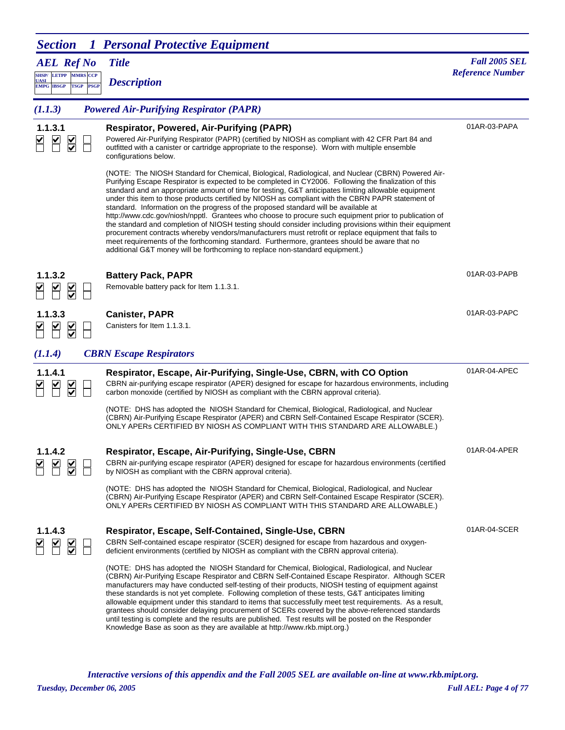| <b>Section</b>                                                                         | 1 Personal Protective Equipment                                                                                                                                                                                                                                                                                                                                                                                                                                                                                                                                                                                                                                                                                                                                                                                                                                                                                                                                                                                             |                         |
|----------------------------------------------------------------------------------------|-----------------------------------------------------------------------------------------------------------------------------------------------------------------------------------------------------------------------------------------------------------------------------------------------------------------------------------------------------------------------------------------------------------------------------------------------------------------------------------------------------------------------------------------------------------------------------------------------------------------------------------------------------------------------------------------------------------------------------------------------------------------------------------------------------------------------------------------------------------------------------------------------------------------------------------------------------------------------------------------------------------------------------|-------------------------|
| <b>AEL Ref No</b>                                                                      | <b>Title</b>                                                                                                                                                                                                                                                                                                                                                                                                                                                                                                                                                                                                                                                                                                                                                                                                                                                                                                                                                                                                                | <b>Fall 2005 SEL</b>    |
| SHSP/ LETPP MMRS CCP<br><b>UASI</b><br><b>PSGP</b><br><b>EMPG IBSGP</b><br><b>TSGP</b> | <b>Description</b>                                                                                                                                                                                                                                                                                                                                                                                                                                                                                                                                                                                                                                                                                                                                                                                                                                                                                                                                                                                                          | <b>Reference Number</b> |
| (1.1.3)                                                                                | <b>Powered Air-Purifying Respirator (PAPR)</b>                                                                                                                                                                                                                                                                                                                                                                                                                                                                                                                                                                                                                                                                                                                                                                                                                                                                                                                                                                              |                         |
| 1.1.3.1                                                                                | <b>Respirator, Powered, Air-Purifying (PAPR)</b><br>Powered Air-Purifying Respirator (PAPR) (certified by NIOSH as compliant with 42 CFR Part 84 and<br>outfitted with a canister or cartridge appropriate to the response). Worn with multiple ensemble<br>configurations below.                                                                                                                                                                                                                                                                                                                                                                                                                                                                                                                                                                                                                                                                                                                                           | 01AR-03-PAPA            |
|                                                                                        | (NOTE: The NIOSH Standard for Chemical, Biological, Radiological, and Nuclear (CBRN) Powered Air-<br>Purifying Escape Respirator is expected to be completed in CY2006. Following the finalization of this<br>standard and an appropriate amount of time for testing, G&T anticipates limiting allowable equipment<br>under this item to those products certified by NIOSH as compliant with the CBRN PAPR statement of<br>standard. Information on the progress of the proposed standard will be available at<br>http://www.cdc.gov/niosh/npptl. Grantees who choose to procure such equipment prior to publication of<br>the standard and completion of NIOSH testing should consider including provisions within their equipment<br>procurement contracts whereby vendors/manufacturers must retrofit or replace equipment that fails to<br>meet requirements of the forthcoming standard. Furthermore, grantees should be aware that no<br>additional G&T money will be forthcoming to replace non-standard equipment.) |                         |
| 1.1.3.2<br>$\overline{\mathsf{S}}$                                                     | <b>Battery Pack, PAPR</b><br>Removable battery pack for Item 1.1.3.1.                                                                                                                                                                                                                                                                                                                                                                                                                                                                                                                                                                                                                                                                                                                                                                                                                                                                                                                                                       | 01AR-03-PAPB            |
| 1.1.3.3<br>$\overline{\underline{\underline{\mathsf{X}}}}$                             | <b>Canister, PAPR</b><br>Canisters for Item 1.1.3.1.                                                                                                                                                                                                                                                                                                                                                                                                                                                                                                                                                                                                                                                                                                                                                                                                                                                                                                                                                                        | 01AR-03-PAPC            |
| (1.1.4)                                                                                | <b>CBRN</b> Escape Respirators                                                                                                                                                                                                                                                                                                                                                                                                                                                                                                                                                                                                                                                                                                                                                                                                                                                                                                                                                                                              |                         |
| 1.1.4.1                                                                                | Respirator, Escape, Air-Purifying, Single-Use, CBRN, with CO Option<br>CBRN air-purifying escape respirator (APER) designed for escape for hazardous environments, including<br>carbon monoxide (certified by NIOSH as compliant with the CBRN approval criteria).                                                                                                                                                                                                                                                                                                                                                                                                                                                                                                                                                                                                                                                                                                                                                          | 01AR-04-APEC            |
|                                                                                        | (NOTE: DHS has adopted the NIOSH Standard for Chemical, Biological, Radiological, and Nuclear<br>(CBRN) Air-Purifying Escape Respirator (APER) and CBRN Self-Contained Escape Respirator (SCER).<br>ONLY APERS CERTIFIED BY NIOSH AS COMPLIANT WITH THIS STANDARD ARE ALLOWABLE.)                                                                                                                                                                                                                                                                                                                                                                                                                                                                                                                                                                                                                                                                                                                                           |                         |
| 1.1.4.2                                                                                | Respirator, Escape, Air-Purifying, Single-Use, CBRN<br>CBRN air-purifying escape respirator (APER) designed for escape for hazardous environments (certified<br>by NIOSH as compliant with the CBRN approval criteria).                                                                                                                                                                                                                                                                                                                                                                                                                                                                                                                                                                                                                                                                                                                                                                                                     | 01AR-04-APER            |
|                                                                                        | (NOTE: DHS has adopted the NIOSH Standard for Chemical, Biological, Radiological, and Nuclear<br>(CBRN) Air-Purifying Escape Respirator (APER) and CBRN Self-Contained Escape Respirator (SCER).<br>ONLY APERS CERTIFIED BY NIOSH AS COMPLIANT WITH THIS STANDARD ARE ALLOWABLE.)                                                                                                                                                                                                                                                                                                                                                                                                                                                                                                                                                                                                                                                                                                                                           |                         |
| 1.1.4.3                                                                                | Respirator, Escape, Self-Contained, Single-Use, CBRN<br>CBRN Self-contained escape respirator (SCER) designed for escape from hazardous and oxygen-<br>deficient environments (certified by NIOSH as compliant with the CBRN approval criteria).                                                                                                                                                                                                                                                                                                                                                                                                                                                                                                                                                                                                                                                                                                                                                                            | 01AR-04-SCER            |
|                                                                                        | (NOTE: DHS has adopted the NIOSH Standard for Chemical, Biological, Radiological, and Nuclear<br>(CBRN) Air-Purifying Escape Respirator and CBRN Self-Contained Escape Respirator. Although SCER<br>manufacturers may have conducted self-testing of their products, NIOSH testing of equipment against<br>these standards is not yet complete. Following completion of these tests, G&T anticipates limiting<br>allowable equipment under this standard to items that successfully meet test requirements. As a result,<br>grantees should consider delaying procurement of SCERs covered by the above-referenced standards<br>until testing is complete and the results are published. Test results will be posted on the Responder<br>Knowledge Base as soon as they are available at http://www.rkb.mipt.org.)                                                                                                                                                                                                          |                         |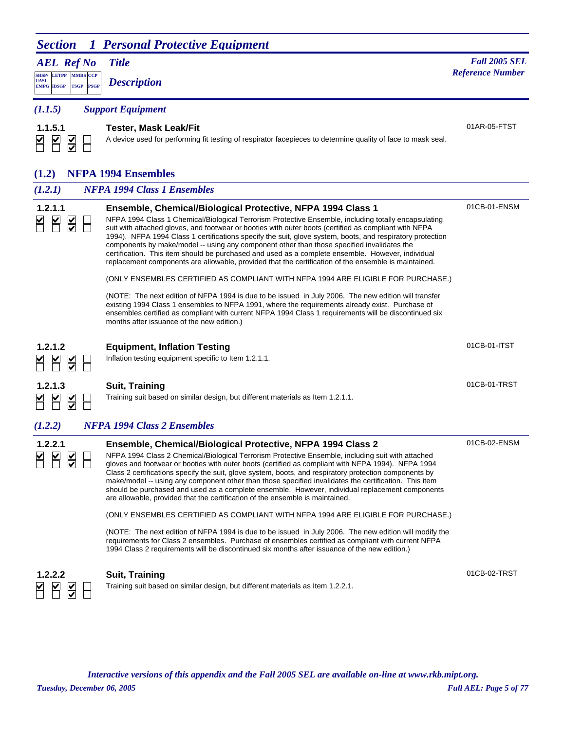*AEL Ref No*

**SHSP/ UASI LETPP PSGP CCP EMPG IBSGP TSGP** *Description*

*Title Fall 2005 SEL* **MARS** *Reference Number <b><i>Reference Number Reference Number Reference Number* 

01AR-05-FTST

*(1.1.5) Support Equipment*

#### **1.1.5.1 Tester, Mask Leak/Fit**  $\sum$  $\blacksquare$  $\sum$  $\Box$

A device used for performing fit testing of respirator facepieces to determine quality of face to mask seal.

#### **(1.2) NFPA 1994 Ensembles**

| (1.2.1)      | <b>NFPA 1994 Class 1 Ensembles</b>                                                                                                                                                                                                                                                                                                                                                                                                                                                                                                                                                                                                                                                                   |              |
|--------------|------------------------------------------------------------------------------------------------------------------------------------------------------------------------------------------------------------------------------------------------------------------------------------------------------------------------------------------------------------------------------------------------------------------------------------------------------------------------------------------------------------------------------------------------------------------------------------------------------------------------------------------------------------------------------------------------------|--------------|
| 1.2.1.1      | Ensemble, Chemical/Biological Protective, NFPA 1994 Class 1<br>NFPA 1994 Class 1 Chemical/Biological Terrorism Protective Ensemble, including totally encapsulating<br>suit with attached gloves, and footwear or booties with outer boots (certified as compliant with NFPA<br>1994). NFPA 1994 Class 1 certifications specify the suit, glove system, boots, and respiratory protection<br>components by make/model -- using any component other than those specified invalidates the<br>certification. This item should be purchased and used as a complete ensemble. However, individual<br>replacement components are allowable, provided that the certification of the ensemble is maintained. | 01CB-01-ENSM |
|              | (ONLY ENSEMBLES CERTIFIED AS COMPLIANT WITH NFPA 1994 ARE ELIGIBLE FOR PURCHASE.)<br>(NOTE: The next edition of NFPA 1994 is due to be issued in July 2006. The new edition will transfer<br>existing 1994 Class 1 ensembles to NFPA 1991, where the requirements already exist. Purchase of<br>ensembles certified as compliant with current NFPA 1994 Class 1 requirements will be discontinued six<br>months after issuance of the new edition.)                                                                                                                                                                                                                                                  |              |
| 1.2.1.2      | <b>Equipment, Inflation Testing</b><br>Inflation testing equipment specific to Item 1.2.1.1.                                                                                                                                                                                                                                                                                                                                                                                                                                                                                                                                                                                                         | 01CB-01-ITST |
| 1.2.1.3      | <b>Suit, Training</b><br>Training suit based on similar design, but different materials as Item 1.2.1.1.                                                                                                                                                                                                                                                                                                                                                                                                                                                                                                                                                                                             | 01CB-01-TRST |
| (1.2.2)      | <b>NFPA 1994 Class 2 Ensembles</b>                                                                                                                                                                                                                                                                                                                                                                                                                                                                                                                                                                                                                                                                   |              |
| 1.2.2.1      | Ensemble, Chemical/Biological Protective, NFPA 1994 Class 2<br>NFPA 1994 Class 2 Chemical/Biological Terrorism Protective Ensemble, including suit with attached<br>gloves and footwear or booties with outer boots (certified as compliant with NFPA 1994). NFPA 1994<br>Class 2 certifications specify the suit, glove system, boots, and respiratory protection components by<br>make/model -- using any component other than those specified invalidates the certification. This item<br>should be purchased and used as a complete ensemble. However, individual replacement components<br>are allowable, provided that the certification of the ensemble is maintained.                        | 01CB-02-ENSM |
|              | (ONLY ENSEMBLES CERTIFIED AS COMPLIANT WITH NFPA 1994 ARE ELIGIBLE FOR PURCHASE.)                                                                                                                                                                                                                                                                                                                                                                                                                                                                                                                                                                                                                    |              |
|              | (NOTE: The next edition of NFPA 1994 is due to be issued in July 2006. The new edition will modify the<br>requirements for Class 2 ensembles. Purchase of ensembles certified as compliant with current NFPA<br>1994 Class 2 requirements will be discontinued six months after issuance of the new edition.)                                                                                                                                                                                                                                                                                                                                                                                        |              |
| 1.2.2.2<br>⊽ | <b>Suit, Training</b><br>Training suit based on similar design, but different materials as Item 1.2.2.1.                                                                                                                                                                                                                                                                                                                                                                                                                                                                                                                                                                                             | 01CB-02-TRST |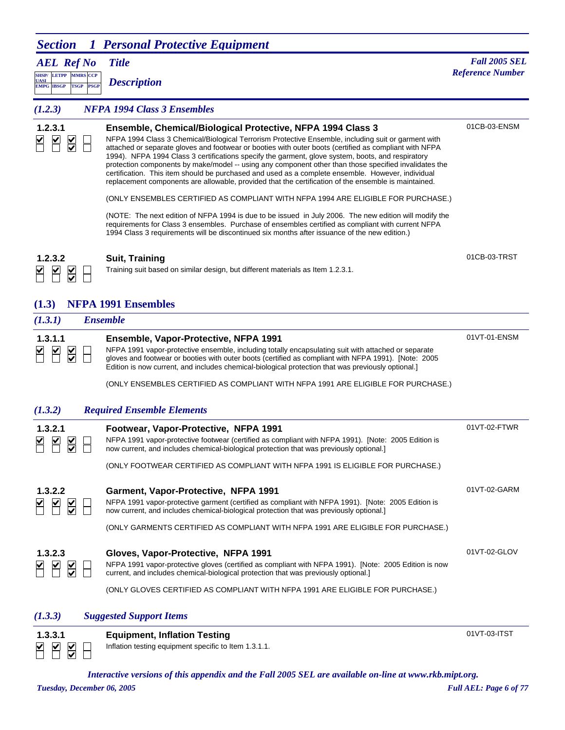*AEL Ref No*

**SHSP/ UASI LETPP PSGP MMRS** CCP **EMPG IBSGP TSGP** *Description*

#### *Title Fall 2005 SEL* **Reference Number**

#### *(1.2.3) NFPA 1994 Class 3 Ensembles*

| 1.2.3.1                     | Ensemble, Chemical/Biological Protective, NFPA 1994 Class 3<br>NFPA 1994 Class 3 Chemical/Biological Terrorism Protective Ensemble, including suit or garment with<br>attached or separate gloves and footwear or booties with outer boots (certified as compliant with NFPA<br>1994). NFPA 1994 Class 3 certifications specify the garment, glove system, boots, and respiratory<br>protection components by make/model -- using any component other than those specified invalidates the<br>certification. This item should be purchased and used as a complete ensemble. However, individual<br>replacement components are allowable, provided that the certification of the ensemble is maintained. | 01CB-03-ENSM |
|-----------------------------|---------------------------------------------------------------------------------------------------------------------------------------------------------------------------------------------------------------------------------------------------------------------------------------------------------------------------------------------------------------------------------------------------------------------------------------------------------------------------------------------------------------------------------------------------------------------------------------------------------------------------------------------------------------------------------------------------------|--------------|
|                             | (ONLY ENSEMBLES CERTIFIED AS COMPLIANT WITH NFPA 1994 ARE ELIGIBLE FOR PURCHASE.)                                                                                                                                                                                                                                                                                                                                                                                                                                                                                                                                                                                                                       |              |
|                             | (NOTE: The next edition of NFPA 1994 is due to be issued in July 2006. The new edition will modify the<br>requirements for Class 3 ensembles. Purchase of ensembles certified as compliant with current NFPA<br>1994 Class 3 requirements will be discontinued six months after issuance of the new edition.)                                                                                                                                                                                                                                                                                                                                                                                           |              |
| 1.2.3.2                     | <b>Suit, Training</b>                                                                                                                                                                                                                                                                                                                                                                                                                                                                                                                                                                                                                                                                                   | 01CB-03-TRST |
| $\frac{1}{2}$               | Training suit based on similar design, but different materials as Item 1.2.3.1.                                                                                                                                                                                                                                                                                                                                                                                                                                                                                                                                                                                                                         |              |
| (1.3)                       | <b>NFPA 1991 Ensembles</b>                                                                                                                                                                                                                                                                                                                                                                                                                                                                                                                                                                                                                                                                              |              |
| (1.3.1)                     | <b>Ensemble</b>                                                                                                                                                                                                                                                                                                                                                                                                                                                                                                                                                                                                                                                                                         |              |
|                             |                                                                                                                                                                                                                                                                                                                                                                                                                                                                                                                                                                                                                                                                                                         |              |
| 1.3.1.1<br>₩                | Ensemble, Vapor-Protective, NFPA 1991<br>NFPA 1991 vapor-protective ensemble, including totally encapsulating suit with attached or separate<br>gloves and footwear or booties with outer boots (certified as compliant with NFPA 1991). [Note: 2005<br>Edition is now current, and includes chemical-biological protection that was previously optional.<br>(ONLY ENSEMBLES CERTIFIED AS COMPLIANT WITH NFPA 1991 ARE ELIGIBLE FOR PURCHASE.)                                                                                                                                                                                                                                                          | 01VT-01-ENSM |
| (1.3.2)                     | <b>Required Ensemble Elements</b>                                                                                                                                                                                                                                                                                                                                                                                                                                                                                                                                                                                                                                                                       |              |
| 1.3.2.1<br>$\sum_{i=1}^{n}$ | Footwear, Vapor-Protective, NFPA 1991<br>NFPA 1991 vapor-protective footwear (certified as compliant with NFPA 1991). [Note: 2005 Edition is<br>now current, and includes chemical-biological protection that was previously optional.                                                                                                                                                                                                                                                                                                                                                                                                                                                                  | 01VT-02-FTWR |
| 1.3.2.2                     | (ONLY FOOTWEAR CERTIFIED AS COMPLIANT WITH NFPA 1991 IS ELIGIBLE FOR PURCHASE.)<br>Garment, Vapor-Protective, NFPA 1991<br>NFPA 1991 vapor-protective garment (certified as compliant with NFPA 1991). [Note: 2005 Edition is<br>now current, and includes chemical-biological protection that was previously optional.<br>(ONLY GARMENTS CERTIFIED AS COMPLIANT WITH NFPA 1991 ARE ELIGIBLE FOR PURCHASE.)                                                                                                                                                                                                                                                                                             | 01VT-02-GARM |

#### **1.3.2.3 Gloves, Vapor-Protective, NFPA 1991**  $\begin{array}{c} \hline \textbf{K} \\ \hline \textbf{K} \\ \hline \textbf{K} \end{array}$ H

NFPA 1991 vapor-protective gloves (certified as compliant with NFPA 1991). [Note: 2005 Edition is now current, and includes chemical-biological protection that was previously optional.]

(ONLY GLOVES CERTIFIED AS COMPLIANT WITH NFPA 1991 ARE ELIGIBLE FOR PURCHASE.)

#### *(1.3.3) Suggested Support Items*

| 1,3,3,1 | <b>Equipment, Inflation Testing</b>       |  |
|---------|-------------------------------------------|--|
| EKSE    | Inflation testing equipment specific to I |  |

sting equipment specific to Item 1.3.1.1.

01VT-03-ITST

01VT-02-GLOV

*Interactive versions of this appendix and the Fall 2005 SEL are available on-line at www.rkb.mipt.org.*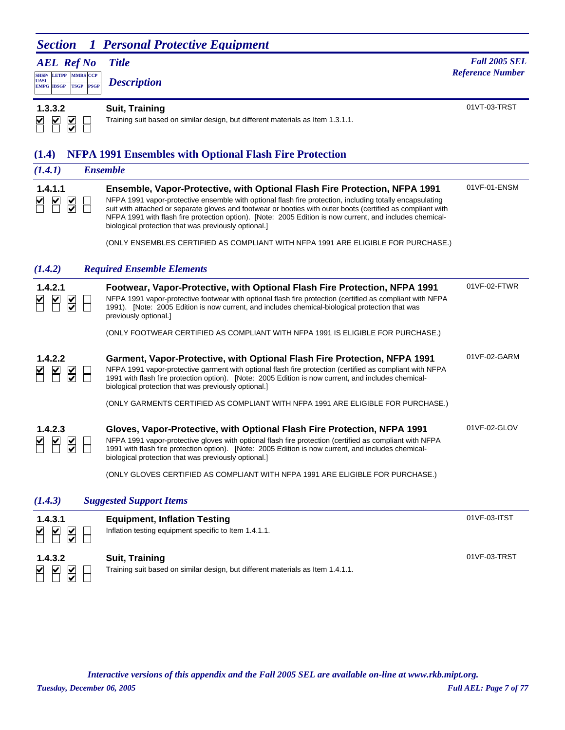|             |                      |  | <b>AEL Ref No</b> Title |
|-------------|----------------------|--|-------------------------|
| <b>UASI</b> | SHSP/LETPP MMRS CCP  |  | <b>Description</b>      |
|             | EMPG IBSGP TSGP PSGP |  |                         |

*Title Fall 2005 SEL* **Reference Number** 

01VT-03-TRST

 $\begin{array}{c|c} \hline \textbf{K} & \textbf{K} \\ \hline \textbf{K} & \textbf{K} \end{array}$  $\Box$ 

**1.3.3.2 Suit, Training**

Training suit based on similar design, but different materials as Item 1.3.1.1.

## **(1.4) NFPA 1991 Ensembles with Optional Flash Fire Protection**

| (1.4.1)                                    | <b>Ensemble</b>                                                                                                                                                                                                                                                                                                                                                                                                                                                                  |              |
|--------------------------------------------|----------------------------------------------------------------------------------------------------------------------------------------------------------------------------------------------------------------------------------------------------------------------------------------------------------------------------------------------------------------------------------------------------------------------------------------------------------------------------------|--------------|
| 1.4.1.1<br>⊻<br>$\frac{1}{\sqrt{2}}$       | <b>Ensemble, Vapor-Protective, with Optional Flash Fire Protection, NFPA 1991</b><br>NFPA 1991 vapor-protective ensemble with optional flash fire protection, including totally encapsulating<br>suit with attached or separate gloves and footwear or booties with outer boots (certified as compliant with<br>NFPA 1991 with flash fire protection option). [Note: 2005 Edition is now current, and includes chemical-<br>biological protection that was previously optional.] | 01VF-01-ENSM |
|                                            | (ONLY ENSEMBLES CERTIFIED AS COMPLIANT WITH NFPA 1991 ARE ELIGIBLE FOR PURCHASE.)                                                                                                                                                                                                                                                                                                                                                                                                |              |
| (1.4.2)                                    | <b>Required Ensemble Elements</b>                                                                                                                                                                                                                                                                                                                                                                                                                                                |              |
| 1.4.2.1<br>$\frac{1}{2}$                   | Footwear, Vapor-Protective, with Optional Flash Fire Protection, NFPA 1991<br>NFPA 1991 vapor-protective footwear with optional flash fire protection (certified as compliant with NFPA<br>1991). [Note: 2005 Edition is now current, and includes chemical-biological protection that was<br>previously optional.]                                                                                                                                                              | 01VF-02-FTWR |
|                                            | (ONLY FOOTWEAR CERTIFIED AS COMPLIANT WITH NFPA 1991 IS ELIGIBLE FOR PURCHASE.)                                                                                                                                                                                                                                                                                                                                                                                                  |              |
| 1.4.2.2<br>$\frac{\mathsf{v}}{\mathsf{v}}$ | Garment, Vapor-Protective, with Optional Flash Fire Protection, NFPA 1991<br>NFPA 1991 vapor-protective garment with optional flash fire protection (certified as compliant with NFPA<br>1991 with flash fire protection option). [Note: 2005 Edition is now current, and includes chemical-<br>biological protection that was previously optional.]                                                                                                                             | 01VF-02-GARM |
|                                            | (ONLY GARMENTS CERTIFIED AS COMPLIANT WITH NFPA 1991 ARE ELIGIBLE FOR PURCHASE.)                                                                                                                                                                                                                                                                                                                                                                                                 |              |
| 1.4.2.3<br>$\frac{1}{2}$                   | Gloves, Vapor-Protective, with Optional Flash Fire Protection, NFPA 1991<br>NFPA 1991 vapor-protective gloves with optional flash fire protection (certified as compliant with NFPA<br>1991 with flash fire protection option). [Note: 2005 Edition is now current, and includes chemical-<br>biological protection that was previously optional.]<br>(ONLY GLOVES CERTIFIED AS COMPLIANT WITH NFPA 1991 ARE ELIGIBLE FOR PURCHASE.)                                             | 01VF-02-GLOV |
|                                            |                                                                                                                                                                                                                                                                                                                                                                                                                                                                                  |              |
| (1.4.3)                                    | <b>Suggested Support Items</b>                                                                                                                                                                                                                                                                                                                                                                                                                                                   |              |

| 1.4.3.1<br>$\overline{\mathbf{S}}$<br><b>MR</b>      | <b>Equipment, Inflation Testing</b><br>Inflation testing equipment specific to Item 1.4.1.1.      | 01VF-03-ITST |
|------------------------------------------------------|---------------------------------------------------------------------------------------------------|--------------|
| 1.4.3.2<br>⊻<br>M<br>$\overline{\blacktriangledown}$ | Suit, Training<br>Training suit based on similar design, but different materials as Item 1.4.1.1. | 01VF-03-TRST |

*Interactive versions of this appendix and the Fall 2005 SEL are available on-line at www.rkb.mipt.org.*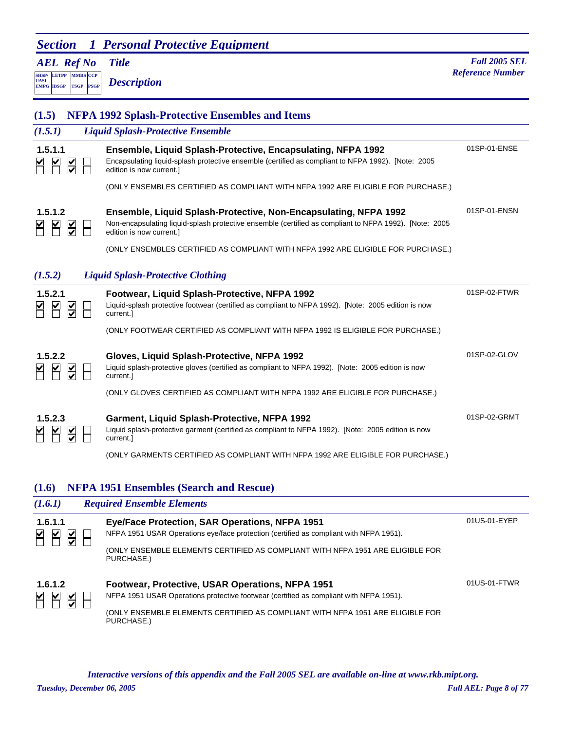| <b>Section</b>                                                                                                               | <b>1 Personal Protective Equipment</b>                                                                                                                                                                 |                                                 |
|------------------------------------------------------------------------------------------------------------------------------|--------------------------------------------------------------------------------------------------------------------------------------------------------------------------------------------------------|-------------------------------------------------|
| <b>AEL Ref No</b><br><b>MMRS CCP</b><br><b>SHSP/ LETPP</b><br><b>UASI</b><br><b>PSGP</b><br><b>EMPG IBSGP</b><br><b>TSGP</b> | <b>Title</b><br><b>Description</b>                                                                                                                                                                     | <b>Fall 2005 SEL</b><br><b>Reference Number</b> |
| (1.5)                                                                                                                        | <b>NFPA 1992 Splash-Protective Ensembles and Items</b>                                                                                                                                                 |                                                 |
| (1.5.1)                                                                                                                      | <b>Liquid Splash-Protective Ensemble</b>                                                                                                                                                               |                                                 |
| 1.5.1.1<br>$\sum_{i=1}^{n}$                                                                                                  | Ensemble, Liquid Splash-Protective, Encapsulating, NFPA 1992<br>Encapsulating liquid-splash protective ensemble (certified as compliant to NFPA 1992). [Note: 2005<br>edition is now current.]         | 01SP-01-ENSE                                    |
|                                                                                                                              | (ONLY ENSEMBLES CERTIFIED AS COMPLIANT WITH NFPA 1992 ARE ELIGIBLE FOR PURCHASE.)                                                                                                                      |                                                 |
| 1.5.1.2                                                                                                                      | Ensemble, Liquid Splash-Protective, Non-Encapsulating, NFPA 1992<br>Non-encapsulating liquid-splash protective ensemble (certified as compliant to NFPA 1992). [Note: 2005<br>edition is now current.] | 01SP-01-ENSN                                    |
|                                                                                                                              | (ONLY ENSEMBLES CERTIFIED AS COMPLIANT WITH NFPA 1992 ARE ELIGIBLE FOR PURCHASE.)                                                                                                                      |                                                 |
| (1.5.2)                                                                                                                      | <b>Liquid Splash-Protective Clothing</b>                                                                                                                                                               |                                                 |
| 1.5.2.1                                                                                                                      | Footwear, Liquid Splash-Protective, NFPA 1992<br>Liquid-splash protective footwear (certified as compliant to NFPA 1992). [Note: 2005 edition is now<br>current.]                                      | 01SP-02-FTWR                                    |
|                                                                                                                              | (ONLY FOOTWEAR CERTIFIED AS COMPLIANT WITH NFPA 1992 IS ELIGIBLE FOR PURCHASE.)                                                                                                                        |                                                 |
| 1.5.2.2<br>⊻<br>$\frac{\checkmark}{\checkmark}$                                                                              | Gloves, Liquid Splash-Protective, NFPA 1992<br>Liquid splash-protective gloves (certified as compliant to NFPA 1992). [Note: 2005 edition is now<br>current.                                           | 01SP-02-GLOV                                    |

(ONLY GLOVES CERTIFIED AS COMPLIANT WITH NFPA 1992 ARE ELIGIBLE FOR PURCHASE.)

01SP-02-GRMT

| 1.5.2.3 |  |
|---------|--|
|         |  |

**1.5.2.3 Garment, Liquid Splash-Protective, NFPA 1992**

Liquid splash-protective garment (certified as compliant to NFPA 1992). [Note: 2005 edition is now current.]

(ONLY GARMENTS CERTIFIED AS COMPLIANT WITH NFPA 1992 ARE ELIGIBLE FOR PURCHASE.)

## **(1.6) NFPA 1951 Ensembles (Search and Rescue)**

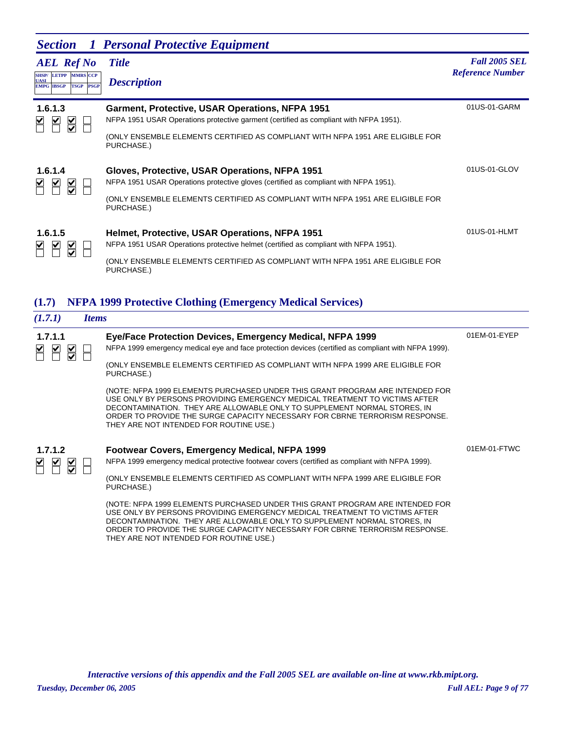|                                                                | <b>Section</b> 1 Personal Protective Equipment                                                                                           |                                                 |
|----------------------------------------------------------------|------------------------------------------------------------------------------------------------------------------------------------------|-------------------------------------------------|
| <b>AEL</b> Ref No<br><b>SHSP/ LETPP MMRS CCP</b>               | <b>Title</b>                                                                                                                             | <b>Fall 2005 SEL</b><br><b>Reference Number</b> |
| <b>UASI</b><br><b>PSGP</b><br><b>TSGP</b><br><b>EMPG IBSGP</b> | <b>Description</b>                                                                                                                       |                                                 |
| 1.6.1.3                                                        | Garment, Protective, USAR Operations, NFPA 1951<br>NFPA 1951 USAR Operations protective garment (certified as compliant with NFPA 1951). | 01US-01-GARM                                    |
| ¥<br>$\frac{\mathsf{M}}{\mathsf{M}}$                           | (ONLY ENSEMBLE ELEMENTS CERTIFIED AS COMPLIANT WITH NFPA 1951 ARE ELIGIBLE FOR<br>PURCHASE.)                                             |                                                 |
| 1.6.1.4<br>$\blacktriangleright$<br>⊻<br>$\frac{1}{2}$         | Gloves, Protective, USAR Operations, NFPA 1951<br>NFPA 1951 USAR Operations protective gloves (certified as compliant with NFPA 1951).   | 01US-01-GLOV                                    |
|                                                                | (ONLY ENSEMBLE ELEMENTS CERTIFIED AS COMPLIANT WITH NFPA 1951 ARE ELIGIBLE FOR<br>PURCHASE.)                                             |                                                 |
| 1.6.1.5                                                        | Helmet, Protective, USAR Operations, NFPA 1951                                                                                           | 01US-01-HLMT                                    |
| $\frac{\mathsf{K}}{\mathsf{S}}$                                | NFPA 1951 USAR Operations protective helmet (certified as compliant with NFPA 1951).                                                     |                                                 |
|                                                                | (ONLY ENSEMBLE ELEMENTS CERTIFIED AS COMPLIANT WITH NFPA 1951 ARE ELIGIBLE FOR<br>PURCHASE.)                                             |                                                 |

# **(1.7) NFPA 1999 Protective Clothing (Emergency Medical Services)**

| (1.7.1)                                                                    | <i><u><b>Items</b></u></i>                                                                                                                                                                                                                                                                                                                                        |              |
|----------------------------------------------------------------------------|-------------------------------------------------------------------------------------------------------------------------------------------------------------------------------------------------------------------------------------------------------------------------------------------------------------------------------------------------------------------|--------------|
| 1.7.1.1<br>$\blacktriangleright$<br>$\frac{1}{2}$<br>$\blacktriangleright$ | Eye/Face Protection Devices, Emergency Medical, NFPA 1999<br>NFPA 1999 emergency medical eye and face protection devices (certified as compliant with NFPA 1999).                                                                                                                                                                                                 | 01EM-01-EYEP |
|                                                                            | (ONLY ENSEMBLE ELEMENTS CERTIFIED AS COMPLIANT WITH NFPA 1999 ARE ELIGIBLE FOR<br>PURCHASE.)                                                                                                                                                                                                                                                                      |              |
|                                                                            | (NOTE: NFPA 1999 ELEMENTS PURCHASED UNDER THIS GRANT PROGRAM ARE INTENDED FOR<br>USE ONLY BY PERSONS PROVIDING EMERGENCY MEDICAL TREATMENT TO VICTIMS AFTER<br>DECONTAMINATION. THEY ARE ALLOWABLE ONLY TO SUPPLEMENT NORMAL STORES, IN<br>ORDER TO PROVIDE THE SURGE CAPACITY NECESSARY FOR CBRNE TERRORISM RESPONSE.<br>THEY ARE NOT INTENDED FOR ROUTINE USE.) |              |
| 1.7.1.2                                                                    | Footwear Covers, Emergency Medical, NFPA 1999                                                                                                                                                                                                                                                                                                                     | 01EM-01-FTWC |
| $\mathbb{Z} \mathbb{Z}$<br>$\sum_{i=1}^{n}$                                | NFPA 1999 emergency medical protective footwear covers (certified as compliant with NFPA 1999).                                                                                                                                                                                                                                                                   |              |
|                                                                            | (ONLY ENSEMBLE ELEMENTS CERTIFIED AS COMPLIANT WITH NFPA 1999 ARE ELIGIBLE FOR<br>PURCHASE.)                                                                                                                                                                                                                                                                      |              |
|                                                                            | (NOTE: NFPA 1999 ELEMENTS PURCHASED UNDER THIS GRANT PROGRAM ARE INTENDED FOR<br>USE ONLY BY PERSONS PROVIDING EMERGENCY MEDICAL TREATMENT TO VICTIMS AFTER<br>DECONTAMINATION. THEY ARE ALLOWABLE ONLY TO SUPPLEMENT NORMAL STORES, IN<br>ORDER TO PROVIDE THE SURGE CAPACITY NECESSARY FOR CBRNE TERRORISM RESPONSE.<br>THEY ARE NOT INTENDED FOR ROUTINE USE.) |              |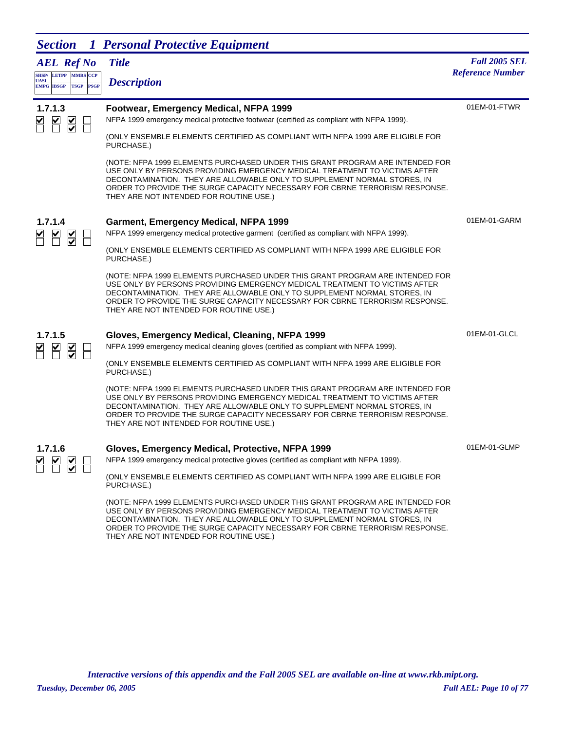| <b>Section</b>                                                                        | 1 Personal Protective Equipment                                                                                                                                                                                                                                                                                                                                   |                         |
|---------------------------------------------------------------------------------------|-------------------------------------------------------------------------------------------------------------------------------------------------------------------------------------------------------------------------------------------------------------------------------------------------------------------------------------------------------------------|-------------------------|
| <b>AEL Ref No</b>                                                                     | <b>Title</b>                                                                                                                                                                                                                                                                                                                                                      | <b>Fall 2005 SEL</b>    |
| SHSP/LETPP MMRS CCP<br><b>UASI</b><br><b>EMPG IBSGP</b><br><b>TSGP</b><br><b>PSGP</b> | <b>Description</b>                                                                                                                                                                                                                                                                                                                                                | <b>Reference Number</b> |
| 1.7.1.3<br>$\blacktriangleright$                                                      | Footwear, Emergency Medical, NFPA 1999<br>NFPA 1999 emergency medical protective footwear (certified as compliant with NFPA 1999).                                                                                                                                                                                                                                | 01EM-01-FTWR            |
| $\overline{\underline{\mathsf{S}}}$                                                   | (ONLY ENSEMBLE ELEMENTS CERTIFIED AS COMPLIANT WITH NFPA 1999 ARE ELIGIBLE FOR<br>PURCHASE.)                                                                                                                                                                                                                                                                      |                         |
|                                                                                       | (NOTE: NFPA 1999 ELEMENTS PURCHASED UNDER THIS GRANT PROGRAM ARE INTENDED FOR<br>USE ONLY BY PERSONS PROVIDING EMERGENCY MEDICAL TREATMENT TO VICTIMS AFTER<br>DECONTAMINATION. THEY ARE ALLOWABLE ONLY TO SUPPLEMENT NORMAL STORES, IN<br>ORDER TO PROVIDE THE SURGE CAPACITY NECESSARY FOR CBRNE TERRORISM RESPONSE.<br>THEY ARE NOT INTENDED FOR ROUTINE USE.) |                         |
| 1.7.1.4                                                                               | Garment, Emergency Medical, NFPA 1999                                                                                                                                                                                                                                                                                                                             | 01EM-01-GARM            |
| ⊻<br>$\frac{1}{2}$                                                                    | NFPA 1999 emergency medical protective garment (certified as compliant with NFPA 1999).                                                                                                                                                                                                                                                                           |                         |
|                                                                                       | (ONLY ENSEMBLE ELEMENTS CERTIFIED AS COMPLIANT WITH NFPA 1999 ARE ELIGIBLE FOR<br>PURCHASE.)                                                                                                                                                                                                                                                                      |                         |
|                                                                                       | (NOTE: NFPA 1999 ELEMENTS PURCHASED UNDER THIS GRANT PROGRAM ARE INTENDED FOR<br>USE ONLY BY PERSONS PROVIDING EMERGENCY MEDICAL TREATMENT TO VICTIMS AFTER<br>DECONTAMINATION. THEY ARE ALLOWABLE ONLY TO SUPPLEMENT NORMAL STORES, IN<br>ORDER TO PROVIDE THE SURGE CAPACITY NECESSARY FOR CBRNE TERRORISM RESPONSE.<br>THEY ARE NOT INTENDED FOR ROUTINE USE.) |                         |
| 1.7.1.5                                                                               | Gloves, Emergency Medical, Cleaning, NFPA 1999                                                                                                                                                                                                                                                                                                                    | 01EM-01-GLCL            |
| $\overline{\leq}$                                                                     | NFPA 1999 emergency medical cleaning gloves (certified as compliant with NFPA 1999).                                                                                                                                                                                                                                                                              |                         |
|                                                                                       | (ONLY ENSEMBLE ELEMENTS CERTIFIED AS COMPLIANT WITH NFPA 1999 ARE ELIGIBLE FOR<br>PURCHASE.)                                                                                                                                                                                                                                                                      |                         |
|                                                                                       | (NOTE: NFPA 1999 ELEMENTS PURCHASED UNDER THIS GRANT PROGRAM ARE INTENDED FOR<br>USE ONLY BY PERSONS PROVIDING EMERGENCY MEDICAL TREATMENT TO VICTIMS AFTER<br>DECONTAMINATION. THEY ARE ALLOWABLE ONLY TO SUPPLEMENT NORMAL STORES, IN<br>ORDER TO PROVIDE THE SURGE CAPACITY NECESSARY FOR CBRNE TERRORISM RESPONSE.<br>THEY ARE NOT INTENDED FOR ROUTINE USE.) |                         |
| 1.7.1.6                                                                               | Gloves, Emergency Medical, Protective, NFPA 1999                                                                                                                                                                                                                                                                                                                  | 01EM-01-GLMP            |
| $\overline{\blacktriangle}$                                                           | NFPA 1999 emergency medical protective gloves (certified as compliant with NFPA 1999).                                                                                                                                                                                                                                                                            |                         |
|                                                                                       | (ONLY ENSEMBLE ELEMENTS CERTIFIED AS COMPLIANT WITH NFPA 1999 ARE ELIGIBLE FOR<br>PURCHASE.)                                                                                                                                                                                                                                                                      |                         |
|                                                                                       | (NOTE: NEDA 1000 ELEMENTS DUDCHASED UNDER THIS CRANT RROCRAM ARE INTENDED EOR                                                                                                                                                                                                                                                                                     |                         |

(NOTE: NFPA 1999 ELEMENTS PURCHASED UNDER THIS GRANT PROGRAM ARE INTENDED FOR USE ONLY BY PERSONS PROVIDING EMERGENCY MEDICAL TREATMENT TO VICTIMS AFTER DECONTAMINATION. THEY ARE ALLOWABLE ONLY TO SUPPLEMENT NORMAL STORES, IN ORDER TO PROVIDE THE SURGE CAPACITY NECESSARY FOR CBRNE TERRORISM RESPONSE. THEY ARE NOT INTENDED FOR ROUTINE USE.)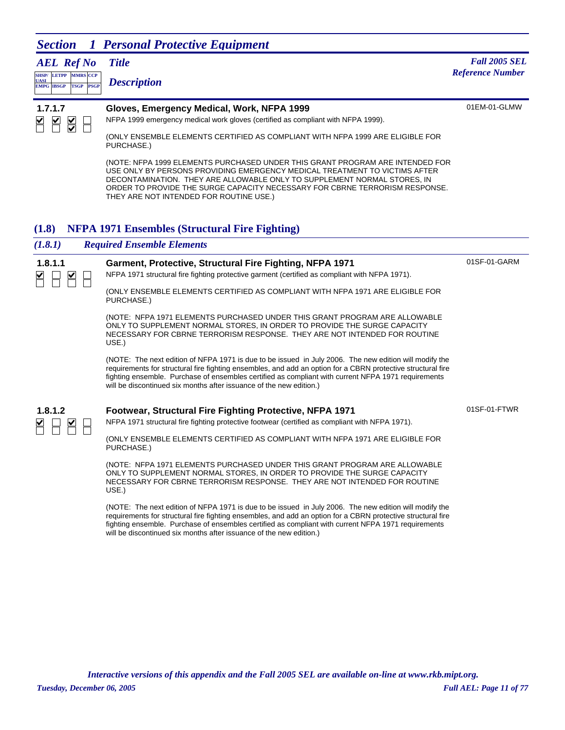*AEL Ref No*

**LETPP PSGP CCP EMPG IBSGP TSGP** *Description*

#### *Title Fall 2005 SEL* **MMRS** *Reference Number*



**SHSP/ UASI** 

#### **1.7.1.7 Gloves, Emergency Medical, Work, NFPA 1999**

01EM-01-GLMW

01SF-01-GARM

01SF-01-FTWR

(ONLY ENSEMBLE ELEMENTS CERTIFIED AS COMPLIANT WITH NFPA 1999 ARE ELIGIBLE FOR PURCHASE.)

NFPA 1999 emergency medical work gloves (certified as compliant with NFPA 1999).

(NOTE: NFPA 1999 ELEMENTS PURCHASED UNDER THIS GRANT PROGRAM ARE INTENDED FOR USE ONLY BY PERSONS PROVIDING EMERGENCY MEDICAL TREATMENT TO VICTIMS AFTER DECONTAMINATION. THEY ARE ALLOWABLE ONLY TO SUPPLEMENT NORMAL STORES, IN ORDER TO PROVIDE THE SURGE CAPACITY NECESSARY FOR CBRNE TERRORISM RESPONSE. THEY ARE NOT INTENDED FOR ROUTINE USE.)

### **(1.8) NFPA 1971 Ensembles (Structural Fire Fighting)**

#### *(1.8.1) Required Ensemble Elements*



#### **1.8.1.1 Garment, Protective, Structural Fire Fighting, NFPA 1971**

NFPA 1971 structural fire fighting protective garment (certified as compliant with NFPA 1971).

(ONLY ENSEMBLE ELEMENTS CERTIFIED AS COMPLIANT WITH NFPA 1971 ARE ELIGIBLE FOR PURCHASE.)

(NOTE: NFPA 1971 ELEMENTS PURCHASED UNDER THIS GRANT PROGRAM ARE ALLOWABLE ONLY TO SUPPLEMENT NORMAL STORES, IN ORDER TO PROVIDE THE SURGE CAPACITY NECESSARY FOR CBRNE TERRORISM RESPONSE. THEY ARE NOT INTENDED FOR ROUTINE USE.)

(NOTE: The next edition of NFPA 1971 is due to be issued in July 2006. The new edition will modify the requirements for structural fire fighting ensembles, and add an option for a CBRN protective structural fire fighting ensemble. Purchase of ensembles certified as compliant with current NFPA 1971 requirements will be discontinued six months after issuance of the new edition.)



#### **1.8.1.2 Footwear, Structural Fire Fighting Protective, NFPA 1971**

NFPA 1971 structural fire fighting protective footwear (certified as compliant with NFPA 1971).

(ONLY ENSEMBLE ELEMENTS CERTIFIED AS COMPLIANT WITH NFPA 1971 ARE ELIGIBLE FOR PURCHASE.)

(NOTE: NFPA 1971 ELEMENTS PURCHASED UNDER THIS GRANT PROGRAM ARE ALLOWABLE ONLY TO SUPPLEMENT NORMAL STORES, IN ORDER TO PROVIDE THE SURGE CAPACITY NECESSARY FOR CBRNE TERRORISM RESPONSE. THEY ARE NOT INTENDED FOR ROUTINE USE.)

(NOTE: The next edition of NFPA 1971 is due to be issued in July 2006. The new edition will modify the requirements for structural fire fighting ensembles, and add an option for a CBRN protective structural fire fighting ensemble. Purchase of ensembles certified as compliant with current NFPA 1971 requirements will be discontinued six months after issuance of the new edition.)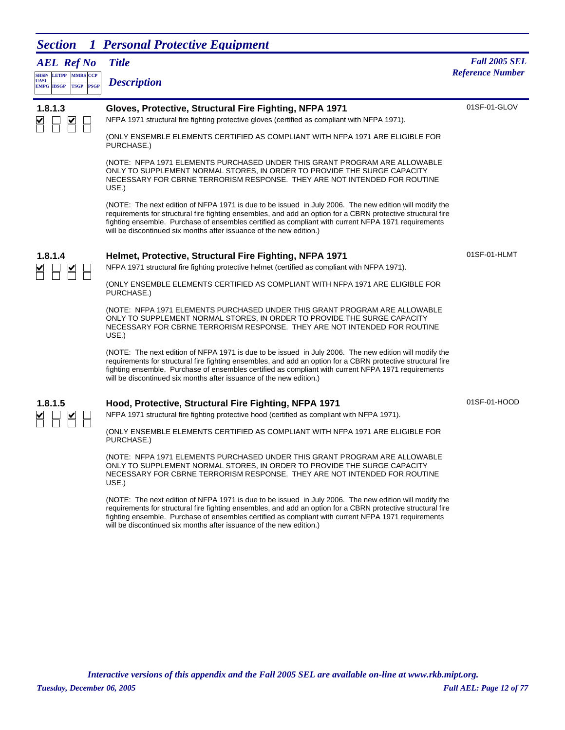*AEL Ref No*

| <b>UASI</b> | <b>SHSP/ LETPP MMRS CCP</b> |  | <b>Description</b> |
|-------------|-----------------------------|--|--------------------|
|             | <b>EMPG IBSGP TSGP PSGP</b> |  |                    |

#### *Title Fall 2005 SEL* **Reference Number**

| 1.8.1.3 |  |
|---------|--|
|         |  |

#### **1.8.1.3 Gloves, Protective, Structural Fire Fighting, NFPA 1971**

01SF-01-GLOV

(ONLY ENSEMBLE ELEMENTS CERTIFIED AS COMPLIANT WITH NFPA 1971 ARE ELIGIBLE FOR

NFPA 1971 structural fire fighting protective gloves (certified as compliant with NFPA 1971).

PURCHASE.)

(NOTE: NFPA 1971 ELEMENTS PURCHASED UNDER THIS GRANT PROGRAM ARE ALLOWABLE ONLY TO SUPPLEMENT NORMAL STORES, IN ORDER TO PROVIDE THE SURGE CAPACITY NECESSARY FOR CBRNE TERRORISM RESPONSE. THEY ARE NOT INTENDED FOR ROUTINE USE.)

(NOTE: The next edition of NFPA 1971 is due to be issued in July 2006. The new edition will modify the requirements for structural fire fighting ensembles, and add an option for a CBRN protective structural fire fighting ensemble. Purchase of ensembles certified as compliant with current NFPA 1971 requirements will be discontinued six months after issuance of the new edition.)



#### **1.8.1.4 Helmet, Protective, Structural Fire Fighting, NFPA 1971**

NFPA 1971 structural fire fighting protective helmet (certified as compliant with NFPA 1971).

(ONLY ENSEMBLE ELEMENTS CERTIFIED AS COMPLIANT WITH NFPA 1971 ARE ELIGIBLE FOR PURCHASE.)

(NOTE: NFPA 1971 ELEMENTS PURCHASED UNDER THIS GRANT PROGRAM ARE ALLOWABLE ONLY TO SUPPLEMENT NORMAL STORES, IN ORDER TO PROVIDE THE SURGE CAPACITY NECESSARY FOR CBRNE TERRORISM RESPONSE. THEY ARE NOT INTENDED FOR ROUTINE USE.)

(NOTE: The next edition of NFPA 1971 is due to be issued in July 2006. The new edition will modify the requirements for structural fire fighting ensembles, and add an option for a CBRN protective structural fire fighting ensemble. Purchase of ensembles certified as compliant with current NFPA 1971 requirements will be discontinued six months after issuance of the new edition.)

#### **1.8.1.5 Hood, Protective, Structural Fire Fighting, NFPA 1971**

NFPA 1971 structural fire fighting protective hood (certified as compliant with NFPA 1971).

(ONLY ENSEMBLE ELEMENTS CERTIFIED AS COMPLIANT WITH NFPA 1971 ARE ELIGIBLE FOR PURCHASE.)

(NOTE: NFPA 1971 ELEMENTS PURCHASED UNDER THIS GRANT PROGRAM ARE ALLOWABLE ONLY TO SUPPLEMENT NORMAL STORES, IN ORDER TO PROVIDE THE SURGE CAPACITY NECESSARY FOR CBRNE TERRORISM RESPONSE. THEY ARE NOT INTENDED FOR ROUTINE USE.)

(NOTE: The next edition of NFPA 1971 is due to be issued in July 2006. The new edition will modify the requirements for structural fire fighting ensembles, and add an option for a CBRN protective structural fire fighting ensemble. Purchase of ensembles certified as compliant with current NFPA 1971 requirements will be discontinued six months after issuance of the new edition.)

01SF-01-HOOD

01SF-01-HLMT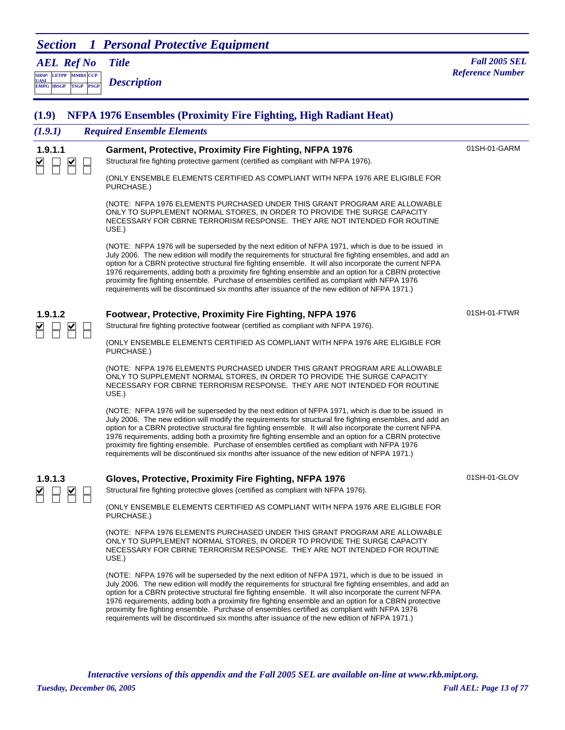*AEL Ref No*

**SHSP/ UASI LETPP PSGP CCP EMPG IBSGP TSGP** *Description*

| (1.9)   | <b>NFPA 1976 Ensembles (Proximity Fire Fighting, High Radiant Heat)</b>                                                                                                                                                                                                                                                                                                                                                                                                                                                                                                                                                                  |              |
|---------|------------------------------------------------------------------------------------------------------------------------------------------------------------------------------------------------------------------------------------------------------------------------------------------------------------------------------------------------------------------------------------------------------------------------------------------------------------------------------------------------------------------------------------------------------------------------------------------------------------------------------------------|--------------|
| (1.9.1) | <b>Required Ensemble Elements</b>                                                                                                                                                                                                                                                                                                                                                                                                                                                                                                                                                                                                        |              |
| 1.9.1.1 | Garment, Protective, Proximity Fire Fighting, NFPA 1976<br>Structural fire fighting protective garment (certified as compliant with NFPA 1976).                                                                                                                                                                                                                                                                                                                                                                                                                                                                                          | 01SH-01-GARM |
|         | (ONLY ENSEMBLE ELEMENTS CERTIFIED AS COMPLIANT WITH NFPA 1976 ARE ELIGIBLE FOR<br>PURCHASE.)                                                                                                                                                                                                                                                                                                                                                                                                                                                                                                                                             |              |
|         | (NOTE: NFPA 1976 ELEMENTS PURCHASED UNDER THIS GRANT PROGRAM ARE ALLOWABLE<br>ONLY TO SUPPLEMENT NORMAL STORES, IN ORDER TO PROVIDE THE SURGE CAPACITY<br>NECESSARY FOR CBRNE TERRORISM RESPONSE. THEY ARE NOT INTENDED FOR ROUTINE<br>USE.)                                                                                                                                                                                                                                                                                                                                                                                             |              |
|         | (NOTE: NFPA 1976 will be superseded by the next edition of NFPA 1971, which is due to be issued in<br>July 2006. The new edition will modify the requirements for structural fire fighting ensembles, and add an<br>option for a CBRN protective structural fire fighting ensemble. It will also incorporate the current NFPA<br>1976 requirements, adding both a proximity fire fighting ensemble and an option for a CBRN protective<br>proximity fire fighting ensemble. Purchase of ensembles certified as compliant with NFPA 1976<br>requirements will be discontinued six months after issuance of the new edition of NFPA 1971.) |              |
| 1.9.1.2 | Footwear, Protective, Proximity Fire Fighting, NFPA 1976                                                                                                                                                                                                                                                                                                                                                                                                                                                                                                                                                                                 | 01SH-01-FTWR |
|         | Structural fire fighting protective footwear (certified as compliant with NFPA 1976).                                                                                                                                                                                                                                                                                                                                                                                                                                                                                                                                                    |              |
|         | (ONLY ENSEMBLE ELEMENTS CERTIFIED AS COMPLIANT WITH NFPA 1976 ARE ELIGIBLE FOR<br>PURCHASE.)                                                                                                                                                                                                                                                                                                                                                                                                                                                                                                                                             |              |
|         | (NOTE: NFPA 1976 ELEMENTS PURCHASED UNDER THIS GRANT PROGRAM ARE ALLOWABLE<br>ONLY TO SUPPLEMENT NORMAL STORES, IN ORDER TO PROVIDE THE SURGE CAPACITY<br>NECESSARY FOR CBRNE TERRORISM RESPONSE. THEY ARE NOT INTENDED FOR ROUTINE<br>USE.)                                                                                                                                                                                                                                                                                                                                                                                             |              |
|         | (NOTE: NFPA 1976 will be superseded by the next edition of NFPA 1971, which is due to be issued in<br>July 2006. The new edition will modify the requirements for structural fire fighting ensembles, and add an<br>option for a CBRN protective structural fire fighting ensemble. It will also incorporate the current NFPA<br>1976 requirements, adding both a proximity fire fighting ensemble and an option for a CBRN protective<br>proximity fire fighting ensemble. Purchase of ensembles certified as compliant with NFPA 1976<br>requirements will be discontinued six months after issuance of the new edition of NFPA 1971.) |              |
| 1.9.1.3 | Gloves, Protective, Proximity Fire Fighting, NFPA 1976                                                                                                                                                                                                                                                                                                                                                                                                                                                                                                                                                                                   | 01SH-01-GLOV |
|         | Structural fire fighting protective gloves (certified as compliant with NFPA 1976).                                                                                                                                                                                                                                                                                                                                                                                                                                                                                                                                                      |              |
|         | (ONLY ENSEMBLE ELEMENTS CERTIFIED AS COMPLIANT WITH NFPA 1976 ARE ELIGIBLE FOR<br>PURCHASE.)                                                                                                                                                                                                                                                                                                                                                                                                                                                                                                                                             |              |
|         | (NOTE: NFPA 1976 ELEMENTS PURCHASED UNDER THIS GRANT PROGRAM ARE ALLOWABLE<br>ONLY TO SUPPLEMENT NORMAL STORES, IN ORDER TO PROVIDE THE SURGE CAPACITY<br>NECESSARY FOR CBRNE TERRORISM RESPONSE. THEY ARE NOT INTENDED FOR ROUTINE<br>USE.)                                                                                                                                                                                                                                                                                                                                                                                             |              |
|         | (NOTE: NFPA 1976 will be superseded by the next edition of NFPA 1971, which is due to be issued in<br>July 2006. The new edition will modify the requirements for structural fire fighting ensembles, and add an<br>option for a CBRN protective structural fire fighting ensemble. It will also incorporate the current NFPA<br>1976 requirements, adding both a proximity fire fighting ensemble and an option for a CBRN protective<br>proximity fire fighting ensemble. Purchase of ensembles certified as compliant with NFPA 1976<br>requirements will be discontinued six months after issuance of the new edition of NFPA 1971.) |              |
|         |                                                                                                                                                                                                                                                                                                                                                                                                                                                                                                                                                                                                                                          |              |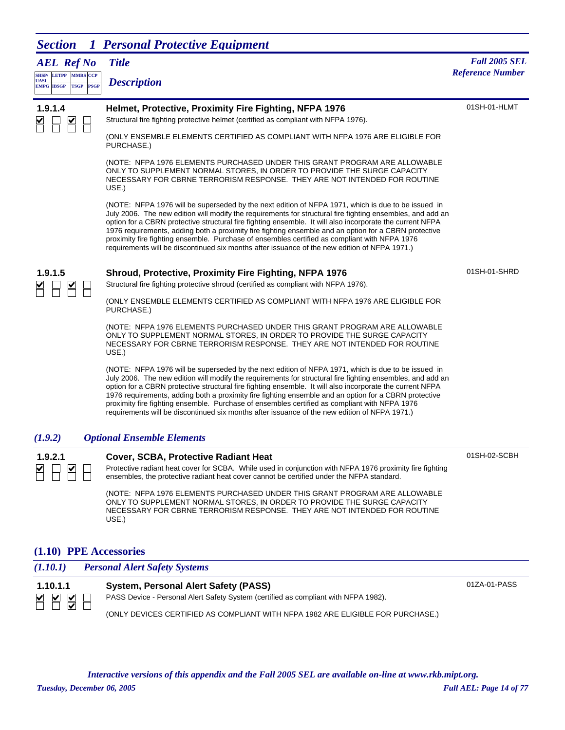*AEL Ref No*

**SHSP/ UASI LETPP PSGP CCP EMPG IBSGP TSGP** *Description*

## *Title Fall 2005 SEL* **MARS** *Reference Number <b><i>Reference Number Reference Number*

| <br>,,,,, |                                                                                                                                                                                                                                                                                                                                                                                                                                                                                                                                                                                                                                          |              |
|-----------|------------------------------------------------------------------------------------------------------------------------------------------------------------------------------------------------------------------------------------------------------------------------------------------------------------------------------------------------------------------------------------------------------------------------------------------------------------------------------------------------------------------------------------------------------------------------------------------------------------------------------------------|--------------|
| 1.9.1.4   | Helmet, Protective, Proximity Fire Fighting, NFPA 1976<br>Structural fire fighting protective helmet (certified as compliant with NFPA 1976).                                                                                                                                                                                                                                                                                                                                                                                                                                                                                            | 01SH-01-HLMT |
|           | (ONLY ENSEMBLE ELEMENTS CERTIFIED AS COMPLIANT WITH NFPA 1976 ARE ELIGIBLE FOR<br>PURCHASE.)                                                                                                                                                                                                                                                                                                                                                                                                                                                                                                                                             |              |
|           | (NOTE: NFPA 1976 ELEMENTS PURCHASED UNDER THIS GRANT PROGRAM ARE ALLOWABLE<br>ONLY TO SUPPLEMENT NORMAL STORES, IN ORDER TO PROVIDE THE SURGE CAPACITY<br>NECESSARY FOR CBRNE TERRORISM RESPONSE. THEY ARE NOT INTENDED FOR ROUTINE<br>USE.)                                                                                                                                                                                                                                                                                                                                                                                             |              |
|           | (NOTE: NFPA 1976 will be superseded by the next edition of NFPA 1971, which is due to be issued in<br>July 2006. The new edition will modify the requirements for structural fire fighting ensembles, and add an<br>option for a CBRN protective structural fire fighting ensemble. It will also incorporate the current NFPA<br>1976 requirements, adding both a proximity fire fighting ensemble and an option for a CBRN protective<br>proximity fire fighting ensemble. Purchase of ensembles certified as compliant with NFPA 1976<br>requirements will be discontinued six months after issuance of the new edition of NFPA 1971.) |              |
| 1.9.1.5   | Shroud, Protective, Proximity Fire Fighting, NFPA 1976                                                                                                                                                                                                                                                                                                                                                                                                                                                                                                                                                                                   | 01SH-01-SHRD |
|           | Structural fire fighting protective shroud (certified as compliant with NFPA 1976).                                                                                                                                                                                                                                                                                                                                                                                                                                                                                                                                                      |              |
|           | (ONLY ENSEMBLE ELEMENTS CERTIFIED AS COMPLIANT WITH NFPA 1976 ARE ELIGIBLE FOR<br>PURCHASE.)                                                                                                                                                                                                                                                                                                                                                                                                                                                                                                                                             |              |
|           | (NOTE: NFPA 1976 ELEMENTS PURCHASED UNDER THIS GRANT PROGRAM ARE ALLOWABLE<br>ONLY TO SUPPLEMENT NORMAL STORES, IN ORDER TO PROVIDE THE SURGE CAPACITY<br>NECESSARY FOR CBRNE TERRORISM RESPONSE. THEY ARE NOT INTENDED FOR ROUTINE<br>USE.)                                                                                                                                                                                                                                                                                                                                                                                             |              |
|           | (NOTE: NFPA 1976 will be superseded by the next edition of NFPA 1971, which is due to be issued in<br>July 2006. The new edition will modify the requirements for structural fire fighting ensembles, and add an<br>option for a CBRN protective structural fire fighting ensemble. It will also incorporate the current NFPA<br>1976 requirements, adding both a proximity fire fighting ensemble and an option for a CBRN protective<br>proximity fire fighting ensemble. Purchase of ensembles certified as compliant with NFPA 1976<br>requirements will be discontinued six months after issuance of the new edition of NFPA 1971.) |              |
| (1.9.2)   | <b>Optional Ensemble Elements</b>                                                                                                                                                                                                                                                                                                                                                                                                                                                                                                                                                                                                        |              |
| 1.9.2.1   | Cover, SCBA, Protective Radiant Heat                                                                                                                                                                                                                                                                                                                                                                                                                                                                                                                                                                                                     | 01SH-02-SCBH |
|           | Protective radiant heat cover for SCBA. While used in conjunction with NFPA 1976 proximity fire fighting<br>ensembles, the protective radiant heat cover cannot be certified under the NFPA standard.                                                                                                                                                                                                                                                                                                                                                                                                                                    |              |
|           | (NOTE: NFPA 1976 ELEMENTS PURCHASED UNDER THIS GRANT PROGRAM ARE ALLOWABLE<br>ONLY TO SUPPLEMENT NORMAL STORES, IN ORDER TO PROVIDE THE SURGE CAPACITY<br>NECESSARY FOR CBRNE TERRORISM RESPONSE. THEY ARE NOT INTENDED FOR ROUTINE<br>USE.)                                                                                                                                                                                                                                                                                                                                                                                             |              |

#### **(1.10) PPE Accessories**

| (1.10.1) | <b>Personal Alert Safety Systems</b>                                                |              |
|----------|-------------------------------------------------------------------------------------|--------------|
| 1.10.1.1 | System, Personal Alert Safety (PASS)                                                | 01ZA-01-PASS |
| N N N    | PASS Device - Personal Alert Safety System (certified as compliant with NFPA 1982). |              |
|          | (ONLY DEVICES CERTIFIED AS COMPLIANT WITH NFPA 1982 ARE ELIGIBLE FOR PURCHASE.)     |              |

*Tuesday, December 06, 2005 Full AEL: Page 14 of 77 Interactive versions of this appendix and the Fall 2005 SEL are available on-line at www.rkb.mipt.org.*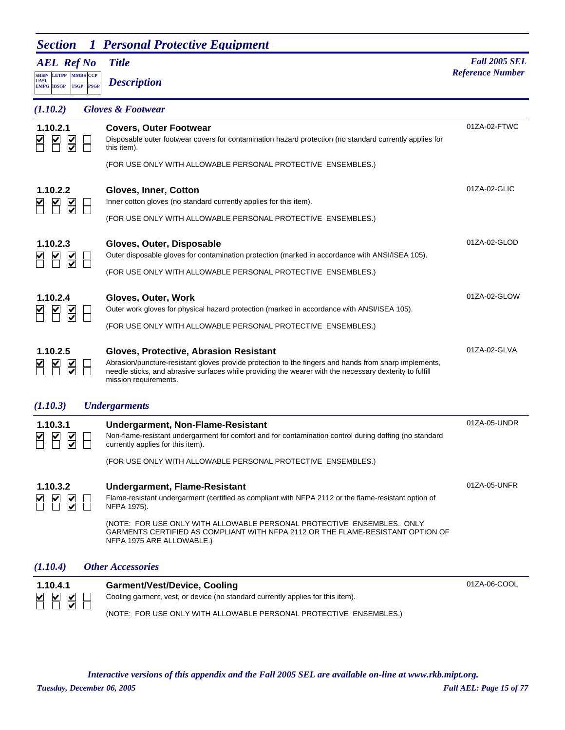| <b>Section</b> 1 Personal Protective Equipment |  |  |
|------------------------------------------------|--|--|
|------------------------------------------------|--|--|

| <b>AEL Ref No</b>                                                                 |             | <b>Title</b>                                                                                                                                                                                                                                                                                                                                          | <b>Fall 2005 SEL</b><br><b>Reference Number</b> |
|-----------------------------------------------------------------------------------|-------------|-------------------------------------------------------------------------------------------------------------------------------------------------------------------------------------------------------------------------------------------------------------------------------------------------------------------------------------------------------|-------------------------------------------------|
| <b>LETPP MMRS CCP</b><br><b>SHSP/</b><br>UASI<br><b>TSGP</b><br><b>EMPG IBSGP</b> | <b>PSGP</b> | <b>Description</b>                                                                                                                                                                                                                                                                                                                                    |                                                 |
| (1.10.2)                                                                          |             | <b>Gloves &amp; Footwear</b>                                                                                                                                                                                                                                                                                                                          |                                                 |
| 1.10.2.1                                                                          |             | <b>Covers, Outer Footwear</b><br>Disposable outer footwear covers for contamination hazard protection (no standard currently applies for<br>this item).                                                                                                                                                                                               | 01ZA-02-FTWC                                    |
|                                                                                   |             | (FOR USE ONLY WITH ALLOWABLE PERSONAL PROTECTIVE ENSEMBLES.)                                                                                                                                                                                                                                                                                          |                                                 |
| 1.10.2.2<br>$\frac{1}{2}$                                                         |             | Gloves, Inner, Cotton<br>Inner cotton gloves (no standard currently applies for this item).                                                                                                                                                                                                                                                           | 01ZA-02-GLIC                                    |
|                                                                                   |             | (FOR USE ONLY WITH ALLOWABLE PERSONAL PROTECTIVE ENSEMBLES.)                                                                                                                                                                                                                                                                                          |                                                 |
| 1.10.2.3                                                                          |             | Gloves, Outer, Disposable<br>Outer disposable gloves for contamination protection (marked in accordance with ANSI/ISEA 105).                                                                                                                                                                                                                          | 01ZA-02-GLOD                                    |
|                                                                                   |             | (FOR USE ONLY WITH ALLOWABLE PERSONAL PROTECTIVE ENSEMBLES.)                                                                                                                                                                                                                                                                                          |                                                 |
| 1.10.2.4                                                                          |             | Gloves, Outer, Work<br>Outer work gloves for physical hazard protection (marked in accordance with ANSI/ISEA 105).                                                                                                                                                                                                                                    | 01ZA-02-GLOW                                    |
|                                                                                   |             | (FOR USE ONLY WITH ALLOWABLE PERSONAL PROTECTIVE ENSEMBLES.)                                                                                                                                                                                                                                                                                          |                                                 |
| 1.10.2.5                                                                          |             | Gloves, Protective, Abrasion Resistant<br>Abrasion/puncture-resistant gloves provide protection to the fingers and hands from sharp implements,<br>needle sticks, and abrasive surfaces while providing the wearer with the necessary dexterity to fulfill<br>mission requirements.                                                                   | 01ZA-02-GLVA                                    |
| (1.10.3)                                                                          |             | <b>Undergarments</b>                                                                                                                                                                                                                                                                                                                                  |                                                 |
| 1.10.3.1                                                                          |             | <b>Undergarment, Non-Flame-Resistant</b><br>Non-flame-resistant undergarment for comfort and for contamination control during doffing (no standard<br>currently applies for this item).<br>(FOR USE ONLY WITH ALLOWABLE PERSONAL PROTECTIVE ENSEMBLES.)                                                                                               | 01ZA-05-UNDR                                    |
| 1.10.3.2                                                                          |             | <b>Undergarment, Flame-Resistant</b><br>Flame-resistant undergarment (certified as compliant with NFPA 2112 or the flame-resistant option of<br>NFPA 1975).<br>(NOTE: FOR USE ONLY WITH ALLOWABLE PERSONAL PROTECTIVE ENSEMBLES. ONLY<br>GARMENTS CERTIFIED AS COMPLIANT WITH NFPA 2112 OR THE FLAME-RESISTANT OPTION OF<br>NFPA 1975 ARE ALLOWABLE.) | 01ZA-05-UNFR                                    |
| (1.10.4)                                                                          |             | <b>Other Accessories</b>                                                                                                                                                                                                                                                                                                                              |                                                 |
| 1.10.4.1                                                                          |             | <b>Garment/Vest/Device, Cooling</b><br>Cooling garment, vest, or device (no standard currently applies for this item).                                                                                                                                                                                                                                | 01ZA-06-COOL                                    |

(NOTE: FOR USE ONLY WITH ALLOWABLE PERSONAL PROTECTIVE ENSEMBLES.)

*Tuesday, December 06, 2005 Full AEL: Page 15 of 77 Interactive versions of this appendix and the Fall 2005 SEL are available on-line at www.rkb.mipt.org.*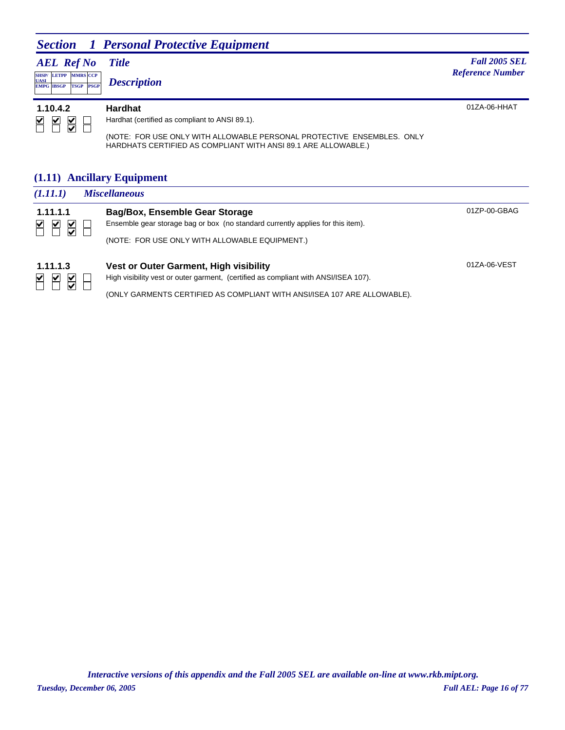|                                                                                                   | <b>Section</b> 1 Personal Protective Equipment                                                                                                                                                               |                                                 |
|---------------------------------------------------------------------------------------------------|--------------------------------------------------------------------------------------------------------------------------------------------------------------------------------------------------------------|-------------------------------------------------|
| <b>AEL</b> Ref No<br><b>SHSP/ LETPP MMRS CCP</b><br><b>UASI</b><br>TSGP PSGP<br><b>EMPG IBSGP</b> | <b>Title</b><br><b>Description</b>                                                                                                                                                                           | <b>Fall 2005 SEL</b><br><b>Reference Number</b> |
| 1.10.4.2<br>⊻<br>⊻<br>⊻                                                                           | <b>Hardhat</b><br>Hardhat (certified as compliant to ANSI 89.1).<br>(NOTE: FOR USE ONLY WITH ALLOWABLE PERSONAL PROTECTIVE ENSEMBLES. ONLY<br>HARDHATS CERTIFIED AS COMPLIANT WITH ANSI 89.1 ARE ALLOWABLE.) | $01ZA-06-HHAT$                                  |

### **(1.11) Ancillary Equipment**

| (1.11.1)           | <b>Miscellaneous</b>                                                            |              |
|--------------------|---------------------------------------------------------------------------------|--------------|
| 1.11.1.1           | Bag/Box, Ensemble Gear Storage                                                  | 01ZP-00-GBAG |
| $\frac{1}{2}$<br>⊻ | Ensemble gear storage bag or box (no standard currently applies for this item). |              |
|                    | (NOTE: FOR USE ONLY WITH ALLOWABLE EQUIPMENT.)                                  |              |
| 1 1 1 1 3          | Vest or Outer Garment, High visibility                                          | 01ZA-06-VEST |

**1.11.1.3 Vest or Outer Garment, High visibility**<br>  $\begin{array}{|c|c|c|}\n\hline\n\text{M} & \text{M} & \text{High visibility west or outer gamma, (certified as c)}\n\hline\n\end{array}$ High visibility vest or outer garment, (certified as compliant with ANSI/ISEA 107).

(ONLY GARMENTS CERTIFIED AS COMPLIANT WITH ANSI/ISEA 107 ARE ALLOWABLE).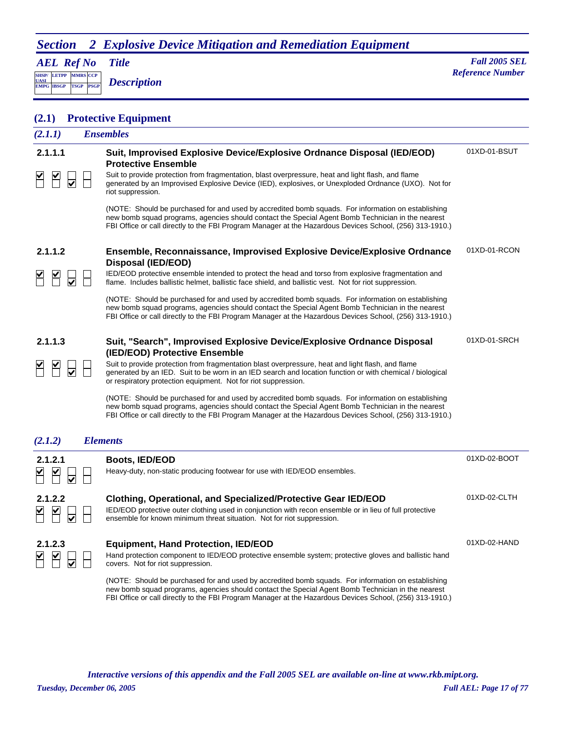## *Section 2 Explosive Device Mitigation and Remediation Equipment*

*AEL Ref No*

**SHSP/ UASI LETPP PSGP MMRS** CCP

**EMPG IBSGP TSGP** *Description*

*Title Fall 2005 SEL* **Reference Number** 

### **(2.1) Protective Equipment**

| (2.1.1) | <b>Ensembles</b>                                                                                                                                                                                                                                                                                                    |              |  |
|---------|---------------------------------------------------------------------------------------------------------------------------------------------------------------------------------------------------------------------------------------------------------------------------------------------------------------------|--------------|--|
| 2.1.1.1 | Suit, Improvised Explosive Device/Explosive Ordnance Disposal (IED/EOD)<br><b>Protective Ensemble</b>                                                                                                                                                                                                               | 01XD-01-BSUT |  |
|         | Suit to provide protection from fragmentation, blast overpressure, heat and light flash, and flame<br>generated by an Improvised Explosive Device (IED), explosives, or Unexploded Ordnance (UXO). Not for<br>riot suppression.                                                                                     |              |  |
|         | (NOTE: Should be purchased for and used by accredited bomb squads. For information on establishing<br>new bomb squad programs, agencies should contact the Special Agent Bomb Technician in the nearest<br>FBI Office or call directly to the FBI Program Manager at the Hazardous Devices School, (256) 313-1910.) |              |  |
| 2.1.1.2 | Ensemble, Reconnaissance, Improvised Explosive Device/Explosive Ordnance<br>Disposal (IED/EOD)                                                                                                                                                                                                                      | 01XD-01-RCON |  |
|         | IED/EOD protective ensemble intended to protect the head and torso from explosive fragmentation and<br>flame. Includes ballistic helmet, ballistic face shield, and ballistic vest. Not for riot suppression.                                                                                                       |              |  |
|         | (NOTE: Should be purchased for and used by accredited bomb squads. For information on establishing<br>new bomb squad programs, agencies should contact the Special Agent Bomb Technician in the nearest<br>FBI Office or call directly to the FBI Program Manager at the Hazardous Devices School, (256) 313-1910.) |              |  |
| 2.1.1.3 | Suit, "Search", Improvised Explosive Device/Explosive Ordnance Disposal<br>(IED/EOD) Protective Ensemble                                                                                                                                                                                                            | 01XD-01-SRCH |  |
|         | Suit to provide protection from fragmentation blast overpressure, heat and light flash, and flame<br>generated by an IED. Suit to be worn in an IED search and location function or with chemical / biological<br>or respiratory protection equipment. Not for riot suppression.                                    |              |  |
|         | (NOTE: Should be purchased for and used by accredited bomb squads. For information on establishing<br>new bomb squad programs, agencies should contact the Special Agent Bomb Technician in the nearest<br>FBI Office or call directly to the FBI Program Manager at the Hazardous Devices School, (256) 313-1910.) |              |  |
| (2.1.2) | <b>Elements</b>                                                                                                                                                                                                                                                                                                     |              |  |
| 2.1.2.1 | <b>Boots, IED/EOD</b><br>Heavy-duty, non-static producing footwear for use with IED/EOD ensembles.                                                                                                                                                                                                                  | 01XD-02-BOOT |  |
| 2.1.2.2 | Clothing, Operational, and Specialized/Protective Gear IED/EOD<br>IED/EOD protective outer clothing used in conjunction with recon ensemble or in lieu of full protective<br>ensemble for known minimum threat situation. Not for riot suppression.                                                                 | 01XD-02-CLTH |  |
| 2.1.2.3 | <b>Equipment, Hand Protection, IED/EOD</b><br>Hand protection component to IED/EOD protective ensemble system; protective gloves and ballistic hand<br>covers. Not for riot suppression.                                                                                                                            | 01XD-02-HAND |  |
|         | (NOTE: Should be purchased for and used by accredited bomb squads. For information on establishing<br>new bomb squad programs, agencies should contact the Special Agent Bomb Technician in the nearest                                                                                                             |              |  |

*Tuesday, December 06, 2005 Full AEL: Page 17 of 77 Interactive versions of this appendix and the Fall 2005 SEL are available on-line at www.rkb.mipt.org.*

FBI Office or call directly to the FBI Program Manager at the Hazardous Devices School, (256) 313-1910.)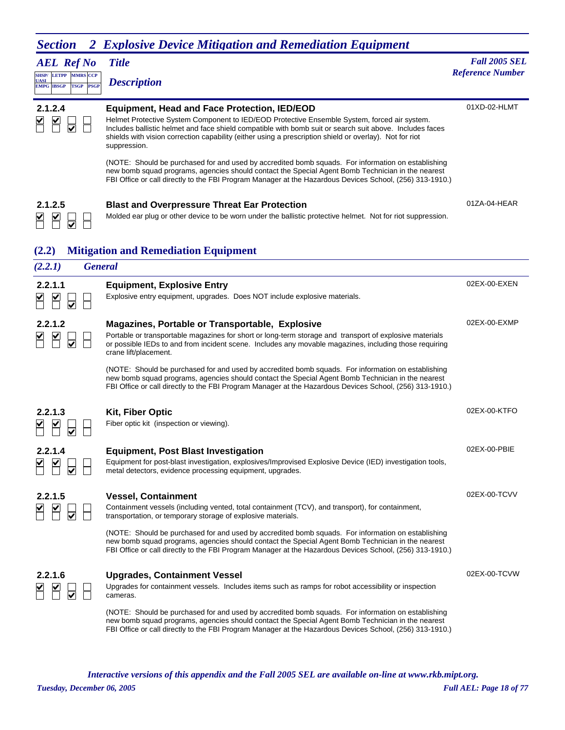| <b>Section</b><br>$\boldsymbol{Z}$                                                                          | <b>Explosive Device Mitigation and Remediation Equipment</b>                                                                                                                                                                                                                                                                                                                               |                                                 |
|-------------------------------------------------------------------------------------------------------------|--------------------------------------------------------------------------------------------------------------------------------------------------------------------------------------------------------------------------------------------------------------------------------------------------------------------------------------------------------------------------------------------|-------------------------------------------------|
| <b>AEL Ref No</b><br>SHSP/ LETPP MMRS CCP<br><b>UASI</b><br><b>EMPG IBSGP</b><br><b>TSGP</b><br><b>PSGP</b> | <b>Title</b><br><b>Description</b>                                                                                                                                                                                                                                                                                                                                                         | <b>Fall 2005 SEL</b><br><b>Reference Number</b> |
| 2.1.2.4<br>$\overline{\blacktriangledown}$                                                                  | <b>Equipment, Head and Face Protection, IED/EOD</b><br>Helmet Protective System Component to IED/EOD Protective Ensemble System, forced air system.<br>Includes ballistic helmet and face shield compatible with bomb suit or search suit above. Includes faces<br>shields with vision correction capability (either using a prescription shield or overlay). Not for riot<br>suppression. | 01XD-02-HLMT                                    |
|                                                                                                             | (NOTE: Should be purchased for and used by accredited bomb squads. For information on establishing<br>new bomb squad programs, agencies should contact the Special Agent Bomb Technician in the nearest<br>FBI Office or call directly to the FBI Program Manager at the Hazardous Devices School, (256) 313-1910.)                                                                        |                                                 |
| 2.1.2.5                                                                                                     | <b>Blast and Overpressure Threat Ear Protection</b><br>Molded ear plug or other device to be worn under the ballistic protective helmet. Not for riot suppression.                                                                                                                                                                                                                         | 01ZA-04-HEAR                                    |
| (2.2)                                                                                                       | <b>Mitigation and Remediation Equipment</b>                                                                                                                                                                                                                                                                                                                                                |                                                 |
| (2.2.1)                                                                                                     | <b>General</b>                                                                                                                                                                                                                                                                                                                                                                             |                                                 |
| 2.2.1.1                                                                                                     | <b>Equipment, Explosive Entry</b><br>Explosive entry equipment, upgrades. Does NOT include explosive materials.                                                                                                                                                                                                                                                                            | 02EX-00-EXEN                                    |
| 2.2.1.2                                                                                                     | Magazines, Portable or Transportable, Explosive<br>Portable or transportable magazines for short or long-term storage and transport of explosive materials<br>or possible IEDs to and from incident scene. Includes any movable magazines, including those requiring<br>crane lift/placement.                                                                                              | 02EX-00-EXMP                                    |
|                                                                                                             | (NOTE: Should be purchased for and used by accredited bomb squads. For information on establishing<br>new bomb squad programs, agencies should contact the Special Agent Bomb Technician in the nearest<br>FBI Office or call directly to the FBI Program Manager at the Hazardous Devices School, (256) 313-1910.)                                                                        |                                                 |
| 2.2.1.3                                                                                                     | <b>Kit, Fiber Optic</b><br>Fiber optic kit (inspection or viewing).                                                                                                                                                                                                                                                                                                                        | 02EX-00-KTFO                                    |
| 2.2.1.4                                                                                                     | <b>Equipment, Post Blast Investigation</b><br>Equipment for post-blast investigation, explosives/Improvised Explosive Device (IED) investigation tools,<br>metal detectors, evidence processing equipment, upgrades.                                                                                                                                                                       | 02EX-00-PBIE                                    |
| 2.2.1.5                                                                                                     | <b>Vessel, Containment</b><br>Containment vessels (including vented, total containment (TCV), and transport), for containment,<br>transportation, or temporary storage of explosive materials.                                                                                                                                                                                             | 02EX-00-TCVV                                    |
|                                                                                                             | (NOTE: Should be purchased for and used by accredited bomb squads. For information on establishing<br>new bomb squad programs, agencies should contact the Special Agent Bomb Technician in the nearest<br>FBI Office or call directly to the FBI Program Manager at the Hazardous Devices School, (256) 313-1910.)                                                                        |                                                 |
| 2.2.1.6                                                                                                     | <b>Upgrades, Containment Vessel</b><br>Upgrades for containment vessels. Includes items such as ramps for robot accessibility or inspection<br>cameras.                                                                                                                                                                                                                                    | 02EX-00-TCVW                                    |
|                                                                                                             | (NOTE: Should be purchased for and used by accredited bomb squads. For information on establishing<br>new bomb squad programs, agencies should contact the Special Agent Bomb Technician in the nearest<br>FBI Office or call directly to the FBI Program Manager at the Hazardous Devices School, (256) 313-1910.)                                                                        |                                                 |

*Tuesday, December 06, 2005 Full AEL: Page 18 of 77 Interactive versions of this appendix and the Fall 2005 SEL are available on-line at www.rkb.mipt.org.*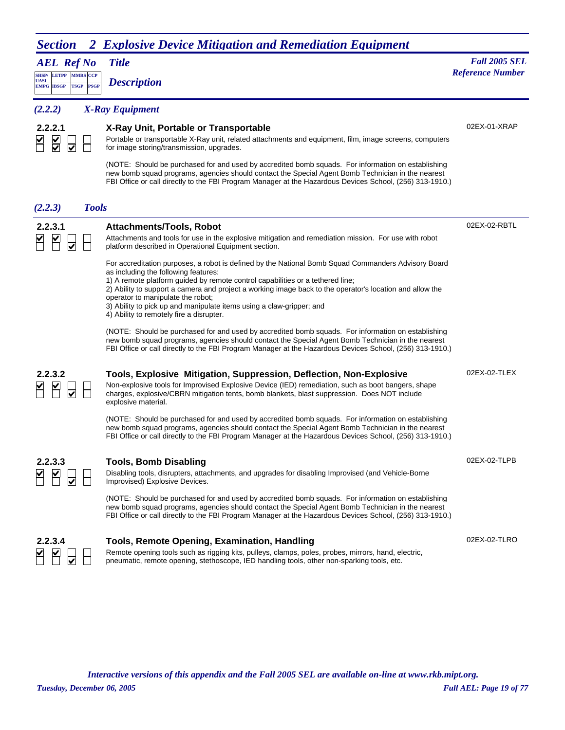## *Section 2 Explosive Device Mitigation and Remediation Equipment*

| <b>AEL Ref No</b>                                                                                       | <b>Title</b>                                                                                                                                                                                                                                                                                                                                                                                                                                                                                                                                                                                                            | <b>Fall 2005 SEL</b>    |
|---------------------------------------------------------------------------------------------------------|-------------------------------------------------------------------------------------------------------------------------------------------------------------------------------------------------------------------------------------------------------------------------------------------------------------------------------------------------------------------------------------------------------------------------------------------------------------------------------------------------------------------------------------------------------------------------------------------------------------------------|-------------------------|
| <b>SHSP/ LETPP</b><br><b>MMRS CCP</b><br><b>UASI</b><br><b>PSGP</b><br><b>EMPG IBSGP</b><br><b>TSGP</b> | <b>Description</b>                                                                                                                                                                                                                                                                                                                                                                                                                                                                                                                                                                                                      | <b>Reference Number</b> |
| (2.2.2)                                                                                                 | <b>X-Ray Equipment</b>                                                                                                                                                                                                                                                                                                                                                                                                                                                                                                                                                                                                  |                         |
| 2.2.2.1<br>$\overline{\underline{\underline{\mathsf{S}}}}$<br>☑                                         | X-Ray Unit, Portable or Transportable<br>Portable or transportable X-Ray unit, related attachments and equipment, film, image screens, computers<br>for image storing/transmission, upgrades.                                                                                                                                                                                                                                                                                                                                                                                                                           | 02EX-01-XRAP            |
|                                                                                                         | (NOTE: Should be purchased for and used by accredited bomb squads. For information on establishing<br>new bomb squad programs, agencies should contact the Special Agent Bomb Technician in the nearest<br>FBI Office or call directly to the FBI Program Manager at the Hazardous Devices School, (256) 313-1910.)                                                                                                                                                                                                                                                                                                     |                         |
| (2.2.3)<br><b>Tools</b>                                                                                 |                                                                                                                                                                                                                                                                                                                                                                                                                                                                                                                                                                                                                         |                         |
| 2.2.3.1                                                                                                 | <b>Attachments/Tools, Robot</b><br>Attachments and tools for use in the explosive mitigation and remediation mission. For use with robot<br>platform described in Operational Equipment section.                                                                                                                                                                                                                                                                                                                                                                                                                        | 02EX-02-RBTL            |
|                                                                                                         | For accreditation purposes, a robot is defined by the National Bomb Squad Commanders Advisory Board<br>as including the following features:<br>1) A remote platform guided by remote control capabilities or a tethered line;<br>2) Ability to support a camera and project a working image back to the operator's location and allow the<br>operator to manipulate the robot;<br>3) Ability to pick up and manipulate items using a claw-gripper; and<br>4) Ability to remotely fire a disrupter.                                                                                                                      |                         |
|                                                                                                         | (NOTE: Should be purchased for and used by accredited bomb squads. For information on establishing<br>new bomb squad programs, agencies should contact the Special Agent Bomb Technician in the nearest<br>FBI Office or call directly to the FBI Program Manager at the Hazardous Devices School, (256) 313-1910.)                                                                                                                                                                                                                                                                                                     |                         |
| 2.2.3.2                                                                                                 | Tools, Explosive Mitigation, Suppression, Deflection, Non-Explosive<br>Non-explosive tools for Improvised Explosive Device (IED) remediation, such as boot bangers, shape<br>charges, explosive/CBRN mitigation tents, bomb blankets, blast suppression. Does NOT include<br>explosive material.<br>(NOTE: Should be purchased for and used by accredited bomb squads. For information on establishing<br>new bomb squad programs, agencies should contact the Special Agent Bomb Technician in the nearest<br>FBI Office or call directly to the FBI Program Manager at the Hazardous Devices School, (256) 313-1910.) | 02EX-02-TLEX            |
| ર                                                                                                       | Tools, Bomb Disabling<br>Disabling tools, disrupters, attachments, and upgrades for disabling Improvised (and Vehicle-Borne<br>Improvised) Explosive Devices.<br>(NOTE: Should be purchased for and used by accredited bomb squads. For information on establishing                                                                                                                                                                                                                                                                                                                                                     | 02EX-02-TLPB            |
| 2.2.3.4                                                                                                 | new bomb squad programs, agencies should contact the Special Agent Bomb Technician in the nearest<br>FBI Office or call directly to the FBI Program Manager at the Hazardous Devices School, (256) 313-1910.)<br>Tools, Remote Opening, Examination, Handling<br>Remote opening tools such as rigging kits, pulleys, clamps, poles, probes, mirrors, hand, electric,                                                                                                                                                                                                                                                    | 02EX-02-TLRO            |

pneumatic, remote opening, stethoscope, IED handling tools, other non-sparking tools, etc.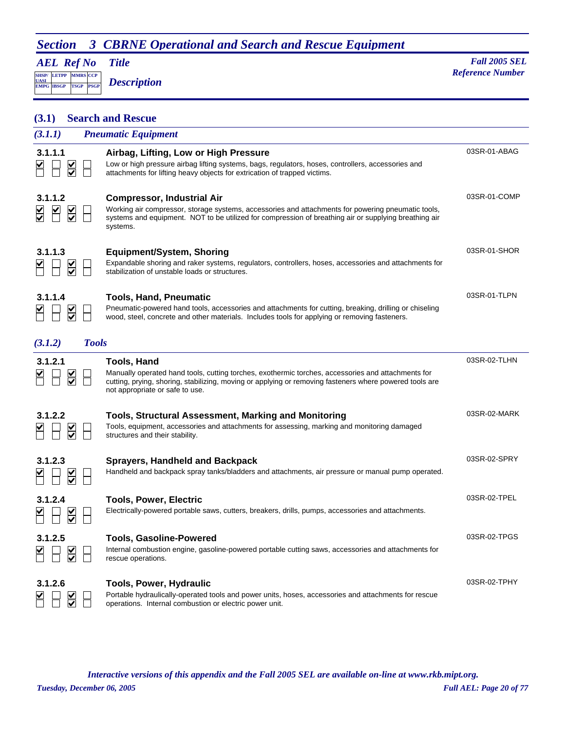## *AEL Ref No*

**SHSP/ UASI LETPP PSGP CCP EMPG IBSGP TSGP** *Description*

*Title Fall 2005 SEL* **MADE** *Reference Number Reference Number Reference Number* 

| (3.1)                  |                                                 |              | <b>Search and Rescue</b>                                                                                                                                                                                                                                               |              |
|------------------------|-------------------------------------------------|--------------|------------------------------------------------------------------------------------------------------------------------------------------------------------------------------------------------------------------------------------------------------------------------|--------------|
| (3.1.1)                |                                                 |              | <b>Pneumatic Equipment</b>                                                                                                                                                                                                                                             |              |
| 3.1.1.1                | $\overline{\underline{\underline{\mathsf{Y}}}}$ |              | Airbag, Lifting, Low or High Pressure<br>Low or high pressure airbag lifting systems, bags, regulators, hoses, controllers, accessories and<br>attachments for lifting heavy objects for extrication of trapped victims.                                               | 03SR-01-ABAG |
| 3.1.1.2                |                                                 |              | <b>Compressor, Industrial Air</b><br>Working air compressor, storage systems, accessories and attachments for powering pneumatic tools,<br>systems and equipment. NOT to be utilized for compression of breathing air or supplying breathing air<br>systems.           | 03SR-01-COMP |
| 3.1.1.3                | $\overline{\checkmark}$                         |              | <b>Equipment/System, Shoring</b><br>Expandable shoring and raker systems, regulators, controllers, hoses, accessories and attachments for<br>stabilization of unstable loads or structures.                                                                            | 03SR-01-SHOR |
| 3.1.1.4                | $\sum_{i=1}^{n}$                                |              | <b>Tools, Hand, Pneumatic</b><br>Pneumatic-powered hand tools, accessories and attachments for cutting, breaking, drilling or chiseling<br>wood, steel, concrete and other materials. Includes tools for applying or removing fasteners.                               | 03SR-01-TLPN |
| (3.1.2)                |                                                 | <b>Tools</b> |                                                                                                                                                                                                                                                                        |              |
| 3.1.2.1                | $\frac{1}{2}$                                   |              | <b>Tools, Hand</b><br>Manually operated hand tools, cutting torches, exothermic torches, accessories and attachments for<br>cutting, prying, shoring, stabilizing, moving or applying or removing fasteners where powered tools are<br>not appropriate or safe to use. | 03SR-02-TLHN |
| 3.1.2.2                |                                                 |              | <b>Tools, Structural Assessment, Marking and Monitoring</b><br>Tools, equipment, accessories and attachments for assessing, marking and monitoring damaged<br>structures and their stability.                                                                          | 03SR-02-MARK |
| 3.1.2.3                |                                                 |              | <b>Sprayers, Handheld and Backpack</b><br>Handheld and backpack spray tanks/bladders and attachments, air pressure or manual pump operated.                                                                                                                            | 03SR-02-SPRY |
| 3.1.2.4<br><b>UUVU</b> | ⊻                                               |              | <b>Tools, Power, Electric</b><br>Electrically-powered portable saws, cutters, breakers, drills, pumps, accessories and attachments.                                                                                                                                    | 03SR-02-TPEL |
| 3.1.2.5                | $\frac{\checkmark}{\checkmark}$                 |              | <b>Tools, Gasoline-Powered</b><br>Internal combustion engine, gasoline-powered portable cutting saws, accessories and attachments for<br>rescue operations.                                                                                                            | 03SR-02-TPGS |
| 3.1.2.6                |                                                 |              | <b>Tools, Power, Hydraulic</b><br>Portable hydraulically-operated tools and power units, hoses, accessories and attachments for rescue<br>operations. Internal combustion or electric power unit.                                                                      | 03SR-02-TPHY |

*Tuesday, December 06, 2005 Full AEL: Page 20 of 77 Interactive versions of this appendix and the Fall 2005 SEL are available on-line at www.rkb.mipt.org.*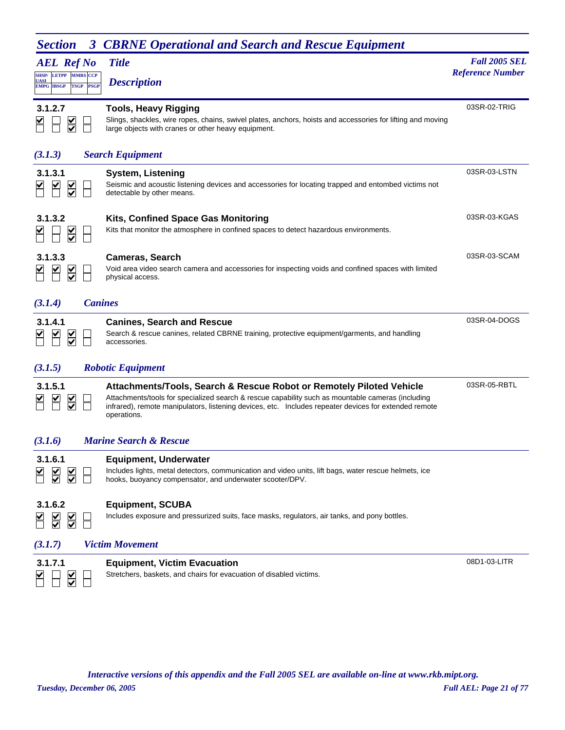| ресиоп<br><b>AEL Ref No</b>                                             | <b>CDRNE Operational and Search and Rescue Equipment</b><br><b>Title</b>                                                                                                                                                                                                                          | <b>Fall 2005 SEL</b>    |
|-------------------------------------------------------------------------|---------------------------------------------------------------------------------------------------------------------------------------------------------------------------------------------------------------------------------------------------------------------------------------------------|-------------------------|
| <b>SHSP/ LETPP MMRS CCP</b><br>UASI<br><b>EMPG IBSGP</b><br><b>TSGP</b> | <b>Description</b><br><b>PSGP</b>                                                                                                                                                                                                                                                                 | <b>Reference Number</b> |
|                                                                         |                                                                                                                                                                                                                                                                                                   |                         |
| 3.1.2.7<br>$\frac{\checkmark}{\checkmark}$                              | <b>Tools, Heavy Rigging</b><br>Slings, shackles, wire ropes, chains, swivel plates, anchors, hoists and accessories for lifting and moving<br>large objects with cranes or other heavy equipment.                                                                                                 | 03SR-02-TRIG            |
| (3.1.3)                                                                 | <b>Search Equipment</b>                                                                                                                                                                                                                                                                           |                         |
| 3.1.3.1<br>⋚                                                            | <b>System, Listening</b><br>Seismic and acoustic listening devices and accessories for locating trapped and entombed victims not<br>detectable by other means.                                                                                                                                    | 03SR-03-LSTN            |
| 3.1.3.2                                                                 | Kits, Confined Space Gas Monitoring<br>Kits that monitor the atmosphere in confined spaces to detect hazardous environments.                                                                                                                                                                      | 03SR-03-KGAS            |
| 3.1.3.3<br>$\frac{1}{2}$                                                | <b>Cameras, Search</b><br>Void area video search camera and accessories for inspecting voids and confined spaces with limited<br>physical access.                                                                                                                                                 | 03SR-03-SCAM            |
| (3.1.4)                                                                 | <b>Canines</b>                                                                                                                                                                                                                                                                                    |                         |
| 3.1.4.1<br>$\overline{\mathsf{v}}$                                      | <b>Canines, Search and Rescue</b><br>Search & rescue canines, related CBRNE training, protective equipment/garments, and handling<br>accessories.                                                                                                                                                 | 03SR-04-DOGS            |
| (3.1.5)                                                                 | <b>Robotic Equipment</b>                                                                                                                                                                                                                                                                          |                         |
| 3.1.5.1<br>$\frac{\mathsf{v}}{\mathsf{v}}$                              | Attachments/Tools, Search & Rescue Robot or Remotely Piloted Vehicle<br>Attachments/tools for specialized search & rescue capability such as mountable cameras (including<br>infrared), remote manipulators, listening devices, etc. Includes repeater devices for extended remote<br>operations. | 03SR-05-RBTL            |
| (3.1.6)                                                                 | <b>Marine Search &amp; Rescue</b>                                                                                                                                                                                                                                                                 |                         |
| 3.1.6.1                                                                 | <b>Equipment, Underwater</b><br>Includes lights, metal detectors, communication and video units, lift bags, water rescue helmets, ice<br>hooks, buoyancy compensator, and underwater scooter/DPV.                                                                                                 |                         |
| 3.1.6.2<br>$\frac{\mathsf{v}}{\mathsf{v}}$                              | <b>Equipment, SCUBA</b><br>Includes exposure and pressurized suits, face masks, regulators, air tanks, and pony bottles.                                                                                                                                                                          |                         |
| (3.1.7)                                                                 | <b>Victim Movement</b>                                                                                                                                                                                                                                                                            |                         |
| 3.1.7.1<br>✓                                                            | <b>Equipment, Victim Evacuation</b><br>Stretchers, baskets, and chairs for evacuation of disabled victims.                                                                                                                                                                                        | 08D1-03-LITR            |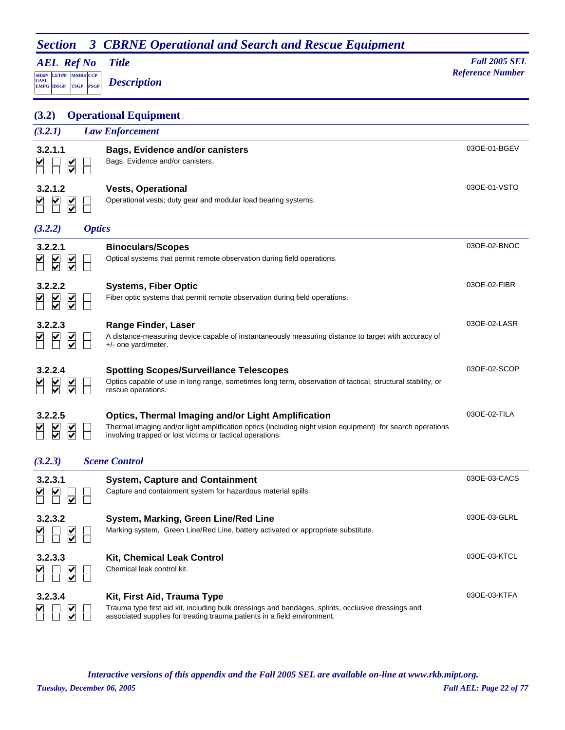| 3<br><b>Section</b>                                                                           | <b>CBRNE Operational and Search and Rescue Equipment</b>                                                                                                                                                                             |                         |
|-----------------------------------------------------------------------------------------------|--------------------------------------------------------------------------------------------------------------------------------------------------------------------------------------------------------------------------------------|-------------------------|
| <b>AEL Ref No</b>                                                                             | <b>Title</b>                                                                                                                                                                                                                         | <b>Fall 2005 SEL</b>    |
| <b>SHSP/ LETPP MMRS CCP</b><br><u>UASI</u><br><b>PSGP</b><br><b>EMPG IBSGP</b><br><b>TSGP</b> | <b>Description</b>                                                                                                                                                                                                                   | <b>Reference Number</b> |
| (3.2)                                                                                         | <b>Operational Equipment</b>                                                                                                                                                                                                         |                         |
| (3.2.1)                                                                                       | <b>Law Enforcement</b>                                                                                                                                                                                                               |                         |
| 3.2.1.1<br>$\frac{1}{2}$                                                                      | <b>Bags, Evidence and/or canisters</b><br>Bags, Evidence and/or canisters.                                                                                                                                                           | 03OE-01-BGEV            |
| 3.2.1.2<br>$\overline{\underline{\underline{\mathsf{Y}}}}$                                    | <b>Vests, Operational</b><br>Operational vests; duty gear and modular load bearing systems.                                                                                                                                          | 030E-01-VSTO            |
| (3.2.2)<br><b>Optics</b>                                                                      |                                                                                                                                                                                                                                      |                         |
| 3.2.2.1<br>$\overline{\leq}$                                                                  | <b>Binoculars/Scopes</b><br>Optical systems that permit remote observation during field operations.                                                                                                                                  | 03OE-02-BNOC            |
| 3.2.2.2<br>$\overline{\le}$                                                                   | <b>Systems, Fiber Optic</b><br>Fiber optic systems that permit remote observation during field operations.                                                                                                                           | 030E-02-FIBR            |
| 3.2.2.3<br>$\frac{\mathsf{K}}{\mathsf{S}}$                                                    | Range Finder, Laser<br>A distance-measuring device capable of instantaneously measuring distance to target with accuracy of<br>$+/-$ one yard/meter.                                                                                 | 030E-02-LASR            |
| 3.2.2.4<br>$\frac{1}{2}$                                                                      | <b>Spotting Scopes/Surveillance Telescopes</b><br>Optics capable of use in long range, sometimes long term, observation of tactical, structural stability, or<br>rescue operations.                                                  | 030E-02-SCOP            |
| 3.2.2.5<br>⊻<br>$\frac{\checkmark}{\checkmark}$<br>$\overline{\mathbf{v}}$                    | <b>Optics, Thermal Imaging and/or Light Amplification</b><br>Thermal imaging and/or light amplification optics (including night vision equipment) for search operations<br>involving trapped or lost victims or tactical operations. | 030E-02-TILA            |
| (3.2.3)                                                                                       | <b>Scene Control</b>                                                                                                                                                                                                                 |                         |
| 3.2.3.1                                                                                       | <b>System, Capture and Containment</b><br>Capture and containment system for hazardous material spills.                                                                                                                              | 030E-03-CACS            |
| 3.2.3.2<br>$\frac{1}{2}$                                                                      | System, Marking, Green Line/Red Line<br>Marking system, Green Line/Red Line, battery activated or appropriate substitute.                                                                                                            | 03OE-03-GLRL            |
| 3.2.3.3<br>$\frac{1}{2}$                                                                      | <b>Kit, Chemical Leak Control</b><br>Chemical leak control kit.                                                                                                                                                                      | 030E-03-KTCL            |
| 3.2.3.4                                                                                       | Kit, First Aid, Trauma Type<br>Trauma type first aid kit, including bulk dressings and bandages, splints, occlusive dressings and<br>associated supplies for treating trauma patients in a field environment.                        | 03OE-03-KTFA            |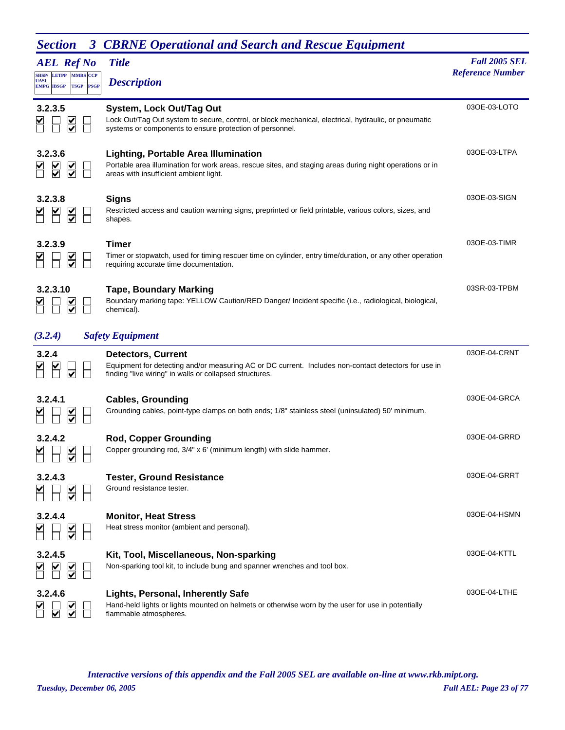| <b>AEL Ref No</b><br><b>LETPP MMRS CCP</b><br>SHSP/<br>UASI<br><b>EMPG IBSGP</b><br><b>TSGP</b><br><b>PSGP</b> | <b>Title</b><br><b>Description</b>                                                                                                                                                                  | <b>Fall 2005 SEL</b><br><b>Reference Number</b> |
|----------------------------------------------------------------------------------------------------------------|-----------------------------------------------------------------------------------------------------------------------------------------------------------------------------------------------------|-------------------------------------------------|
| 3.2.3.5                                                                                                        | <b>System, Lock Out/Tag Out</b><br>Lock Out/Tag Out system to secure, control, or block mechanical, electrical, hydraulic, or pneumatic<br>systems or components to ensure protection of personnel. | 030E-03-LOTO                                    |
| 3.2.3.6<br>$\overline{\underline{\mathsf{S}}}$<br>$\overline{\leq}$                                            | <b>Lighting, Portable Area Illumination</b><br>Portable area illumination for work areas, rescue sites, and staging areas during night operations or in<br>areas with insufficient ambient light.   | 030E-03-LTPA                                    |
| 3.2.3.8<br>$\frac{1}{\sqrt{2}}$                                                                                | <b>Signs</b><br>Restricted access and caution warning signs, preprinted or field printable, various colors, sizes, and<br>shapes.                                                                   | 03OE-03-SIGN                                    |
| 3.2.3.9                                                                                                        | <b>Timer</b><br>Timer or stopwatch, used for timing rescuer time on cylinder, entry time/duration, or any other operation<br>requiring accurate time documentation.                                 | 030E-03-TIMR                                    |
| 3.2.3.10                                                                                                       | <b>Tape, Boundary Marking</b><br>Boundary marking tape: YELLOW Caution/RED Danger/ Incident specific (i.e., radiological, biological,<br>chemical).                                                 | 03SR-03-TPBM                                    |
| (3.2.4)                                                                                                        | <b>Safety Equipment</b>                                                                                                                                                                             |                                                 |
| 3.2.4                                                                                                          | <b>Detectors, Current</b><br>Equipment for detecting and/or measuring AC or DC current. Includes non-contact detectors for use in<br>finding "live wiring" in walls or collapsed structures.        | 030E-04-CRNT                                    |
| 3.2.4.1                                                                                                        | <b>Cables, Grounding</b><br>Grounding cables, point-type clamps on both ends; 1/8" stainless steel (uninsulated) 50' minimum.                                                                       | 030E-04-GRCA                                    |
| 3.2.4.2<br>$\frac{\checkmark}{\checkmark}$                                                                     | <b>Rod, Copper Grounding</b><br>Copper grounding rod, 3/4" x 6' (minimum length) with slide hammer.                                                                                                 | 03OE-04-GRRD                                    |
| 3.2.4.3<br>$\frac{1}{2}$                                                                                       | <b>Tester, Ground Resistance</b><br>Ground resistance tester.                                                                                                                                       | 03OE-04-GRRT                                    |
| 3.2.4.4                                                                                                        | <b>Monitor, Heat Stress</b><br>Heat stress monitor (ambient and personal).                                                                                                                          | 03OE-04-HSMN                                    |
| 3.2.4.5<br>$\sum_{i=1}^{n}$                                                                                    | Kit, Tool, Miscellaneous, Non-sparking<br>Non-sparking tool kit, to include bung and spanner wrenches and tool box.                                                                                 | 030E-04-KTTL                                    |
| 3.2.4.6                                                                                                        | <b>Lights, Personal, Inherently Safe</b><br>Hand-held lights or lights mounted on helmets or otherwise worn by the user for use in potentially<br>flammable atmospheres.                            | 03OE-04-LTHE                                    |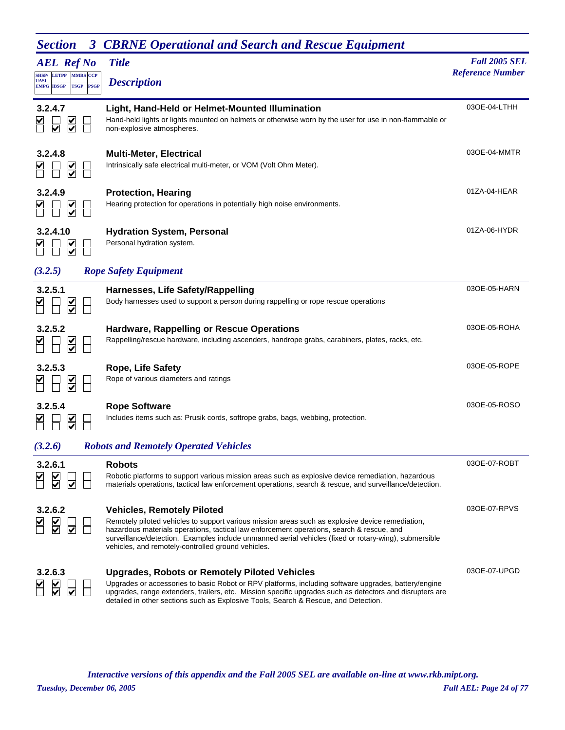| <b>AEL Ref No</b>                                                                                   | <b>Title</b>                                                                                                                                                                                                                                                                                                                                                                                      | <b>Fall 2005 SEL</b>    |
|-----------------------------------------------------------------------------------------------------|---------------------------------------------------------------------------------------------------------------------------------------------------------------------------------------------------------------------------------------------------------------------------------------------------------------------------------------------------------------------------------------------------|-------------------------|
| <b>MMRS</b> CCP<br><b>LETPP</b><br><b>SHSP/</b><br>UASI<br><b>PSGP</b><br><b>EMPG IBSGP</b><br>TSGP | <b>Description</b>                                                                                                                                                                                                                                                                                                                                                                                | <b>Reference Number</b> |
| 3.2.4.7                                                                                             | Light, Hand-Held or Helmet-Mounted Illumination<br>Hand-held lights or lights mounted on helmets or otherwise worn by the user for use in non-flammable or<br>non-explosive atmospheres.                                                                                                                                                                                                          | 03OE-04-LTHH            |
| 3.2.4.8                                                                                             | <b>Multi-Meter, Electrical</b><br>Intrinsically safe electrical multi-meter, or VOM (Volt Ohm Meter).                                                                                                                                                                                                                                                                                             | 03OE-04-MMTR            |
| 3.2.4.9                                                                                             | <b>Protection, Hearing</b><br>Hearing protection for operations in potentially high noise environments.                                                                                                                                                                                                                                                                                           | 01ZA-04-HEAR            |
| 3.2.4.10                                                                                            | <b>Hydration System, Personal</b><br>Personal hydration system.                                                                                                                                                                                                                                                                                                                                   | 01ZA-06-HYDR            |
| (3.2.5)                                                                                             | <b>Rope Safety Equipment</b>                                                                                                                                                                                                                                                                                                                                                                      |                         |
| 3.2.5.1                                                                                             | Harnesses, Life Safety/Rappelling<br>Body harnesses used to support a person during rappelling or rope rescue operations                                                                                                                                                                                                                                                                          | 03OE-05-HARN            |
| 3.2.5.2                                                                                             | <b>Hardware, Rappelling or Rescue Operations</b><br>Rappelling/rescue hardware, including ascenders, handrope grabs, carabiners, plates, racks, etc.                                                                                                                                                                                                                                              | 030E-05-ROHA            |
| 3.2.5.3                                                                                             | <b>Rope, Life Safety</b><br>Rope of various diameters and ratings                                                                                                                                                                                                                                                                                                                                 | 030E-05-ROPE            |
| 3.2.5.4                                                                                             | <b>Rope Software</b><br>Includes items such as: Prusik cords, softrope grabs, bags, webbing, protection.                                                                                                                                                                                                                                                                                          | 030E-05-ROSO            |
| (3.2.6)                                                                                             | <b>Robots and Remotely Operated Vehicles</b>                                                                                                                                                                                                                                                                                                                                                      |                         |
| 3.2.6.1                                                                                             | <b>Robots</b><br>Robotic platforms to support various mission areas such as explosive device remediation, hazardous<br>materials operations, tactical law enforcement operations, search & rescue, and surveillance/detection.                                                                                                                                                                    | 030E-07-ROBT            |
| 3.2.6.2                                                                                             | <b>Vehicles, Remotely Piloted</b><br>Remotely piloted vehicles to support various mission areas such as explosive device remediation,<br>hazardous materials operations, tactical law enforcement operations, search & rescue, and<br>surveillance/detection. Examples include unmanned aerial vehicles (fixed or rotary-wing), submersible<br>vehicles, and remotely-controlled ground vehicles. | 030E-07-RPVS            |
| 3.2.6.3                                                                                             | <b>Upgrades, Robots or Remotely Piloted Vehicles</b><br>Upgrades or accessories to basic Robot or RPV platforms, including software upgrades, battery/engine<br>upgrades, range extenders, trailers, etc. Mission specific upgrades such as detectors and disrupters are<br>detailed in other sections such as Explosive Tools, Search & Rescue, and Detection.                                   | 03OE-07-UPGD            |

*Tuesday, December 06, 2005 Full AEL: Page 24 of 77 Interactive versions of this appendix and the Fall 2005 SEL are available on-line at www.rkb.mipt.org.*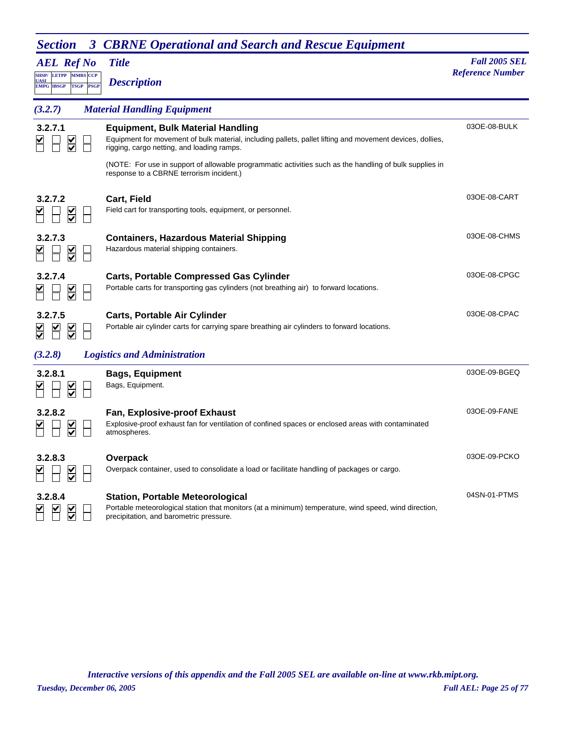| <b>AEL Ref No</b>                                                                     | <b>Title</b>                                                                                                                                                                                        | <b>Fall 2005 SEL</b><br><b>Reference Number</b> |
|---------------------------------------------------------------------------------------|-----------------------------------------------------------------------------------------------------------------------------------------------------------------------------------------------------|-------------------------------------------------|
| SHSP/LETPP MMRS CCP<br><b>UASI</b><br><b>EMPG IBSGP</b><br><b>TSGP</b><br><b>PSGP</b> | <b>Description</b>                                                                                                                                                                                  |                                                 |
| (3.2.7)                                                                               | <b>Material Handling Equipment</b>                                                                                                                                                                  |                                                 |
| 3.2.7.1                                                                               | <b>Equipment, Bulk Material Handling</b><br>Equipment for movement of bulk material, including pallets, pallet lifting and movement devices, dollies,<br>rigging, cargo netting, and loading ramps. | 03OE-08-BULK                                    |
|                                                                                       | (NOTE: For use in support of allowable programmatic activities such as the handling of bulk supplies in<br>response to a CBRNE terrorism incident.)                                                 |                                                 |
| 3.2.7.2<br>$\overline{\underline{\mathsf{S}}}$                                        | Cart, Field<br>Field cart for transporting tools, equipment, or personnel.                                                                                                                          | 03OE-08-CART                                    |
| 3.2.7.3<br>$\overline{\underline{\mathsf{S}}}$                                        | <b>Containers, Hazardous Material Shipping</b><br>Hazardous material shipping containers.                                                                                                           | 03OE-08-CHMS                                    |
| 3.2.7.4<br>$\overline{\leq}$                                                          | <b>Carts, Portable Compressed Gas Cylinder</b><br>Portable carts for transporting gas cylinders (not breathing air) to forward locations.                                                           | 03OE-08-CPGC                                    |
| 3.2.7.5<br>$\frac{1}{2}$                                                              | <b>Carts, Portable Air Cylinder</b><br>Portable air cylinder carts for carrying spare breathing air cylinders to forward locations.                                                                 | 03OE-08-CPAC                                    |
| (3.2.8)                                                                               | <b>Logistics and Administration</b>                                                                                                                                                                 |                                                 |
| 3.2.8.1                                                                               | <b>Bags, Equipment</b><br>Bags, Equipment.                                                                                                                                                          | 03OE-09-BGEQ                                    |
| 3.2.8.2<br>$\overline{\leq}$                                                          | Fan, Explosive-proof Exhaust<br>Explosive-proof exhaust fan for ventilation of confined spaces or enclosed areas with contaminated<br>atmospheres.                                                  | 03OE-09-FANE                                    |
| 3.2.8.3                                                                               | Overpack<br>Overpack container, used to consolidate a load or facilitate handling of packages or cargo.                                                                                             | 03OE-09-PCKO                                    |
| 3.2.8.4<br>$\overline{\leq}$                                                          | <b>Station, Portable Meteorological</b><br>Portable meteorological station that monitors (at a minimum) temperature, wind speed, wind direction,<br>precipitation, and barometric pressure.         | 04SN-01-PTMS                                    |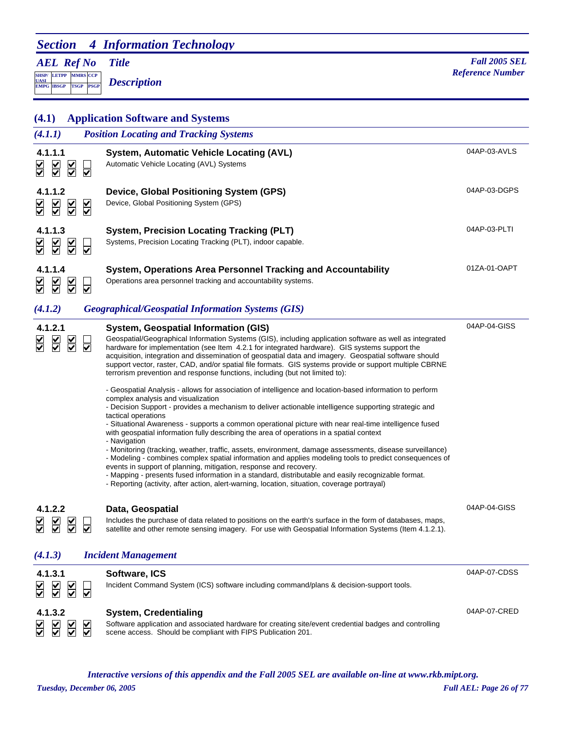## *Section 4 Information Technology*

## *AEL Ref No*

**SHSP/ UASI LETPP PSGP CCP EMPG IBSGP TSGP** *Description*

*Title Fall 2005 SEL Meterion* **Reference Number** *Reference Number Reference Number* 

| (4.1)                                                                                                | <b>Application Software and Systems</b>                                                                                                                                                                                                                                                                                                                                                                                                                                                                                                                                                                                                                                                                                                                                                                                                                                                                                                                                                                                                                                                                                                                                                                                                                                                                                                                                                                                                                                                                                                                         |              |
|------------------------------------------------------------------------------------------------------|-----------------------------------------------------------------------------------------------------------------------------------------------------------------------------------------------------------------------------------------------------------------------------------------------------------------------------------------------------------------------------------------------------------------------------------------------------------------------------------------------------------------------------------------------------------------------------------------------------------------------------------------------------------------------------------------------------------------------------------------------------------------------------------------------------------------------------------------------------------------------------------------------------------------------------------------------------------------------------------------------------------------------------------------------------------------------------------------------------------------------------------------------------------------------------------------------------------------------------------------------------------------------------------------------------------------------------------------------------------------------------------------------------------------------------------------------------------------------------------------------------------------------------------------------------------------|--------------|
| (4.1.1)                                                                                              | <b>Position Locating and Tracking Systems</b>                                                                                                                                                                                                                                                                                                                                                                                                                                                                                                                                                                                                                                                                                                                                                                                                                                                                                                                                                                                                                                                                                                                                                                                                                                                                                                                                                                                                                                                                                                                   |              |
| 4.1.1.1<br>$\overline{\leq}$<br>$\overline{\underline{\underline{\mathsf{Y}}}}$<br>୰<br>₩            | <b>System, Automatic Vehicle Locating (AVL)</b><br>Automatic Vehicle Locating (AVL) Systems                                                                                                                                                                                                                                                                                                                                                                                                                                                                                                                                                                                                                                                                                                                                                                                                                                                                                                                                                                                                                                                                                                                                                                                                                                                                                                                                                                                                                                                                     | 04AP-03-AVLS |
| 4.1.1.2<br>$\sum$<br>$\sum_{i=1}^{n}$<br>$\overline{\mathsf{S}}$<br>इ                                | Device, Global Positioning System (GPS)<br>Device, Global Positioning System (GPS)                                                                                                                                                                                                                                                                                                                                                                                                                                                                                                                                                                                                                                                                                                                                                                                                                                                                                                                                                                                                                                                                                                                                                                                                                                                                                                                                                                                                                                                                              | 04AP-03-DGPS |
| 4.1.1.3<br>$\overline{\underline{\mathsf{KL}}}$<br>$\overline{\leq}$<br>⋚<br>$\overline{\mathbf{v}}$ | <b>System, Precision Locating Tracking (PLT)</b><br>Systems, Precision Locating Tracking (PLT), indoor capable.                                                                                                                                                                                                                                                                                                                                                                                                                                                                                                                                                                                                                                                                                                                                                                                                                                                                                                                                                                                                                                                                                                                                                                                                                                                                                                                                                                                                                                                 | 04AP-03-PLTI |
| 4.1.1.4<br>$\sum_{i=1}^{n}$<br>$\sum_{i=1}^{n}$<br>$\overline{\blacktriangledown}$                   | System, Operations Area Personnel Tracking and Accountability<br>Operations area personnel tracking and accountability systems.                                                                                                                                                                                                                                                                                                                                                                                                                                                                                                                                                                                                                                                                                                                                                                                                                                                                                                                                                                                                                                                                                                                                                                                                                                                                                                                                                                                                                                 | 01ZA-01-OAPT |
| (4.1.2)                                                                                              | <b>Geographical/Geospatial Information Systems (GIS)</b>                                                                                                                                                                                                                                                                                                                                                                                                                                                                                                                                                                                                                                                                                                                                                                                                                                                                                                                                                                                                                                                                                                                                                                                                                                                                                                                                                                                                                                                                                                        |              |
| 4.1.2.1<br>$\overline{\le}$<br>$\overline{\underline{\mathsf{S}}}$<br>⊽                              | System, Geospatial Information (GIS)<br>Geospatial/Geographical Information Systems (GIS), including application software as well as integrated<br>hardware for implementation (see Item 4.2.1 for integrated hardware). GIS systems support the<br>acquisition, integration and dissemination of geospatial data and imagery. Geospatial software should<br>support vector, raster, CAD, and/or spatial file formats. GIS systems provide or support multiple CBRNE<br>terrorism prevention and response functions, including (but not limited to):<br>- Geospatial Analysis - allows for association of intelligence and location-based information to perform<br>complex analysis and visualization<br>- Decision Support - provides a mechanism to deliver actionable intelligence supporting strategic and<br>tactical operations<br>- Situational Awareness - supports a common operational picture with near real-time intelligence fused<br>with geospatial information fully describing the area of operations in a spatial context<br>- Navigation<br>- Monitoring (tracking, weather, traffic, assets, environment, damage assessments, disease surveillance)<br>- Modeling - combines complex spatial information and applies modeling tools to predict consequences of<br>events in support of planning, mitigation, response and recovery.<br>- Mapping - presents fused information in a standard, distributable and easily recognizable format.<br>- Reporting (activity, after action, alert-warning, location, situation, coverage portrayal) | 04AP-04-GISS |
| 4.1.2.2<br>$\Box$ $\Box$<br>$\Box$<br>⋚<br>Ě<br>☑<br>☑<br>(4.1.3)                                    | Data, Geospatial<br>Includes the purchase of data related to positions on the earth's surface in the form of databases, maps,<br>satellite and other remote sensing imagery. For use with Geospatial Information Systems (Item 4.1.2.1).<br><b>Incident Management</b>                                                                                                                                                                                                                                                                                                                                                                                                                                                                                                                                                                                                                                                                                                                                                                                                                                                                                                                                                                                                                                                                                                                                                                                                                                                                                          | 04AP-04-GISS |
| 4.1.3.1<br>$\frac{\mathsf{v}}{\mathsf{v}}$<br>⊽                                                      | Software, ICS<br>Incident Command System (ICS) software including command/plans & decision-support tools.                                                                                                                                                                                                                                                                                                                                                                                                                                                                                                                                                                                                                                                                                                                                                                                                                                                                                                                                                                                                                                                                                                                                                                                                                                                                                                                                                                                                                                                       | 04AP-07-CDSS |
| 4.1.3.2<br>$\overline{\underline{\underline{\mathsf{S}}}}$<br>$\frac{\mathsf{v}}{\mathsf{v}}$        | <b>System, Credentialing</b><br>Software application and associated hardware for creating site/event credential badges and controlling<br>scene access. Should be compliant with FIPS Publication 201.                                                                                                                                                                                                                                                                                                                                                                                                                                                                                                                                                                                                                                                                                                                                                                                                                                                                                                                                                                                                                                                                                                                                                                                                                                                                                                                                                          | 04AP-07-CRED |

*Interactive versions of this appendix and the Fall 2005 SEL are available on-line at www.rkb.mipt.org.*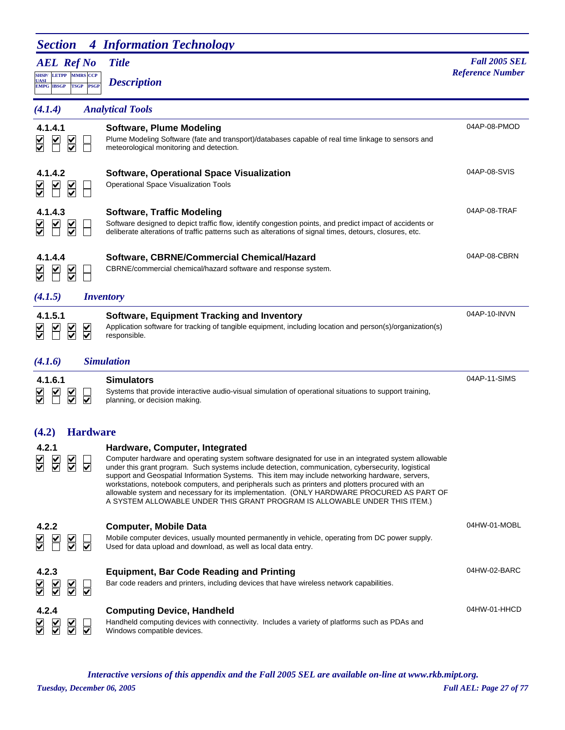| <b>Section</b>                                                                  | <b>4 Information Technology</b>                                                                                                                                                                                                                                                                                                                                                                                                                                                                                                                                                                                                |                         |
|---------------------------------------------------------------------------------|--------------------------------------------------------------------------------------------------------------------------------------------------------------------------------------------------------------------------------------------------------------------------------------------------------------------------------------------------------------------------------------------------------------------------------------------------------------------------------------------------------------------------------------------------------------------------------------------------------------------------------|-------------------------|
| <b>AEL Ref No</b>                                                               | <b>Title</b>                                                                                                                                                                                                                                                                                                                                                                                                                                                                                                                                                                                                                   | <b>Fall 2005 SEL</b>    |
| SHSP/ LETPP MMRS CCP<br>UASI<br><b>PSGP</b><br><b>EMPG IBSGP</b><br><b>TSGP</b> | <b>Description</b>                                                                                                                                                                                                                                                                                                                                                                                                                                                                                                                                                                                                             | <b>Reference Number</b> |
| (4.1.4)                                                                         | <b>Analytical Tools</b>                                                                                                                                                                                                                                                                                                                                                                                                                                                                                                                                                                                                        |                         |
| 4.1.4.1<br>$\overline{\underline{\mathsf{S}}}$                                  | <b>Software, Plume Modeling</b><br>Plume Modeling Software (fate and transport)/databases capable of real time linkage to sensors and<br>meteorological monitoring and detection.                                                                                                                                                                                                                                                                                                                                                                                                                                              | 04AP-08-PMOD            |
| 4.1.4.2<br>$\overline{\leq}$                                                    | Software, Operational Space Visualization<br><b>Operational Space Visualization Tools</b>                                                                                                                                                                                                                                                                                                                                                                                                                                                                                                                                      | 04AP-08-SVIS            |
| 4.1.4.3<br>$\frac{\mathsf{K}}{\mathsf{S}}$                                      | <b>Software, Traffic Modeling</b><br>Software designed to depict traffic flow, identify congestion points, and predict impact of accidents or<br>deliberate alterations of traffic patterns such as alterations of signal times, detours, closures, etc.                                                                                                                                                                                                                                                                                                                                                                       | 04AP-08-TRAF            |
| 4.1.4.4<br>$\frac{1}{2}$                                                        | Software, CBRNE/Commercial Chemical/Hazard<br>CBRNE/commercial chemical/hazard software and response system.                                                                                                                                                                                                                                                                                                                                                                                                                                                                                                                   | 04AP-08-CBRN            |
| (4.1.5)                                                                         | <i>Inventory</i>                                                                                                                                                                                                                                                                                                                                                                                                                                                                                                                                                                                                               |                         |
| 4.1.5.1<br>$\overline{\leq}$<br>$\overline{\leq}$                               | <b>Software, Equipment Tracking and Inventory</b><br>Application software for tracking of tangible equipment, including location and person(s)/organization(s)<br>responsible.                                                                                                                                                                                                                                                                                                                                                                                                                                                 | 04AP-10-INVN            |
| (4.1.6)                                                                         | <b>Simulation</b>                                                                                                                                                                                                                                                                                                                                                                                                                                                                                                                                                                                                              |                         |
| 4.1.6.1<br>$\frac{1}{2}$<br>₩<br>$\overline{\mathsf{v}}$                        | <b>Simulators</b><br>Systems that provide interactive audio-visual simulation of operational situations to support training,<br>planning, or decision making.                                                                                                                                                                                                                                                                                                                                                                                                                                                                  | 04AP-11-SIMS            |
| <b>Hardware</b><br>(4.2)                                                        |                                                                                                                                                                                                                                                                                                                                                                                                                                                                                                                                                                                                                                |                         |
| 4.2.1<br>$\frac{1}{\sqrt{2}}$<br>⊽                                              | Hardware, Computer, Integrated<br>Computer hardware and operating system software designated for use in an integrated system allowable<br>under this grant program. Such systems include detection, communication, cybersecurity, logistical<br>support and Geospatial Information Systems. This item may include networking hardware, servers,<br>workstations, notebook computers, and peripherals such as printers and plotters procured with an<br>allowable system and necessary for its implementation. (ONLY HARDWARE PROCURED AS PART OF<br>A SYSTEM ALLOWABLE UNDER THIS GRANT PROGRAM IS ALLOWABLE UNDER THIS ITEM.) |                         |
| 4.2.2<br>$\frac{1}{2}$<br>⊽                                                     | <b>Computer, Mobile Data</b><br>Mobile computer devices, usually mounted permanently in vehicle, operating from DC power supply.<br>Used for data upload and download, as well as local data entry.                                                                                                                                                                                                                                                                                                                                                                                                                            | 04HW-01-MOBL            |
| 4.2.3<br>$\sum_{i=1}^{n}$<br>$\overline{\bm{\nabla}}$                           | <b>Equipment, Bar Code Reading and Printing</b><br>Bar code readers and printers, including devices that have wireless network capabilities.                                                                                                                                                                                                                                                                                                                                                                                                                                                                                   | 04HW-02-BARC            |
| 4.2.4<br>$\frac{1}{2}$<br>☑                                                     | <b>Computing Device, Handheld</b><br>Handheld computing devices with connectivity. Includes a variety of platforms such as PDAs and<br>Windows compatible devices.                                                                                                                                                                                                                                                                                                                                                                                                                                                             | 04HW-01-HHCD            |

*Tuesday, December 06, 2005 Full AEL: Page 27 of 77 Interactive versions of this appendix and the Fall 2005 SEL are available on-line at www.rkb.mipt.org.*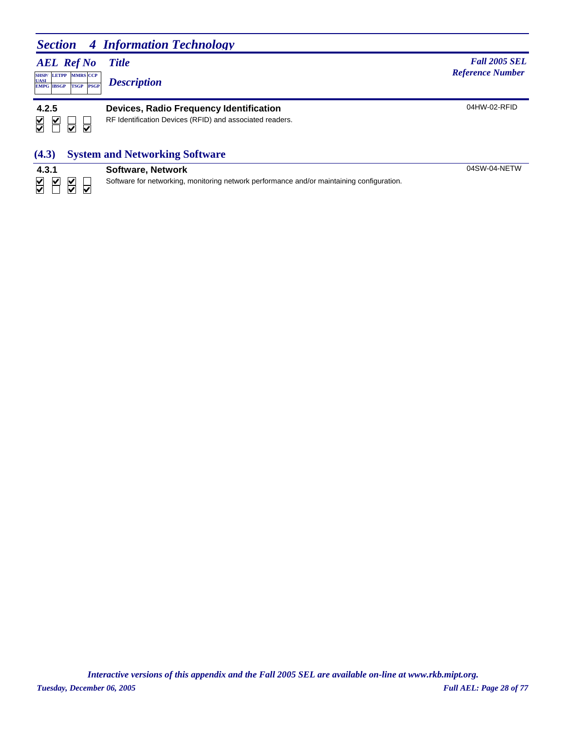## *Section 4 Information Technology*

## *AEL Ref No*

**SHSP/ UASI LETPP PSGP CCP EMPG IBSGP TSGP** *Description*

*Title Fall 2005 SEL* **MARS** *Reference Number <b><i>Reference Number Reference Number Reference Number* 

04HW-02-RFID

| 4.2.5                      |  |  |
|----------------------------|--|--|
| $\boldsymbol{\mathcal{L}}$ |  |  |

#### **4.2.5 Devices, Radio Frequency Identification**

RF Identification Devices (RFID) and associated readers.

## **(4.3) System and Networking Software**

| 4.3.1 |  |  |
|-------|--|--|
|       |  |  |

**4.3.1 Software, Network** Software for networking, monitoring network performance and/or maintaining configuration. 04SW-04-NETW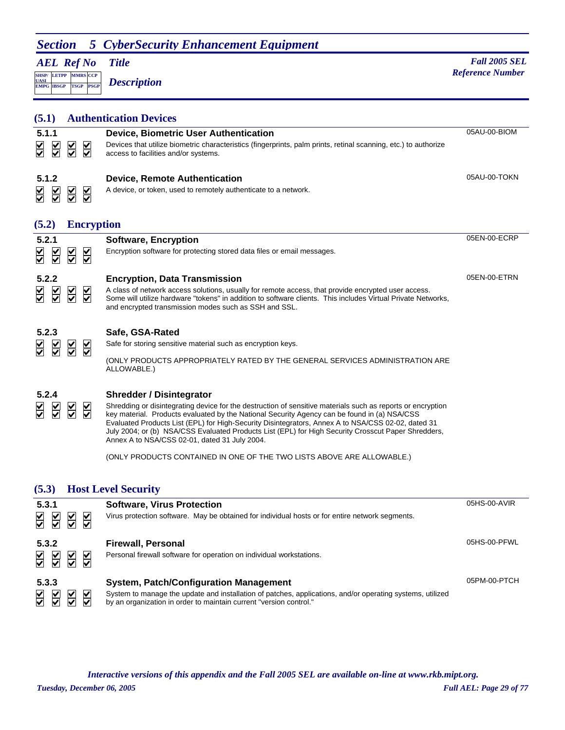## **Section 5 CyberSecurity Enhancement Equipment**

*AEL Ref No* **SHSP/ UASI LETPP PSGP CCP EMPG IBSGP TSGP** *Description*

*Title Fall 2005 SEL Meterion* **Reference Number** *Reference Number Reference Number* 

| (5.1)                                                                            |                                                 |                                                 | <b>Authentication Devices</b>                                                                                                                                                                                                                                                                                                                                                                                                                                                                                                                                                          |              |
|----------------------------------------------------------------------------------|-------------------------------------------------|-------------------------------------------------|----------------------------------------------------------------------------------------------------------------------------------------------------------------------------------------------------------------------------------------------------------------------------------------------------------------------------------------------------------------------------------------------------------------------------------------------------------------------------------------------------------------------------------------------------------------------------------------|--------------|
| 5.1.1<br>$\overline{\underline{\underline{\mathsf{Y}}}}$<br>$\frac{1}{\sqrt{2}}$ | $\overline{\leq}$                               | $\overline{\leq}$                               | <b>Device, Biometric User Authentication</b><br>Devices that utilize biometric characteristics (fingerprints, palm prints, retinal scanning, etc.) to authorize<br>access to facilities and/or systems.                                                                                                                                                                                                                                                                                                                                                                                | 05AU-00-BIOM |
| 5.1.2<br>$\overline{\leq}$<br>₩                                                  | $\overline{\textbf{M}}$                         | $\overline{\leq}$                               | <b>Device, Remote Authentication</b><br>A device, or token, used to remotely authenticate to a network.                                                                                                                                                                                                                                                                                                                                                                                                                                                                                | 05AU-00-TOKN |
| (5.2)                                                                            |                                                 | <b>Encryption</b>                               |                                                                                                                                                                                                                                                                                                                                                                                                                                                                                                                                                                                        |              |
| 5.2.1<br>$\overline{\underline{\underline{\mathsf{Y}}}}$                         | $\overline{\underline{\underline{\mathsf{S}}}}$ | $\overline{\underline{\underline{\mathsf{Y}}}}$ | <b>Software, Encryption</b><br>Encryption software for protecting stored data files or email messages.                                                                                                                                                                                                                                                                                                                                                                                                                                                                                 | 05EN-00-ECRP |
| 5.2.2<br>$\overline{\underline{\mathsf{S}}}$<br>₩                                | $\overline{\leq}$                               | $\overline{\leq}$                               | <b>Encryption, Data Transmission</b><br>A class of network access solutions, usually for remote access, that provide encrypted user access.<br>Some will utilize hardware "tokens" in addition to software clients. This includes Virtual Private Networks,<br>and encrypted transmission modes such as SSH and SSL.                                                                                                                                                                                                                                                                   | 05EN-00-ETRN |
| 5.2.3<br>$\overline{\blacktriangle}$<br>₩                                        | $\overline{\leq}$                               | $\frac{1}{2}$                                   | Safe, GSA-Rated<br>Safe for storing sensitive material such as encryption keys.<br>(ONLY PRODUCTS APPROPRIATELY RATED BY THE GENERAL SERVICES ADMINISTRATION ARE<br>ALLOWABLE.)                                                                                                                                                                                                                                                                                                                                                                                                        |              |
| 5.2.4<br>$\frac{1}{2}$<br>₩                                                      | $\overline{\le}$                                | $\overline{\underline{\underline{\mathsf{Y}}}}$ | <b>Shredder / Disintegrator</b><br>Shredding or disintegrating device for the destruction of sensitive materials such as reports or encryption<br>key material. Products evaluated by the National Security Agency can be found in (a) NSA/CSS<br>Evaluated Products List (EPL) for High-Security Disintegrators, Annex A to NSA/CSS 02-02, dated 31<br>July 2004; or (b) NSA/CSS Evaluated Products List (EPL) for High Security Crosscut Paper Shredders,<br>Annex A to NSA/CSS 02-01, dated 31 July 2004.<br>(ONLY PRODUCTS CONTAINED IN ONE OF THE TWO LISTS ABOVE ARE ALLOWABLE.) |              |
| (5.3)                                                                            |                                                 |                                                 | <b>Host Level Security</b>                                                                                                                                                                                                                                                                                                                                                                                                                                                                                                                                                             |              |
| 5.3.1<br>$\frac{\sqrt{2}}{\sqrt{2}}$<br>$\frac{1}{2}$                            | $\overline{\leq}$                               | $\frac{1}{\sqrt{2}}$                            | <b>Software, Virus Protection</b><br>Virus protection software. May be obtained for individual hosts or for entire network segments.                                                                                                                                                                                                                                                                                                                                                                                                                                                   | 05HS-00-AVIR |

| 5.3.2<br><u>a a a a</u> | Firewall, Personal<br>Personal firewall software for operation on individual workstations.                                                                                                                                       | 05HS-00-PFWL |
|-------------------------|----------------------------------------------------------------------------------------------------------------------------------------------------------------------------------------------------------------------------------|--------------|
| 5.3.3<br><u>A A A A</u> | <b>System, Patch/Configuration Management</b><br>System to manage the update and installation of patches, applications, and/or operating systems, utilized<br>by an organization in order to maintain current "version control." | 05PM-00-PTCH |

*Tuesday, December 06, 2005 Full AEL: Page 29 of 77 Interactive versions of this appendix and the Fall 2005 SEL are available on-line at www.rkb.mipt.org.*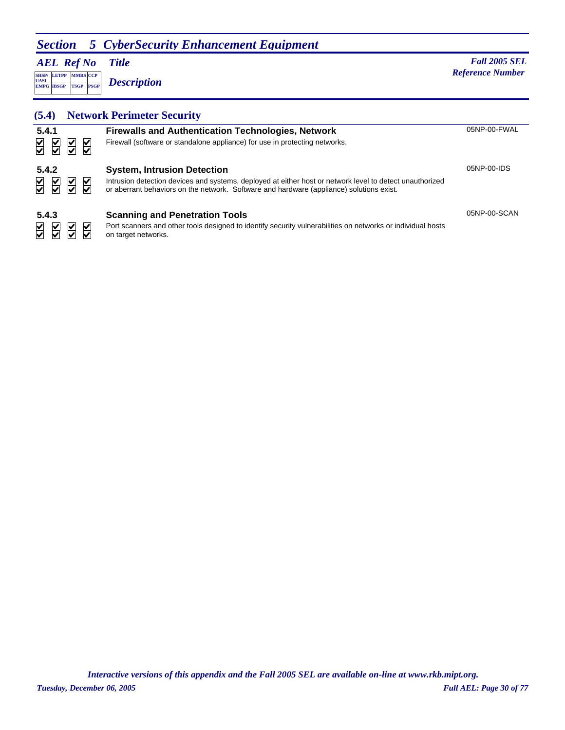## **Section 5 CyberSecurity Enhancement Equipment**

*AEL Ref No*

**SHSP/ UASI LETPP PSGP CCP EMPG IBSGP TSGP** *Description*

*Title Fall 2005 SEL* **MADE** *Reference Number Reference Number Reference Number* 

## **(5.4) Network Perimeter Security**

| 5.4.1<br>$\frac{1}{2}$<br>$\frac{\mathsf{V}}{\mathsf{V}}$<br>$\overline{\leq}$<br>⊻              | <b>Firewalls and Authentication Technologies, Network</b><br>Firewall (software or standalone appliance) for use in protecting networks.                                                                                                   | 05NP-00-FWAL |
|--------------------------------------------------------------------------------------------------|--------------------------------------------------------------------------------------------------------------------------------------------------------------------------------------------------------------------------------------------|--------------|
| 5.4.2<br>$\overline{\leq}$<br>$\frac{1}{2}$<br>$\sum$                                            | <b>System, Intrusion Detection</b><br>Intrusion detection devices and systems, deployed at either host or network level to detect unauthorized<br>or aberrant behaviors on the network. Software and hardware (appliance) solutions exist. | 05NP-00-IDS  |
| 5.4.3<br>$\overline{\underline{\underline{\mathsf{S}}}}$<br>$\frac{\mathsf{V}}{\mathsf{V}}$<br>V | <b>Scanning and Penetration Tools</b><br>Port scanners and other tools designed to identify security vulnerabilities on networks or individual hosts<br>on target networks.                                                                | 05NP-00-SCAN |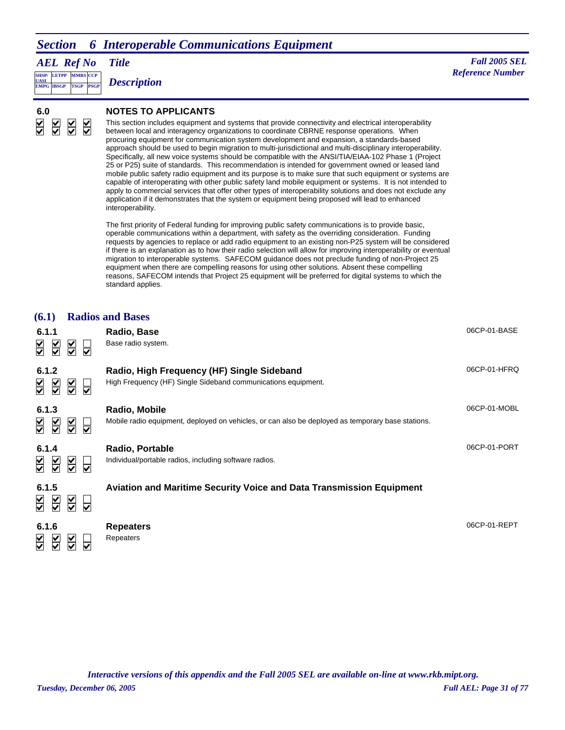## *Section 6 Interoperable Communications Equipment*

| <b>AEL Ref No</b> | <b>Title</b> |
|-------------------|--------------|
|                   |              |

**SHSP/ LETPP EMPG PSGP CCP EMPG IBSGP TSGP** *Description*

*Title Fall 2005 SEL* **MMRS** *Reference Number* 

#### $\overline{\leq}$  $\overline{\underline{\mathsf{S}}}$  $\overline{\mathsf{S}}$  $\sum$

**A A A A** 

#### **6.0 NOTES TO APPLICANTS**

This section includes equipment and systems that provide connectivity and electrical interoperability between local and interagency organizations to coordinate CBRNE response operations. When procuring equipment for communication system development and expansion, a standards-based approach should be used to begin migration to multi-jurisdictional and multi-disciplinary interoperability. Specifically, all new voice systems should be compatible with the ANSI/TIA/EIAA-102 Phase 1 (Project 25 or P25) suite of standards. This recommendation is intended for government owned or leased land mobile public safety radio equipment and its purpose is to make sure that such equipment or systems are capable of interoperating with other public safety land mobile equipment or systems. It is not intended to apply to commercial services that offer other types of interoperability solutions and does not exclude any application if it demonstrates that the system or equipment being proposed will lead to enhanced interoperability.

The first priority of Federal funding for improving public safety communications is to provide basic, operable communications within a department, with safety as the overriding consideration. Funding requests by agencies to replace or add radio equipment to an existing non-P25 system will be considered if there is an explanation as to how their radio selection will allow for improving interoperability or eventual migration to interoperable systems. SAFECOM guidance does not preclude funding of non-Project 25 equipment when there are compelling reasons for using other solutions. Absent these compelling reasons, SAFECOM intends that Project 25 equipment will be preferred for digital systems to which the standard applies.

| (6.1)                                                                                                       |                                                                                    | <b>Radios and Bases</b>                                                                                            |              |
|-------------------------------------------------------------------------------------------------------------|------------------------------------------------------------------------------------|--------------------------------------------------------------------------------------------------------------------|--------------|
| 6.1.1<br>$\overline{\underline{\underline{\mathsf{Y}}}}$<br>$\overline{\underline{\underline{\mathsf{Y}}}}$ | $\sum_{i=1}^{n}$<br>$\overline{\blacktriangledown}$                                | Radio, Base<br>Base radio system.                                                                                  | 06CP-01-BASE |
| 6.1.2<br>$\overline{\le}$<br>$\overline{\underline{\underline{\mathsf{Y}}}}$                                | $\frac{1}{2}$<br>$\overline{\blacktriangledown}$                                   | Radio, High Frequency (HF) Single Sideband<br>High Frequency (HF) Single Sideband communications equipment.        | 06CP-01-HFRQ |
| 6.1.3<br>$\frac{\mathsf{v}}{\mathsf{v}}$<br>$\sum_{i=1}^{n}$                                                | $\overline{\underline{\underline{\mathsf{Y}}}}$<br>⊽                               | Radio, Mobile<br>Mobile radio equipment, deployed on vehicles, or can also be deployed as temporary base stations. | 06CP-01-MOBL |
| 6.1.4<br>$\overline{\leq}$<br>$\leq$                                                                        | $\overline{\underline{\underline{\mathsf{X}}}}$<br>⊽                               | Radio, Portable<br>Individual/portable radios, including software radios.                                          | 06CP-01-PORT |
| 6.1.5<br>$\overline{\underline{\underline{\mathsf{Y}}}}$<br>$\overline{\underline{\underline{\mathsf{Y}}}}$ | $\overline{\underline{\underline{\mathsf{Y}}}}$<br>$\overline{\blacktriangledown}$ | Aviation and Maritime Security Voice and Data Transmission Equipment                                               |              |
| 6.1.6<br>M<br>V                                                                                             | M                                                                                  | <b>Repeaters</b><br>Repeaters                                                                                      | 06CP-01-REPT |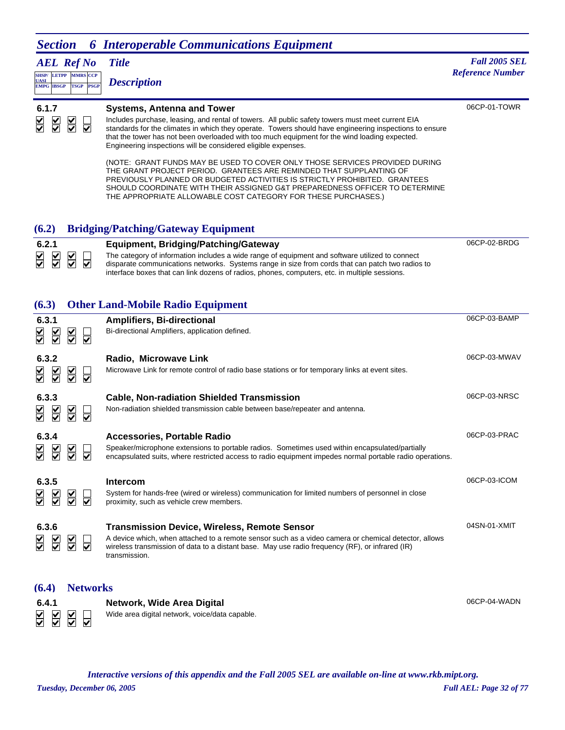#### *Section 6 Interoperable Communications Equipment AEL Ref No Title Fall 2005 SEL* **MMRS** *Reference Number*  **LETPP SHSP/ CCP EMPG IBSGP TSGP** *Description* **UASI PSGP** 06CP-01-TOWR **6.1.7 Systems, Antenna and Tower** Includes purchase, leasing, and rental of towers. All public safety towers must meet current EIA  $\overline{\mathbf{S}}$  $\overline{\blacktriangle}$  $\overline{\textbf{S}}$  $\overline{\overline{\smash{1}}}$

standards for the climates in which they operate. Towers should have engineering inspections to ensure that the tower has not been overloaded with too much equipment for the wind loading expected. Engineering inspections will be considered eligible expenses.

(NOTE: GRANT FUNDS MAY BE USED TO COVER ONLY THOSE SERVICES PROVIDED DURING THE GRANT PROJECT PERIOD. GRANTEES ARE REMINDED THAT SUPPLANTING OF PREVIOUSLY PLANNED OR BUDGETED ACTIVITIES IS STRICTLY PROHIBITED. GRANTEES SHOULD COORDINATE WITH THEIR ASSIGNED G&T PREPAREDNESS OFFICER TO DETERMINE THE APPROPRIATE ALLOWABLE COST CATEGORY FOR THESE PURCHASES.)

## **(6.2) Bridging/Patching/Gateway Equipment**



### **(6.3) Other Land-Mobile Radio Equipment**

| 6.3.1<br>$\overline{\underline{\underline{\underline{\mathsf{Y}}}}}$<br>$\frac{1}{2}$                   | $\overline{\underline{\underline{\mathsf{Y}}}}$<br>⊽                       | <b>Amplifiers, Bi-directional</b><br>Bi-directional Amplifiers, application defined.                                                                                                                                                                                            | 06CP-03-BAMP |
|---------------------------------------------------------------------------------------------------------|----------------------------------------------------------------------------|---------------------------------------------------------------------------------------------------------------------------------------------------------------------------------------------------------------------------------------------------------------------------------|--------------|
| 6.3.2<br>$\overline{\leq}$<br>$\frac{1}{\sqrt{2}}$                                                      | $\overline{\underline{\underline{\mathsf{X}}}}$<br>⊽                       | Radio, Microwave Link<br>Microwave Link for remote control of radio base stations or for temporary links at event sites.                                                                                                                                                        | 06CP-03-MWAV |
| 6.3.3<br>$\overline{\blacktriangledown}$<br>$\breve{\breve{\bm \triangledown}}$                         | $\overline{\underline{\underline{\mathsf{Y}}}}$<br>$\overline{\mathbf{v}}$ | <b>Cable, Non-radiation Shielded Transmission</b><br>Non-radiation shielded transmission cable between base/repeater and antenna.                                                                                                                                               | 06CP-03-NRSC |
| 6.3.4<br>$\overline{\underline{\mathsf{v}}}$<br>₩                                                       | $\overline{\underline{\underline{\mathsf{X}}}}$<br>⊽                       | Accessories, Portable Radio<br>Speaker/microphone extensions to portable radios. Sometimes used within encapsulated/partially<br>encapsulated suits, where restricted access to radio equipment impedes normal portable radio operations.                                       | 06CP-03-PRAC |
| 6.3.5<br>$\frac{1}{\sqrt{2}}$<br>$\sum$                                                                 | $\overline{\underline{\underline{\mathsf{Y}}}}$<br>⊽                       | Intercom<br>System for hands-free (wired or wireless) communication for limited numbers of personnel in close<br>proximity, such as vehicle crew members.                                                                                                                       | 06CP-03-ICOM |
| 6.3.6<br>$\frac{\mathsf{K}}{\mathsf{S}}$<br>$\overline{\underline{\underline{\underline{\mathsf{Y}}}}}$ | $\overline{\underline{\underline{\underline{\mathsf{X}}}}}$<br>⊽           | <b>Transmission Device, Wireless, Remote Sensor</b><br>A device which, when attached to a remote sensor such as a video camera or chemical detector, allows<br>wireless transmission of data to a distant base. May use radio frequency (RF), or infrared (IR)<br>transmission. | 04SN-01-XMIT |
| (6.4)                                                                                                   | <b>Networks</b>                                                            |                                                                                                                                                                                                                                                                                 |              |
| 6.4.1                                                                                                   |                                                                            | Network, Wide Area Digital                                                                                                                                                                                                                                                      | 06CP-04-WADN |

**AN 25**  $\overline{\mathbf{v}}$ 

**6.4.1 Network, Wide Area Digital** Wide area digital network, voice/data capable.

*Tuesday, December 06, 2005 Full AEL: Page 32 of 77 Interactive versions of this appendix and the Fall 2005 SEL are available on-line at www.rkb.mipt.org.*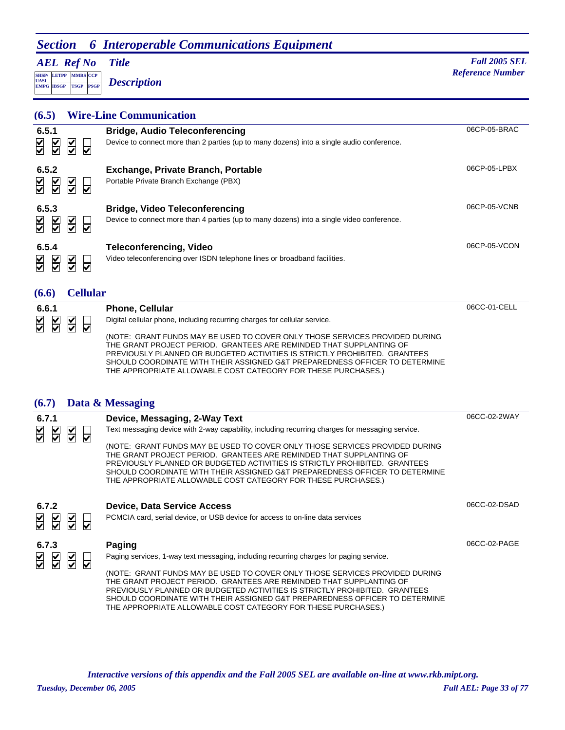## *Section 6 Interoperable Communications Equipment*

*AEL Ref No*

**SHSP/ UASI LETPP PSGP CCP EMPG IBSGP TSGP** *Description*

*Title Fall 2005 SEL* **MARS** *Reference Number <b><i>Reference Number Reference Number* 

# **(6.5) Wire-Line Communication**

| 6.5.1<br>$\overline{\leq}$<br>$\frac{\mathsf{v}}{\mathsf{v}}$<br>⊻<br>V                                                        | <b>Bridge, Audio Teleconferencing</b><br>Device to connect more than 2 parties (up to many dozens) into a single audio conference. | 06CP-05-BRAC |
|--------------------------------------------------------------------------------------------------------------------------------|------------------------------------------------------------------------------------------------------------------------------------|--------------|
| 6.5.2<br>$\frac{\mathsf{v}}{\mathsf{v}}$<br>$\overline{\mathsf{S}}$<br>$\frac{1}{\sqrt{2}}$<br>$\overline{\blacktriangledown}$ | <b>Exchange, Private Branch, Portable</b><br>Portable Private Branch Exchange (PBX)                                                | 06CP-05-LPBX |
| 6.5.3<br>$\frac{1}{2}$<br>$\frac{\checkmark}{\checkmark}$<br>⊻<br>$\overline{\blacktriangledown}$                              | <b>Bridge, Video Teleconferencing</b><br>Device to connect more than 4 parties (up to many dozens) into a single video conference. | 06CP-05-VCNB |
| 6.5.4<br>$\frac{1}{2}$<br>$\frac{V}{\sqrt{2}}$<br>⊻<br>$\overline{\mathbf{v}}$                                                 | <b>Teleconferencing, Video</b><br>Video teleconferencing over ISDN telephone lines or broadband facilities.                        | 06CP-05-VCON |

#### **(6.6) Cellular**

| 6.6.1         | <b>Phone, Cellular</b>                                                                                                                                                                                                                                                                                                                                                           | 06CC-01-CELL |
|---------------|----------------------------------------------------------------------------------------------------------------------------------------------------------------------------------------------------------------------------------------------------------------------------------------------------------------------------------------------------------------------------------|--------------|
| $\frac{2}{3}$ | Digital cellular phone, including recurring charges for cellular service.                                                                                                                                                                                                                                                                                                        |              |
|               | (NOTE: GRANT FUNDS MAY BE USED TO COVER ONLY THOSE SERVICES PROVIDED DURING<br>THE GRANT PROJECT PERIOD. GRANTEES ARE REMINDED THAT SUPPLANTING OF<br>PREVIOUSLY PLANNED OR BUDGETED ACTIVITIES IS STRICTLY PROHIBITED. GRANTEES<br>SHOULD COORDINATE WITH THEIR ASSIGNED G&T PREPAREDNESS OFFICER TO DETERMINE<br>THE APPROPRIATE ALLOWABLE COST CATEGORY FOR THESE PURCHASES.) |              |

### **(6.7) Data & Messaging**

| 6.7.1                                                                                       | Device, Messaging, 2-Way Text                                                                                                                                                                                                                                                                                                                                                    | 06CC-02-2WAY |
|---------------------------------------------------------------------------------------------|----------------------------------------------------------------------------------------------------------------------------------------------------------------------------------------------------------------------------------------------------------------------------------------------------------------------------------------------------------------------------------|--------------|
| $\overline{\underline{\mathsf{S}}}$<br>$\overline{\mathsf{S}}$<br>$\overline{\leq}$<br>⊽    | Text messaging device with 2-way capability, including recurring charges for messaging service.                                                                                                                                                                                                                                                                                  |              |
|                                                                                             | (NOTE: GRANT FUNDS MAY BE USED TO COVER ONLY THOSE SERVICES PROVIDED DURING<br>THE GRANT PROJECT PERIOD. GRANTEES ARE REMINDED THAT SUPPLANTING OF<br>PREVIOUSLY PLANNED OR BUDGETED ACTIVITIES IS STRICTLY PROHIBITED. GRANTEES<br>SHOULD COORDINATE WITH THEIR ASSIGNED G&T PREPAREDNESS OFFICER TO DETERMINE<br>THE APPROPRIATE ALLOWABLE COST CATEGORY FOR THESE PURCHASES.) |              |
| 6.7.2                                                                                       | <b>Device, Data Service Access</b>                                                                                                                                                                                                                                                                                                                                               | 06CC-02-DSAD |
| $\frac{1}{\sqrt{2}}$<br>$\overline{\blacktriangle}$<br>$\frac{\checkmark}{\checkmark}$<br>⊽ | PCMCIA card, serial device, or USB device for access to on-line data services                                                                                                                                                                                                                                                                                                    |              |
| 6.7.3                                                                                       | Paging                                                                                                                                                                                                                                                                                                                                                                           | 06CC-02-PAGE |
| $\frac{1}{2}$<br>$\overline{\leq}$<br>$\frac{1}{2}$<br>⊽                                    | Paging services, 1-way text messaging, including recurring charges for paging service.                                                                                                                                                                                                                                                                                           |              |
|                                                                                             | (NOTE: GRANT FUNDS MAY BE USED TO COVER ONLY THOSE SERVICES PROVIDED DURING                                                                                                                                                                                                                                                                                                      |              |
|                                                                                             | THE GRANT PROJECT PERIOD. GRANTEES ARE REMINDED THAT SUPPLANTING OF<br>PREVIOUSLY PLANNED OR BUDGETED ACTIVITIES IS STRICTLY PROHIBITED. GRANTEES                                                                                                                                                                                                                                |              |
|                                                                                             | SHOULD COORDINATE WITH THEIR ASSIGNED G&T PREPAREDNESS OFFICER TO DETERMINE                                                                                                                                                                                                                                                                                                      |              |
|                                                                                             | THE APPROPRIATE ALLOWABLE COST CATEGORY FOR THESE PURCHASES.)                                                                                                                                                                                                                                                                                                                    |              |

*Tuesday, December 06, 2005 Full AEL: Page 33 of 77 Interactive versions of this appendix and the Fall 2005 SEL are available on-line at www.rkb.mipt.org.*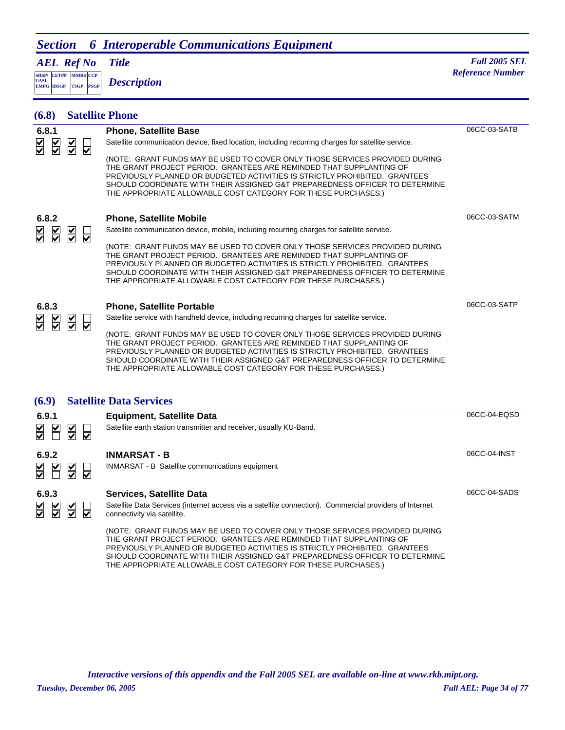## *Section 6 Interoperable Communications Equipment*

*AEL Ref No*

**SHSP/ UASI LETPP PSGP MMRS** CCP **EMPG IBSGP TSGP** *Description*

*Title Fall 2005 SEL* **Reference Number** 

| (6.8)                                                                | <b>Satellite Phone</b>                                         |                                                                                                                                                                                                                                                                                                                                                                                  |              |
|----------------------------------------------------------------------|----------------------------------------------------------------|----------------------------------------------------------------------------------------------------------------------------------------------------------------------------------------------------------------------------------------------------------------------------------------------------------------------------------------------------------------------------------|--------------|
| 6.8.1                                                                |                                                                | <b>Phone, Satellite Base</b>                                                                                                                                                                                                                                                                                                                                                     | 06CC-03-SATB |
| $\frac{\blacktriangledown}{\blacktriangledown}$<br>$\overline{\leq}$ | $\overline{\mathsf{S}}$<br>$\overline{\mathbf{v}}$             | Satellite communication device, fixed location, including recurring charges for satellite service.                                                                                                                                                                                                                                                                               |              |
|                                                                      |                                                                | (NOTE: GRANT FUNDS MAY BE USED TO COVER ONLY THOSE SERVICES PROVIDED DURING<br>THE GRANT PROJECT PERIOD. GRANTEES ARE REMINDED THAT SUPPLANTING OF<br>PREVIOUSLY PLANNED OR BUDGETED ACTIVITIES IS STRICTLY PROHIBITED. GRANTEES<br>SHOULD COORDINATE WITH THEIR ASSIGNED G&T PREPAREDNESS OFFICER TO DETERMINE<br>THE APPROPRIATE ALLOWABLE COST CATEGORY FOR THESE PURCHASES.) |              |
| 6.8.2                                                                |                                                                | <b>Phone, Satellite Mobile</b>                                                                                                                                                                                                                                                                                                                                                   | 06CC-03-SATM |
| $\overline{\leq}$<br>⋚                                               | $\overline{\underline{\mathsf{S}}}$<br>$\overline{\mathbf{v}}$ | Satellite communication device, mobile, including recurring charges for satellite service.                                                                                                                                                                                                                                                                                       |              |
|                                                                      |                                                                | (NOTE: GRANT FUNDS MAY BE USED TO COVER ONLY THOSE SERVICES PROVIDED DURING<br>THE GRANT PROJECT PERIOD. GRANTEES ARE REMINDED THAT SUPPLANTING OF<br>PREVIOUSLY PLANNED OR BUDGETED ACTIVITIES IS STRICTLY PROHIBITED. GRANTEES<br>SHOULD COORDINATE WITH THEIR ASSIGNED G&T PREPAREDNESS OFFICER TO DETERMINE<br>THE APPROPRIATE ALLOWABLE COST CATEGORY FOR THESE PURCHASES.) |              |
| 6.8.3                                                                |                                                                | <b>Phone, Satellite Portable</b>                                                                                                                                                                                                                                                                                                                                                 | 06CC-03-SATP |
| ४<br>$\frac{1}{2}$                                                   | $\overline{\underline{\mathsf{S}}}$<br>ы                       | Satellite service with handheld device, including recurring charges for satellite service.                                                                                                                                                                                                                                                                                       |              |
|                                                                      |                                                                | (NOTE: GRANT FUNDS MAY BE USED TO COVER ONLY THOSE SERVICES PROVIDED DURING<br>THE GRANT PROJECT PERIOD. GRANTEES ARE REMINDED THAT SUPPLANTING OF<br>PREVIOUSLY PLANNED OR BUDGETED ACTIVITIES IS STRICTLY PROHIBITED. GRANTEES<br>SHOULD COORDINATE WITH THEIR ASSIGNED G&T PREPAREDNESS OFFICER TO DETERMINE<br>THE APPROPRIATE ALLOWABLE COST CATEGORY FOR THESE PURCHASES.) |              |
| (6.9)                                                                |                                                                | <b>Satellite Data Services</b>                                                                                                                                                                                                                                                                                                                                                   |              |
| 6.9.1                                                                |                                                                | <b>Equipment, Satellite Data</b>                                                                                                                                                                                                                                                                                                                                                 | 06CC-04-EQSD |
| $\blacktriangleright$<br>₩                                           | $\overline{\leq}$<br>∀                                         | Satellite earth station transmitter and receiver, usually KU-Band.                                                                                                                                                                                                                                                                                                               |              |
| 6.9.2                                                                |                                                                | <b>INMARSAT - B</b>                                                                                                                                                                                                                                                                                                                                                              | 06CC-04-INST |
| $\frac{1}{\sqrt{2}}$<br>$\blacktriangleright$                        | $\overline{\leq}$<br>⊽                                         | INMARSAT - B Satellite communications equipment                                                                                                                                                                                                                                                                                                                                  |              |

#### **6.9.3 Services, Satellite Data**

Satellite Data Services (internet access via a satellite connection). Commercial providers of Internet connectivity via satellite.

(NOTE: GRANT FUNDS MAY BE USED TO COVER ONLY THOSE SERVICES PROVIDED DURING THE GRANT PROJECT PERIOD. GRANTEES ARE REMINDED THAT SUPPLANTING OF PREVIOUSLY PLANNED OR BUDGETED ACTIVITIES IS STRICTLY PROHIBITED. GRANTEES SHOULD COORDINATE WITH THEIR ASSIGNED G&T PREPAREDNESS OFFICER TO DETERMINE THE APPROPRIATE ALLOWABLE COST CATEGORY FOR THESE PURCHASES.)

*Interactive versions of this appendix and the Fall 2005 SEL are available on-line at www.rkb.mipt.org.*

06CC-04-SADS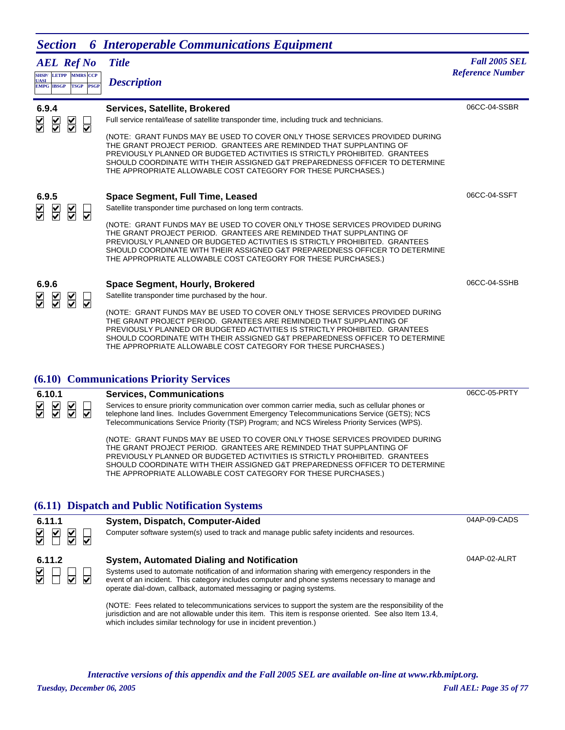| <b>Section</b>                                                                                              | <b>6</b> Interoperable Communications Equipment                                                                                                                                                                                                                                                                                                                                                                                                                                                                |                                                 |
|-------------------------------------------------------------------------------------------------------------|----------------------------------------------------------------------------------------------------------------------------------------------------------------------------------------------------------------------------------------------------------------------------------------------------------------------------------------------------------------------------------------------------------------------------------------------------------------------------------------------------------------|-------------------------------------------------|
| <b>AEL Ref No</b><br>SHSP/ LETPP MMRS CCP<br><b>UASI</b><br><b>PSGP</b><br><b>EMPG IBSGP</b><br><b>TSGP</b> | <b>Title</b><br><b>Description</b>                                                                                                                                                                                                                                                                                                                                                                                                                                                                             | <b>Fall 2005 SEL</b><br><b>Reference Number</b> |
| 6.9.4<br>$\overline{\leq}$<br>$\overline{\leq}$<br>$\overline{\underline{\mathsf{v}}}$<br>⊽                 | Services, Satellite, Brokered<br>Full service rental/lease of satellite transponder time, including truck and technicians.<br>(NOTE: GRANT FUNDS MAY BE USED TO COVER ONLY THOSE SERVICES PROVIDED DURING<br>THE GRANT PROJECT PERIOD. GRANTEES ARE REMINDED THAT SUPPLANTING OF<br>PREVIOUSLY PLANNED OR BUDGETED ACTIVITIES IS STRICTLY PROHIBITED. GRANTEES<br>SHOULD COORDINATE WITH THEIR ASSIGNED G&T PREPAREDNESS OFFICER TO DETERMINE<br>THE APPROPRIATE ALLOWABLE COST CATEGORY FOR THESE PURCHASES.) | 06CC-04-SSBR                                    |
| 6.9.5<br>$\sum$<br>$\overline{\leq}$<br>$\overline{\le}$<br>⊽                                               | <b>Space Segment, Full Time, Leased</b><br>Satellite transponder time purchased on long term contracts.<br>(NOTE: GRANT FUNDS MAY BE USED TO COVER ONLY THOSE SERVICES PROVIDED DURING<br>THE GRANT PROJECT PERIOD. GRANTEES ARE REMINDED THAT SUPPLANTING OF<br>PREVIOUSLY PLANNED OR BUDGETED ACTIVITIES IS STRICTLY PROHIBITED. GRANTEES<br>SHOULD COORDINATE WITH THEIR ASSIGNED G&T PREPAREDNESS OFFICER TO DETERMINE<br>THE APPROPRIATE ALLOWABLE COST CATEGORY FOR THESE PURCHASES.)                    | 06CC-04-SSFT                                    |
| 6.9.6<br>$\frac{1}{\sqrt{2}}$<br>$\sum_{i=1}^{n}$<br>$\frac{\mathsf{V}}{\mathsf{V}}$<br>⊽                   | <b>Space Segment, Hourly, Brokered</b><br>Satellite transponder time purchased by the hour.<br>(NOTE: GRANT FUNDS MAY BE USED TO COVER ONLY THOSE SERVICES PROVIDED DURING<br>$\mathcal{F}$ DDA IFAT BEBIAD. ADANTEEA ADE BEMINDED TUAT AUDDLANTIN                                                                                                                                                                                                                                                             | 06CC-04-SSHB                                    |

THE GRANT PROJECT PERIOD. GRANTEES ARE REMINDED THAT SUPPLANTING OF PREVIOUSLY PLANNED OR BUDGETED ACTIVITIES IS STRICTLY PROHIBITED. GRANTEES SHOULD COORDINATE WITH THEIR ASSIGNED G&T PREPAREDNESS OFFICER TO DETERMINE THE APPROPRIATE ALLOWABLE COST CATEGORY FOR THESE PURCHASES.)

#### **(6.10) Communications Priority Services**

**6.10.1 Services, Communications** Services to ensure priority communication over common carrier media, such as cellular phones or telephone land lines. Includes Government Emergency Telecommunications Service (GETS); NCS Telecommunications Service Priority (TSP) Program; and NCS Wireless Priority Services (WPS).

> (NOTE: GRANT FUNDS MAY BE USED TO COVER ONLY THOSE SERVICES PROVIDED DURING THE GRANT PROJECT PERIOD. GRANTEES ARE REMINDED THAT SUPPLANTING OF PREVIOUSLY PLANNED OR BUDGETED ACTIVITIES IS STRICTLY PROHIBITED. GRANTEES SHOULD COORDINATE WITH THEIR ASSIGNED G&T PREPAREDNESS OFFICER TO DETERMINE THE APPROPRIATE ALLOWABLE COST CATEGORY FOR THESE PURCHASES.)

06CC-05-PRTY

#### **(6.11) Dispatch and Public Notification Systems**

| 6.11.1                                                 | System, Dispatch, Computer-Aided                                                                                                                                                                                                                                                                                                                                                                                                    | 04AP-09-CADS |
|--------------------------------------------------------|-------------------------------------------------------------------------------------------------------------------------------------------------------------------------------------------------------------------------------------------------------------------------------------------------------------------------------------------------------------------------------------------------------------------------------------|--------------|
| $\frac{1}{2}$ $\frac{1}{2}$<br>$\overline{\mathsf{S}}$ | Computer software system(s) used to track and manage public safety incidents and resources.                                                                                                                                                                                                                                                                                                                                         |              |
| 6.11.2<br>$\overline{\mathsf{S}}$                      | System, Automated Dialing and Notification<br>Systems used to automate notification of and information sharing with emergency responders in the<br>event of an incident. This category includes computer and phone systems necessary to manage and<br>operate dial-down, callback, automated messaging or paging systems.<br>(NOTE: Fees related to telecommunications services to support the system are the responsibility of the | 04AP-02-ALRT |

jurisdiction and are not allowable under this item. This item is response oriented. See also Item 13.4, which includes similar technology for use in incident prevention.)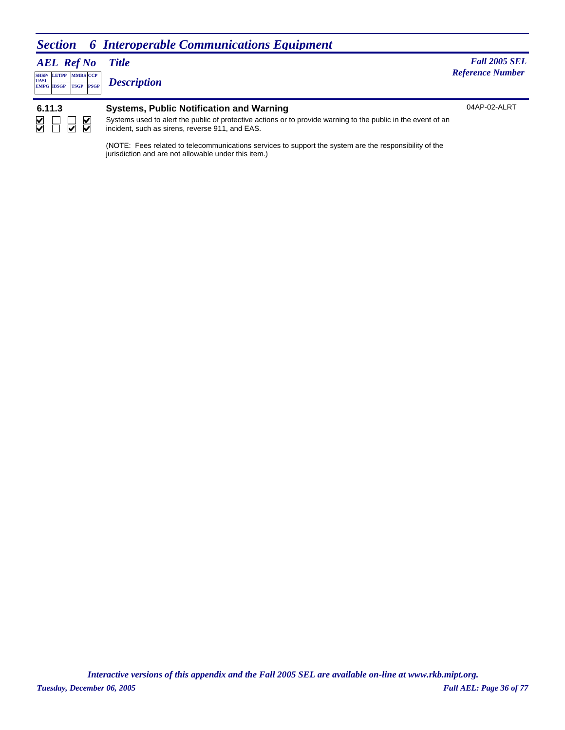### *Section 6 Interoperable Communications Equipment*

#### *AEL Ref No* **SHSP/ UASI LETPP MMRS** CCP

**PSGP EMPG IBSGP TSGP** *Description*

*Title Fall 2005 SEL* **Reference Number** 

04AP-02-ALRT **6.11.3 Systems, Public Notification and Warning**  $\overline{\blacktriangle}$  $\Box$  $\overline{\overline{\smash{6}}}$  $\overline{\leq}$ Systems used to alert the public of protective actions or to provide warning to the public in the event of an incident, such as sirens, reverse 911, and EAS.

> (NOTE: Fees related to telecommunications services to support the system are the responsibility of the jurisdiction and are not allowable under this item.)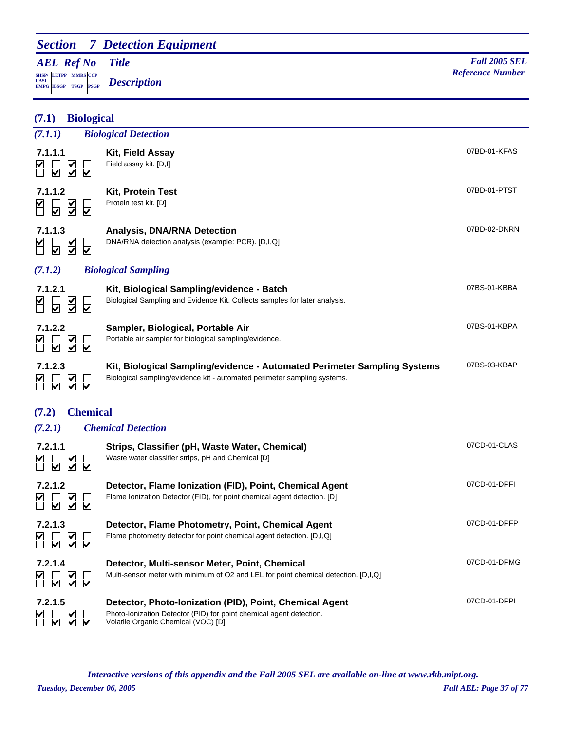# *Section 7 Detection Equipment*

### *AEL Ref No*

**SHSP/ UASI LETPP PSGP CCP EMPG IBSGP TSGP** *Description*

| <b>Biological</b><br>(7.1)                                                                 |                                                                                                                                                      |              |
|--------------------------------------------------------------------------------------------|------------------------------------------------------------------------------------------------------------------------------------------------------|--------------|
| (7.1.1)                                                                                    | <b>Biological Detection</b>                                                                                                                          |              |
| 7.1.1.1<br>$\frac{1}{2}$<br>⊽<br>$\overline{\blacktriangledown}$                           | Kit, Field Assay<br>Field assay kit. [D,I]                                                                                                           | 07BD-01-KFAS |
| 7.1.1.2<br>$\overline{\underline{\mathsf{S}}}$<br>⊽                                        | Kit, Protein Test<br>Protein test kit. [D]                                                                                                           | 07BD-01-PTST |
| 7.1.1.3<br>$\overline{\leq}$<br>$\overline{\blacktriangledown}$<br>⊽                       | <b>Analysis, DNA/RNA Detection</b><br>DNA/RNA detection analysis (example: PCR). [D,I,Q]                                                             | 07BD-02-DNRN |
| (7.1.2)                                                                                    | <b>Biological Sampling</b>                                                                                                                           |              |
| 7.1.2.1<br>$\frac{1}{2}$<br>⊽                                                              | Kit, Biological Sampling/evidence - Batch<br>Biological Sampling and Evidence Kit. Collects samples for later analysis.                              | 07BS-01-KBBA |
| 7.1.2.2<br>$\overline{\leq}$<br>⊽<br>⊽                                                     | Sampler, Biological, Portable Air<br>Portable air sampler for biological sampling/evidence.                                                          | 07BS-01-KBPA |
| 7.1.2.3<br>$\overline{\underline{\underline{\mathsf{Y}}}}$<br>$\overline{\mathbf{v}}$<br>☑ | Kit, Biological Sampling/evidence - Automated Perimeter Sampling Systems<br>Biological sampling/evidence kit - automated perimeter sampling systems. | 07BS-03-KBAP |
| <b>Chemical</b><br>(7.2)                                                                   |                                                                                                                                                      |              |
| (7.2.1)                                                                                    | <b>Chemical Detection</b>                                                                                                                            |              |
| 7.2.1.1<br>$\frac{1}{2}$<br>⊽                                                              | Strips, Classifier (pH, Waste Water, Chemical)<br>Waste water classifier strips, pH and Chemical [D]                                                 | 07CD-01-CLAS |
| 7.2.1.2<br>⊽                                                                               | Detector, Flame Ionization (FID), Point, Chemical Agent<br>Flame Ionization Detector (FID), for point chemical agent detection. [D]                  | 07CD-01-DPFI |
| 7.2.1.3<br>$\frac{1}{\sqrt{2}}$<br>$\overline{\blacktriangledown}$<br>⊽                    | Detector, Flame Photometry, Point, Chemical Agent<br>Flame photometry detector for point chemical agent detection. [D,I,Q]                           | 07CD-01-DPFP |

| 7.2.1.4<br>N N N N       | Detector, Multi-sensor Meter, Point, Chemical<br>Multi-sensor meter with minimum of O2 and LEL for point chemical detection. [D, I, Q]                                | 07CD-01-DPMG |
|--------------------------|-----------------------------------------------------------------------------------------------------------------------------------------------------------------------|--------------|
| 7.2.1.5<br><b>KU A A</b> | Detector, Photo-Ionization (PID), Point, Chemical Agent<br>Photo-Ionization Detector (PID) for point chemical agent detection.<br>Volatile Organic Chemical (VOC) [D] | 07CD-01-DPPI |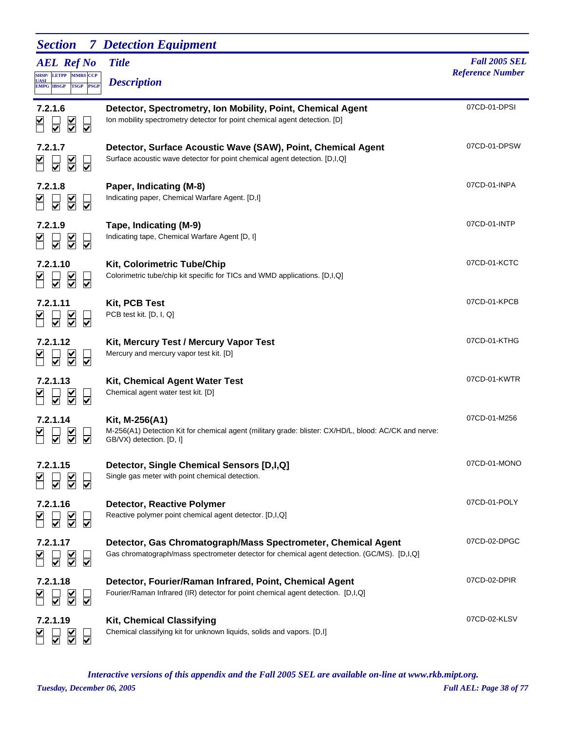| <b>Section</b>                                                              | <b>7</b> Detection Equipment                                                                                                                                 |                                                 |
|-----------------------------------------------------------------------------|--------------------------------------------------------------------------------------------------------------------------------------------------------------|-------------------------------------------------|
| <b>AEL Ref No</b><br>SHSP/ LETPP MMRS CCP<br><b>UASI</b>                    | <b>Title</b><br><b>Description</b>                                                                                                                           | <b>Fall 2005 SEL</b><br><b>Reference Number</b> |
| <b>EMPG IBSGP</b><br><b>TSGP</b><br><b>PSGP</b>                             |                                                                                                                                                              |                                                 |
| 7.2.1.6<br>$\overline{\underline{\underline{\mathsf{X}}}}$<br>☑             | Detector, Spectrometry, Ion Mobility, Point, Chemical Agent<br>Ion mobility spectrometry detector for point chemical agent detection. [D]                    | 07CD-01-DPSI                                    |
| 7.2.1.7<br>$\overline{\underline{\underline{\mathsf{Y}}}}$<br>⊽             | Detector, Surface Acoustic Wave (SAW), Point, Chemical Agent<br>Surface acoustic wave detector for point chemical agent detection. [D,I,Q]                   | 07CD-01-DPSW                                    |
| 7.2.1.8<br>$\sum_{i=1}^{n}$<br>☑                                            | Paper, Indicating (M-8)<br>Indicating paper, Chemical Warfare Agent. [D,I]                                                                                   | 07CD-01-INPA                                    |
| 7.2.1.9<br>$\overline{\underline{\underline{\underline{\mathsf{Y}}}}}$<br>⊽ | Tape, Indicating (M-9)<br>Indicating tape, Chemical Warfare Agent [D, I]                                                                                     | 07CD-01-INTP                                    |
| 7.2.1.10<br>$\overline{\underline{\underline{\mathsf{S}}}}$<br>⊽            | <b>Kit, Colorimetric Tube/Chip</b><br>Colorimetric tube/chip kit specific for TICs and WMD applications. [D,I,Q]                                             | 07CD-01-KCTC                                    |
| 7.2.1.11<br>$\frac{1}{2}$<br>$\overline{\blacktriangledown}$                | Kit, PCB Test<br>PCB test kit. [D, I, Q]                                                                                                                     | 07CD-01-KPCB                                    |
| 7.2.1.12<br>$\overline{\mathsf{S}}$<br>⊽                                    | Kit, Mercury Test / Mercury Vapor Test<br>Mercury and mercury vapor test kit. [D]                                                                            | 07CD-01-KTHG                                    |
| 7.2.1.13<br>$\overline{\blacktriangledown}$                                 | <b>Kit, Chemical Agent Water Test</b><br>Chemical agent water test kit. [D]                                                                                  | 07CD-01-KWTR                                    |
| 7.2.1.14<br>⊽                                                               | Kit, M-256(A1)<br>M-256(A1) Detection Kit for chemical agent (military grade: blister: CX/HD/L, blood: AC/CK and nerve:<br>GB/VX) detection. [D, I]          | 07CD-01-M256                                    |
| 7.2.1.15                                                                    | Detector, Single Chemical Sensors [D,I,Q]<br>Single gas meter with point chemical detection.                                                                 | 07CD-01-MONO                                    |
| 7.2.1.16<br>$\sum$<br>⊽                                                     | <b>Detector, Reactive Polymer</b><br>Reactive polymer point chemical agent detector. [D,I,Q]                                                                 | 07CD-01-POLY                                    |
| 7.2.1.17<br>$\overline{\underline{\mathsf{S}}}$<br>☑                        | Detector, Gas Chromatograph/Mass Spectrometer, Chemical Agent<br>Gas chromatograph/mass spectrometer detector for chemical agent detection. (GC/MS). [D,I,Q] | 07CD-02-DPGC                                    |
| 7.2.1.18<br>⊽                                                               | Detector, Fourier/Raman Infrared, Point, Chemical Agent<br>Fourier/Raman Infrared (IR) detector for point chemical agent detection. [D,I,Q]                  | 07CD-02-DPIR                                    |
| 7.2.1.19                                                                    | <b>Kit, Chemical Classifying</b><br>Chemical classifying kit for unknown liquids, solids and vapors. [D,I]                                                   | 07CD-02-KLSV                                    |

*Tuesday, December 06, 2005 Full AEL: Page 38 of 77 Interactive versions of this appendix and the Fall 2005 SEL are available on-line at www.rkb.mipt.org.*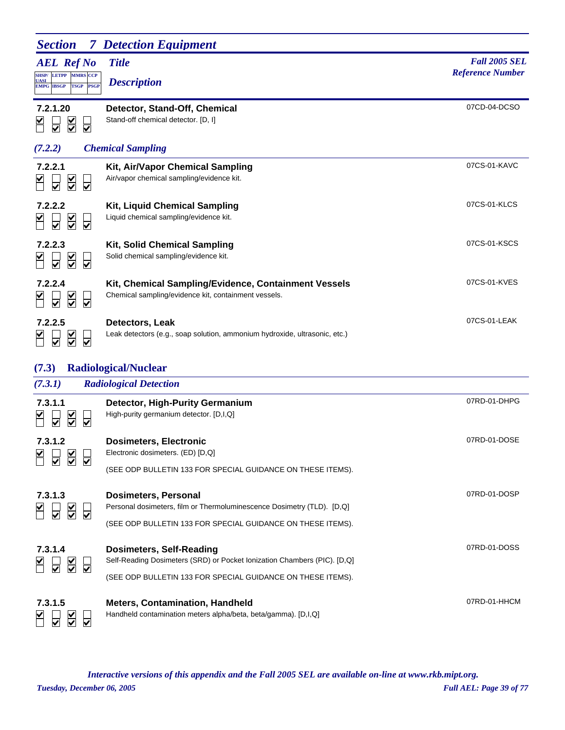| <b>Section</b>                                                                                                                         | <b>7</b> Detection Equipment                                                                                 |                                                 |
|----------------------------------------------------------------------------------------------------------------------------------------|--------------------------------------------------------------------------------------------------------------|-------------------------------------------------|
| <b>AEL Ref No</b><br><b>LETPP</b><br><b>MMRS</b> CCP<br><b>SHSP/</b><br><u>UASI</u><br><b>PSGP</b><br><b>EMPG IBSGP</b><br><b>TSGP</b> | <b>Title</b><br><b>Description</b>                                                                           | <b>Fall 2005 SEL</b><br><b>Reference Number</b> |
| 7.2.1.20<br>$\overline{\underline{\underline{\mathsf{N}}}}$<br>$\overline{\bm{\triangledown}}$<br>$\overline{\blacktriangledown}$      | Detector, Stand-Off, Chemical<br>Stand-off chemical detector. [D, I]                                         | 07CD-04-DCSO                                    |
| (7.2.2)                                                                                                                                | <b>Chemical Sampling</b>                                                                                     |                                                 |
| 7.2.2.1<br>$\frac{\blacktriangledown}{\blacktriangledown}$<br>$\overline{\blacktriangledown}$                                          | Kit, Air/Vapor Chemical Sampling<br>Air/vapor chemical sampling/evidence kit.                                | 07CS-01-KAVC                                    |
| 7.2.2.2<br>$\frac{1}{2}$<br>⊽                                                                                                          | <b>Kit, Liquid Chemical Sampling</b><br>Liquid chemical sampling/evidence kit.                               | 07CS-01-KLCS                                    |
| 7.2.2.3<br>$\overline{\underline{\underline{\underline{\mathsf{Y}}}}}$<br>$\overline{\mathsf{v}}$                                      | <b>Kit, Solid Chemical Sampling</b><br>Solid chemical sampling/evidence kit.                                 | 07CS-01-KSCS                                    |
| 7.2.2.4<br>$\overline{\underline{\underline{\mathsf{Y}}}}$<br>⊽                                                                        | Kit, Chemical Sampling/Evidence, Containment Vessels<br>Chemical sampling/evidence kit, containment vessels. | 07CS-01-KVES                                    |
| 7.2.2.5<br>$\leq$<br>$\overline{\blacktriangledown}$<br>$\overline{\mathbf{v}}$                                                        | Detectors, Leak<br>Leak detectors (e.g., soap solution, ammonium hydroxide, ultrasonic, etc.)                | 07CS-01-LEAK                                    |
| (7.3)                                                                                                                                  | <b>Radiological/Nuclear</b>                                                                                  |                                                 |
| (7.3.1)                                                                                                                                | <b>Radiological Detection</b>                                                                                |                                                 |
| 7.3.1.1<br>$\overline{\underline{\underline{\mathsf{X}}}}$<br>☑                                                                        | <b>Detector, High-Purity Germanium</b><br>High-purity germanium detector. [D,I,Q]                            | 07RD-01-DHPG                                    |
| 7.3.1.2<br>$\overline{\underline{\underline{\mathsf{Y}}}}$                                                                             | <b>Dosimeters, Electronic</b><br>Electronic dosimeters. (ED) [D,Q]                                           | 07RD-01-DOSE                                    |
|                                                                                                                                        | (SEE ODP BULLETIN 133 FOR SPECIAL GUIDANCE ON THESE ITEMS).                                                  |                                                 |
| 7.3.1.3<br>$\overline{\underline{\mathsf{S}}}$<br>⊽<br>⊽                                                                               | <b>Dosimeters, Personal</b><br>Personal dosimeters, film or Thermoluminescence Dosimetry (TLD). [D,Q]        | 07RD-01-DOSP                                    |
|                                                                                                                                        | (SEE ODP BULLETIN 133 FOR SPECIAL GUIDANCE ON THESE ITEMS).                                                  |                                                 |
| 7.3.1.4<br>$\sum$<br>$\overline{\mathbf{v}}$<br>$\overline{\bm{\vee}}$                                                                 | <b>Dosimeters, Self-Reading</b><br>Self-Reading Dosimeters (SRD) or Pocket Ionization Chambers (PIC). [D,Q]  | 07RD-01-DOSS                                    |
|                                                                                                                                        | (SEE ODP BULLETIN 133 FOR SPECIAL GUIDANCE ON THESE ITEMS).                                                  |                                                 |
| 7.3.1.5                                                                                                                                | <b>Meters, Contamination, Handheld</b><br>Handheld contamination meters alpha/beta, beta/gamma). [D,I,Q]     | 07RD-01-HHCM                                    |

*Tuesday, December 06, 2005 Full AEL: Page 39 of 77 Interactive versions of this appendix and the Fall 2005 SEL are available on-line at www.rkb.mipt.org.*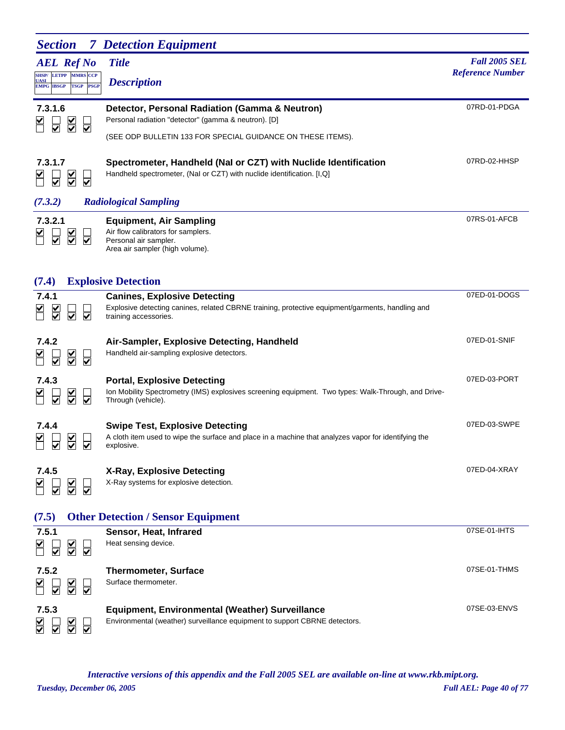| <b>Section</b>                                                                         | <b>7</b> Detection Equipment                                                                                                                                     |                         |
|----------------------------------------------------------------------------------------|------------------------------------------------------------------------------------------------------------------------------------------------------------------|-------------------------|
| <b>AEL Ref No</b>                                                                      | <b>Title</b>                                                                                                                                                     | <b>Fall 2005 SEL</b>    |
| SHSP/ LETPP MMRS CCP<br><b>UASI</b><br><b>PSGP</b><br><b>EMPG IBSGP</b><br><b>TSGP</b> | <b>Description</b>                                                                                                                                               | <b>Reference Number</b> |
| 7.3.1.6<br>$\overline{\underline{\underline{\mathsf{X}}}}$<br>⊽                        | Detector, Personal Radiation (Gamma & Neutron)<br>Personal radiation "detector" (gamma & neutron). [D]                                                           | 07RD-01-PDGA            |
| ☑                                                                                      | (SEE ODP BULLETIN 133 FOR SPECIAL GUIDANCE ON THESE ITEMS).                                                                                                      |                         |
| 7.3.1.7<br>$\overline{\mathsf{v}}$                                                     | Spectrometer, Handheld (Nal or CZT) with Nuclide Identification<br>Handheld spectrometer, (Nal or CZT) with nuclide identification. [I,Q]                        | 07RD-02-HHSP            |
| (7.3.2)                                                                                | <b>Radiological Sampling</b>                                                                                                                                     |                         |
| 7.3.2.1<br>$\overline{\underline{\mathsf{S}}}$<br>⊽<br>⊽                               | <b>Equipment, Air Sampling</b><br>Air flow calibrators for samplers.<br>Personal air sampler.<br>Area air sampler (high volume).                                 | 07RS-01-AFCB            |
| (7.4)                                                                                  | <b>Explosive Detection</b>                                                                                                                                       |                         |
| 7.4.1<br>$\sum_{i=1}^{n}$<br>$\overline{\mathbf{v}}$<br>$\overline{\mathsf{v}}$        | <b>Canines, Explosive Detecting</b><br>Explosive detecting canines, related CBRNE training, protective equipment/garments, handling and<br>training accessories. | 07ED-01-DOGS            |
| 7.4.2<br>$\sum_{i=1}^{n}$<br>⊽<br>⊽                                                    | Air-Sampler, Explosive Detecting, Handheld<br>Handheld air-sampling explosive detectors.                                                                         | 07ED-01-SNIF            |
| 7.4.3<br>$\overline{\leq}$<br>⊽<br>⊽                                                   | <b>Portal, Explosive Detecting</b><br>Ion Mobility Spectrometry (IMS) explosives screening equipment. Two types: Walk-Through, and Drive-<br>Through (vehicle).  | 07ED-03-PORT            |
| 7.4.4                                                                                  | <b>Swipe Test, Explosive Detecting</b><br>A cloth item used to wipe the surface and place in a machine that analyzes vapor for identifying the<br>explosive.     | 07ED-03-SWPE            |
| 7.4.5<br>$\sum$<br>⊽                                                                   | X-Ray, Explosive Detecting<br>X-Ray systems for explosive detection.                                                                                             | 07ED-04-XRAY            |
| (7.5)                                                                                  | <b>Other Detection / Sensor Equipment</b>                                                                                                                        |                         |
| 7.5.1<br>$\overline{\underline{\underline{\mathsf{Y}}}}$                               | Sensor, Heat, Infrared<br>Heat sensing device.                                                                                                                   | 07SE-01-IHTS            |
| 7.5.2<br>$\frac{\mathsf{K}}{\mathsf{S}}$<br>⊽                                          | <b>Thermometer, Surface</b><br>Surface thermometer.                                                                                                              | 07SE-01-THMS            |
| 7.5.3                                                                                  | <b>Equipment, Environmental (Weather) Surveillance</b><br>Environmental (weather) surveillance equipment to support CBRNE detectors.                             | 07SE-03-ENVS            |

*Tuesday, December 06, 2005 Full AEL: Page 40 of 77 Interactive versions of this appendix and the Fall 2005 SEL are available on-line at www.rkb.mipt.org.*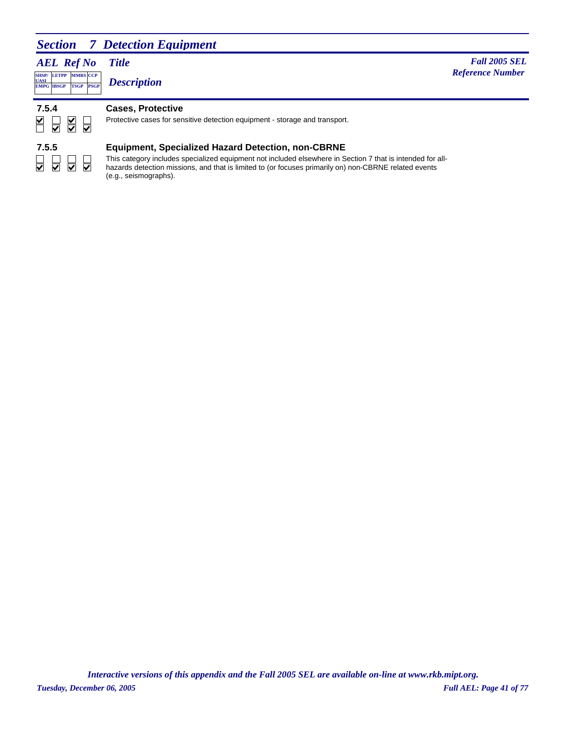### *Section 7 Detection Equipment*

*AEL Ref No*

**PSGP CCP EMPG IBSGP TSGP** *Description*

*Title Fall 2005 SEL* **MARS** *Reference Number <b><i>Reference Number Reference Number Reference Number* 

#### **7.5.4 Cases, Protective**



**SHSP/ UASI LETPP**

#### Protective cases for sensitive detection equipment - storage and transport.

# $\begin{array}{c} \hline \rule{0pt}{2.5pt} \rule{0pt}{2.5pt} \rule{0pt}{2.5pt} \rule{0pt}{2.5pt} \rule{0pt}{2.5pt} \rule{0pt}{2.5pt} \rule{0pt}{2.5pt} \rule{0pt}{2.5pt} \rule{0pt}{2.5pt} \rule{0pt}{2.5pt} \rule{0pt}{2.5pt} \rule{0pt}{2.5pt} \rule{0pt}{2.5pt} \rule{0pt}{2.5pt} \rule{0pt}{2.5pt} \rule{0pt}{2.5pt} \rule{0pt}{2.5pt} \rule{0pt}{2.5pt} \rule{0pt}{2.5pt} \$

#### **7.5.5 Equipment, Specialized Hazard Detection, non-CBRNE**

This category includes specialized equipment not included elsewhere in Section 7 that is intended for allhazards detection missions, and that is limited to (or focuses primarily on) non-CBRNE related events (e.g., seismographs).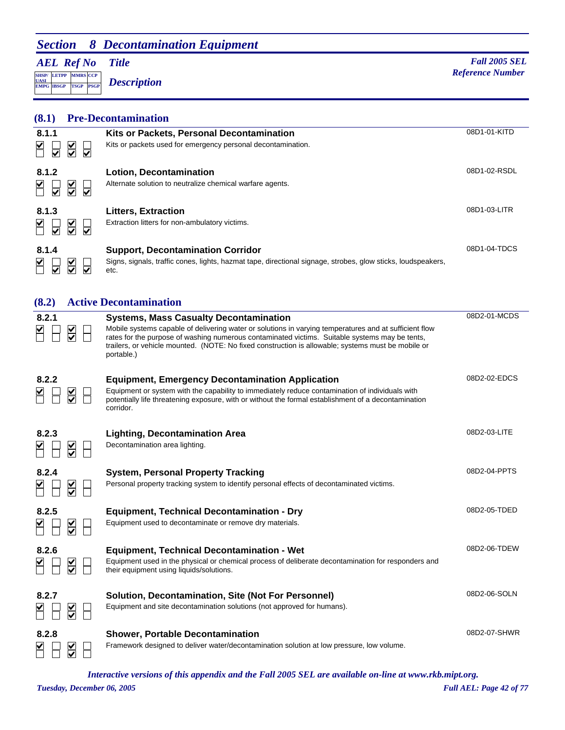# *Section 8 Decontamination Equipment*

*AEL Ref No*

**SHSP/ UASI LETPP PSGP CCP EMPG IBSGP TSGP** *Description*

*Title Fall 2005 SEL* **MADE** *Reference Number Reference Number Reference Number* 

# **(8.1) Pre-Decontamination**

| 8.1.1<br>$\overline{\le}$<br>$\overline{\blacktriangledown}$<br>⊽            | Kits or Packets, Personal Decontamination<br>Kits or packets used for emergency personal decontamination.                                                        | 08D1-01-KITD |
|------------------------------------------------------------------------------|------------------------------------------------------------------------------------------------------------------------------------------------------------------|--------------|
| 8.1.2<br>$\frac{1}{2}$<br>$\overline{\mathbf{v}}$<br>$\overline{\mathbf{v}}$ | <b>Lotion, Decontamination</b><br>Alternate solution to neutralize chemical warfare agents.                                                                      | 08D1-02-RSDL |
| 8.1.3<br>$\frac{1}{2}$<br>V<br>M                                             | <b>Litters, Extraction</b><br>Extraction litters for non-ambulatory victims.                                                                                     | 08D1-03-LITR |
| 8.1.4<br>$\frac{\checkmark}{\checkmark}$<br>V                                | <b>Support, Decontamination Corridor</b><br>Signs, signals, traffic cones, lights, hazmat tape, directional signage, strobes, glow sticks, loudspeakers,<br>etc. | 08D1-04-TDCS |

#### **(8.2) Active Decontamination**

| 8.2.1                                                | <b>Systems, Mass Casualty Decontamination</b><br>Mobile systems capable of delivering water or solutions in varying temperatures and at sufficient flow<br>rates for the purpose of washing numerous contaminated victims. Suitable systems may be tents,<br>trailers, or vehicle mounted. (NOTE: No fixed construction is allowable; systems must be mobile or<br>portable.) | 08D2-01-MCDS |
|------------------------------------------------------|-------------------------------------------------------------------------------------------------------------------------------------------------------------------------------------------------------------------------------------------------------------------------------------------------------------------------------------------------------------------------------|--------------|
| 8.2.2<br>$\frac{\blacktriangle}{\blacktriangledown}$ | <b>Equipment, Emergency Decontamination Application</b><br>Equipment or system with the capability to immediately reduce contamination of individuals with<br>potentially life threatening exposure, with or without the formal establishment of a decontamination<br>corridor.                                                                                               | 08D2-02-EDCS |
| 8.2.3<br>$\frac{1}{2}$                               | <b>Lighting, Decontamination Area</b><br>Decontamination area lighting.                                                                                                                                                                                                                                                                                                       | 08D2-03-LITE |
| 8.2.4<br>$\frac{\checkmark}{\checkmark}$             | <b>System, Personal Property Tracking</b><br>Personal property tracking system to identify personal effects of decontaminated victims.                                                                                                                                                                                                                                        | 08D2-04-PPTS |
| 8.2.5<br>$\frac{\mathsf{v}}{\mathsf{v}}$             | <b>Equipment, Technical Decontamination - Dry</b><br>Equipment used to decontaminate or remove dry materials.                                                                                                                                                                                                                                                                 | 08D2-05-TDED |
| 8.2.6<br>$\frac{1}{2}$                               | Equipment, Technical Decontamination - Wet<br>Equipment used in the physical or chemical process of deliberate decontamination for responders and<br>their equipment using liquids/solutions.                                                                                                                                                                                 | 08D2-06-TDEW |
| 8.2.7<br>$\frac{\checkmark}{\checkmark}$             | Solution, Decontamination, Site (Not For Personnel)<br>Equipment and site decontamination solutions (not approved for humans).                                                                                                                                                                                                                                                | 08D2-06-SOLN |
| 8.2.8<br>$\overline{\mathsf{S}}$                     | <b>Shower, Portable Decontamination</b><br>Framework designed to deliver water/decontamination solution at low pressure, low volume.                                                                                                                                                                                                                                          | 08D2-07-SHWR |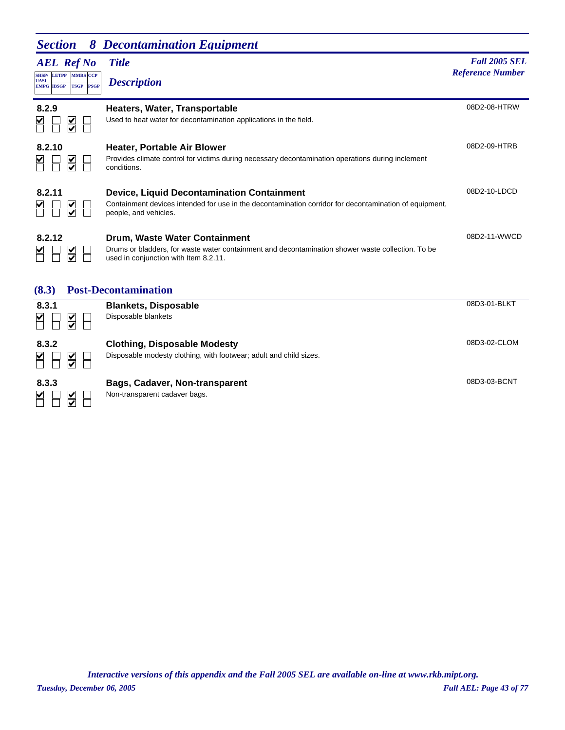|                                                                                                   | <b>Section</b> 8 Decontamination Equipment                                                         |                                                 |
|---------------------------------------------------------------------------------------------------|----------------------------------------------------------------------------------------------------|-------------------------------------------------|
| <b>AEL</b> Ref No<br>SHSP/ LETPP MMRS CCP<br><b>UASI</b><br><b>TSGP PSGP</b><br><b>EMPG IBSGP</b> | <b>Title</b><br><b>Description</b>                                                                 | <b>Fall 2005 SEL</b><br><b>Reference Number</b> |
| 8.2.9<br>$\blacktriangleright$<br>⊻                                                               | Heaters, Water, Transportable<br>Used to heat water for decontamination applications in the field. | 08D2-08-HTRW                                    |

08D2-09-HTRB

08D2-10-LDCD

08D2-11-WWCD

#### **8.2.10 Heater, Portable Air Blower**  $\begin{array}{c} \hline \textbf{K} \\ \hline \textbf{K} \end{array}$  $\Box$ Provides climate control for victims during necessary decontamination operations during inclement conditions.

| 8.2.11 |  |
|--------|--|
|        |  |

#### **8.2.11 Device, Liquid Decontamination Containment** Containment devices intended for use in the decontamination corridor for decontamination of equipment, people, and vehicles.

 $\begin{array}{c} \n\blacksquare \\
\blacksquare \\
\blacksquare \\
\blacksquare\n\end{array}$  $\mathbb H$ 

**8.2.12 Drum, Waste Water Containment** Drums or bladders, for waste water containment and decontamination shower waste collection. To be used in conjunction with Item 8.2.11.

### **(8.3) Post-Decontamination**

| 8.3.1<br>⊻<br>M<br>V                       | <b>Blankets, Disposable</b><br>Disposable blankets                                                        | 08D3-01-BLKT |
|--------------------------------------------|-----------------------------------------------------------------------------------------------------------|--------------|
| 8.3.2<br>V<br>$\overline{\mathbf{X}}$      | <b>Clothing, Disposable Modesty</b><br>Disposable modesty clothing, with footwear; adult and child sizes. | 08D3-02-CLOM |
| 8.3.3<br>⊻<br>⊻<br>$\overline{\mathbf{v}}$ | Bags, Cadaver, Non-transparent<br>Non-transparent cadaver bags.                                           | 08D3-03-BCNT |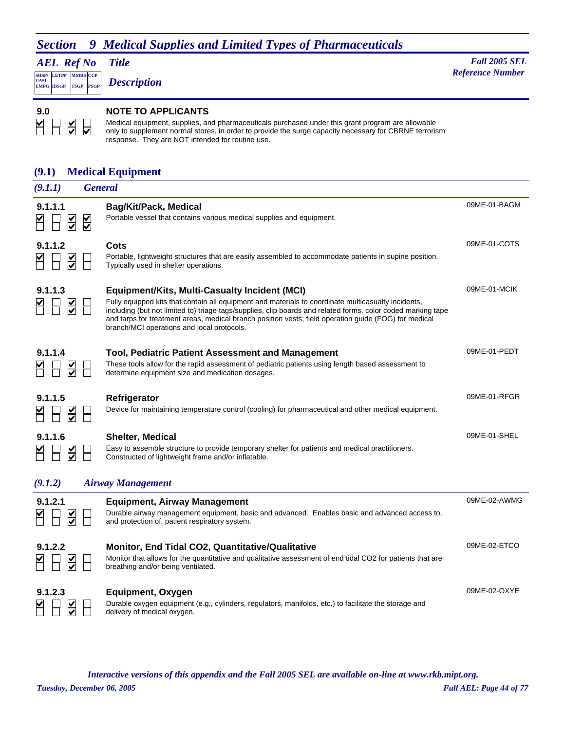*AEL Ref No* **SHSP/ UASI LETPP PSGP MMRS** CCP **EMPG IBSGP TSGP** *Description*

*Title Fall 2005 SEL* **Reference Number** 

 $\sum$  $\overline{\textbf{S}}$ H  $\overline{\mathbf{v}}$ 

#### **9.0 NOTE TO APPLICANTS**

Medical equipment, supplies, and pharmaceuticals purchased under this grant program are allowable only to supplement normal stores, in order to provide the surge capacity necessary for CBRNE terrorism response. They are NOT intended for routine use.

### **(9.1) Medical Equipment**

| (9.1.1)                                                    | <b>General</b>                                                                                                                                                                                                                                                                                                                                                                                                                     |              |
|------------------------------------------------------------|------------------------------------------------------------------------------------------------------------------------------------------------------------------------------------------------------------------------------------------------------------------------------------------------------------------------------------------------------------------------------------------------------------------------------------|--------------|
| 9.1.1.1<br>$\overline{\underline{\underline{\mathsf{Y}}}}$ | <b>Bag/Kit/Pack, Medical</b><br>Portable vessel that contains various medical supplies and equipment.<br>$\frac{1}{\sqrt{2}}$                                                                                                                                                                                                                                                                                                      | 09ME-01-BAGM |
| 9.1.1.2                                                    | Cots<br>Portable, lightweight structures that are easily assembled to accommodate patients in supine position.<br>Typically used in shelter operations.                                                                                                                                                                                                                                                                            | 09ME-01-COTS |
| 9.1.1.3                                                    | <b>Equipment/Kits, Multi-Casualty Incident (MCI)</b><br>Fully equipped kits that contain all equipment and materials to coordinate multicasualty incidents,<br>including (but not limited to) triage tags/supplies, clip boards and related forms, color coded marking tape<br>and tarps for treatment areas, medical branch position vests; field operation guide (FOG) for medical<br>branch/MCI operations and local protocols. | 09ME-01-MCIK |
| 9.1.1.4                                                    | <b>Tool, Pediatric Patient Assessment and Management</b><br>These tools allow for the rapid assessment of pediatric patients using length based assessment to<br>determine equipment size and medication dosages.                                                                                                                                                                                                                  | 09ME-01-PEDT |
| 9.1.1.5                                                    | Refrigerator<br>Device for maintaining temperature control (cooling) for pharmaceutical and other medical equipment.                                                                                                                                                                                                                                                                                                               | 09ME-01-RFGR |
| 9.1.1.6                                                    | <b>Shelter, Medical</b><br>Easy to assemble structure to provide temporary shelter for patients and medical practitioners.<br>Constructed of lightweight frame and/or inflatable.                                                                                                                                                                                                                                                  | 09ME-01-SHEL |
| (9.1.2)                                                    | <b>Airway Management</b>                                                                                                                                                                                                                                                                                                                                                                                                           |              |
| 9.1.2.1<br>$\overline{\underline{\underline{\mathsf{Y}}}}$ | <b>Equipment, Airway Management</b><br>Durable airway management equipment, basic and advanced. Enables basic and advanced access to,<br>and protection of, patient respiratory system.                                                                                                                                                                                                                                            | 09ME-02-AWMG |
| 9.1.2.2<br>$\overline{\underline{\mathsf{KL}}}$            | Monitor, End Tidal CO2, Quantitative/Qualitative<br>Monitor that allows for the quantitative and qualitative assessment of end tidal CO2 for patients that are<br>breathing and/or being ventilated.                                                                                                                                                                                                                               | 09ME-02-ETCO |
| 9.1.2.3                                                    | Equipment, Oxygen<br>Durable oxygen equipment (e.g., cylinders, regulators, manifolds, etc.) to facilitate the storage and<br>delivery of medical oxygen.                                                                                                                                                                                                                                                                          | 09ME-02-OXYE |
|                                                            |                                                                                                                                                                                                                                                                                                                                                                                                                                    |              |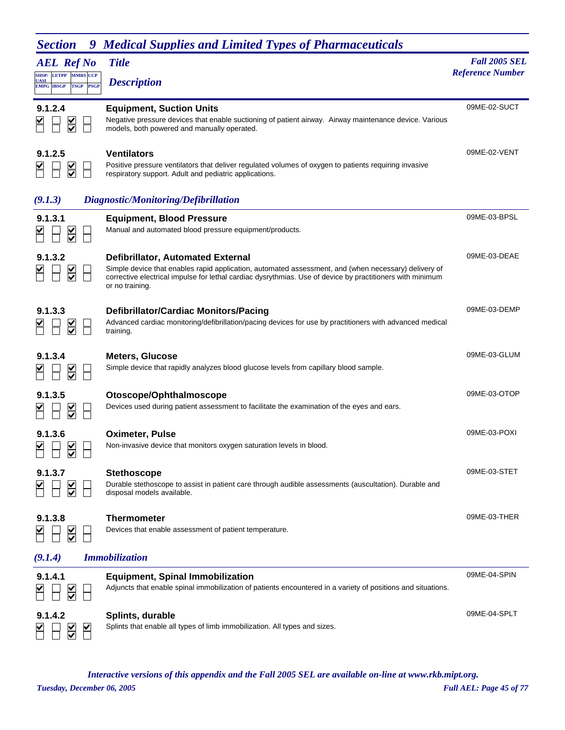| <b>AEL Ref No</b><br>SHSP/ LETPP MMRS CCP<br><b>UASI</b><br><b>EMPG IBSGP</b><br><b>TSGP</b><br><b>PSGP</b> | <b>Title</b><br><b>Description</b>                                                                                                                                                                                                                                               | <b>Fall 2005 SEL</b><br><b>Reference Number</b> |
|-------------------------------------------------------------------------------------------------------------|----------------------------------------------------------------------------------------------------------------------------------------------------------------------------------------------------------------------------------------------------------------------------------|-------------------------------------------------|
| 9.1.2.4<br>$\frac{\mathsf{K}}{\mathsf{S}}$                                                                  | <b>Equipment, Suction Units</b><br>Negative pressure devices that enable suctioning of patient airway. Airway maintenance device. Various<br>models, both powered and manually operated.                                                                                         | 09ME-02-SUCT                                    |
| 9.1.2.5<br>$\frac{1}{2}$                                                                                    | <b>Ventilators</b><br>Positive pressure ventilators that deliver regulated volumes of oxygen to patients requiring invasive<br>respiratory support. Adult and pediatric applications.                                                                                            | 09ME-02-VENT                                    |
| (9.1.3)                                                                                                     | Diagnostic/Monitoring/Defibrillation                                                                                                                                                                                                                                             |                                                 |
| 9.1.3.1                                                                                                     | <b>Equipment, Blood Pressure</b><br>Manual and automated blood pressure equipment/products.                                                                                                                                                                                      | 09ME-03-BPSL                                    |
| 9.1.3.2                                                                                                     | <b>Defibrillator, Automated External</b><br>Simple device that enables rapid application, automated assessment, and (when necessary) delivery of<br>corrective electrical impulse for lethal cardiac dysrythmias. Use of device by practitioners with minimum<br>or no training. | 09ME-03-DEAE                                    |
| 9.1.3.3                                                                                                     | <b>Defibrillator/Cardiac Monitors/Pacing</b><br>Advanced cardiac monitoring/defibrillation/pacing devices for use by practitioners with advanced medical<br>training.                                                                                                            | 09ME-03-DEMP                                    |
| 9.1.3.4                                                                                                     | <b>Meters, Glucose</b><br>Simple device that rapidly analyzes blood glucose levels from capillary blood sample.                                                                                                                                                                  | 09ME-03-GLUM                                    |
| 9.1.3.5                                                                                                     | Otoscope/Ophthalmoscope<br>Devices used during patient assessment to facilitate the examination of the eyes and ears.                                                                                                                                                            | 09ME-03-OTOP                                    |
| 9.1.3.6                                                                                                     | <b>Oximeter, Pulse</b><br>Non-invasive device that monitors oxygen saturation levels in blood.                                                                                                                                                                                   | 09ME-03-POXI                                    |
| 9.1.3.7                                                                                                     | <b>Stethoscope</b><br>Durable stethoscope to assist in patient care through audible assessments (auscultation). Durable and<br>disposal models available.                                                                                                                        | 09ME-03-STET                                    |
| 9.1.3.8<br>$\frac{\mathsf{v}}{\mathsf{v}}$                                                                  | <b>Thermometer</b><br>Devices that enable assessment of patient temperature.                                                                                                                                                                                                     | 09ME-03-THER                                    |
| (9.1.4)                                                                                                     | <b>Immobilization</b>                                                                                                                                                                                                                                                            |                                                 |
| 9.1.4.1                                                                                                     | <b>Equipment, Spinal Immobilization</b><br>Adjuncts that enable spinal immobilization of patients encountered in a variety of positions and situations.                                                                                                                          | 09ME-04-SPIN                                    |
| 9.1.4.2<br>⊻                                                                                                | Splints, durable<br>Splints that enable all types of limb immobilization. All types and sizes.                                                                                                                                                                                   | 09ME-04-SPLT                                    |

*Tuesday, December 06, 2005 Full AEL: Page 45 of 77 Interactive versions of this appendix and the Fall 2005 SEL are available on-line at www.rkb.mipt.org.*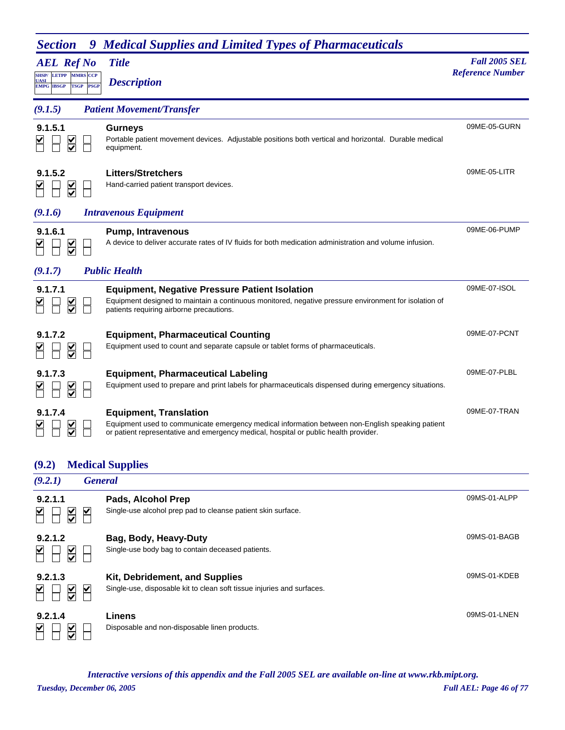| <b>AEL Ref No</b><br><b>LETPP</b><br><b>SHSP/</b><br><b>MMRS CCP</b><br>UASI<br><b>TSGP</b><br><b>PSGP</b><br><b>EMPG IBSGP</b> | <b>Title</b><br><b>Description</b>                                                                                                                                                                                        | <b>Fall 2005 SEL</b><br><b>Reference Number</b> |
|---------------------------------------------------------------------------------------------------------------------------------|---------------------------------------------------------------------------------------------------------------------------------------------------------------------------------------------------------------------------|-------------------------------------------------|
| (9.1.5)                                                                                                                         | <b>Patient Movement/Transfer</b>                                                                                                                                                                                          |                                                 |
| 9.1.5.1<br>$\frac{1}{2}$                                                                                                        | <b>Gurneys</b><br>Portable patient movement devices. Adjustable positions both vertical and horizontal. Durable medical<br>equipment.                                                                                     | 09ME-05-GURN                                    |
| 9.1.5.2<br>$\sum_{i=1}^{n}$                                                                                                     | <b>Litters/Stretchers</b><br>Hand-carried patient transport devices.                                                                                                                                                      | 09ME-05-LITR                                    |
| (9.1.6)                                                                                                                         | <b>Intravenous Equipment</b>                                                                                                                                                                                              |                                                 |
| 9.1.6.1                                                                                                                         | <b>Pump, Intravenous</b><br>A device to deliver accurate rates of IV fluids for both medication administration and volume infusion.                                                                                       | 09ME-06-PUMP                                    |
| (9.1.7)                                                                                                                         | <b>Public Health</b>                                                                                                                                                                                                      |                                                 |
| 9.1.7.1<br>⋚                                                                                                                    | <b>Equipment, Negative Pressure Patient Isolation</b><br>Equipment designed to maintain a continuous monitored, negative pressure environment for isolation of<br>patients requiring airborne precautions.                | 09ME-07-ISOL                                    |
| 9.1.7.2<br>$\frac{1}{2}$                                                                                                        | <b>Equipment, Pharmaceutical Counting</b><br>Equipment used to count and separate capsule or tablet forms of pharmaceuticals.                                                                                             | 09ME-07-PCNT                                    |
| 9.1.7.3                                                                                                                         | <b>Equipment, Pharmaceutical Labeling</b><br>Equipment used to prepare and print labels for pharmaceuticals dispensed during emergency situations.                                                                        | 09ME-07-PLBL                                    |
| 9.1.7.4                                                                                                                         | <b>Equipment, Translation</b><br>Equipment used to communicate emergency medical information between non-English speaking patient<br>or patient representative and emergency medical, hospital or public health provider. | 09ME-07-TRAN                                    |

### **(9.2) Medical Supplies**

| (9.2.1)                                         | <b>General</b>                                                                                                |              |
|-------------------------------------------------|---------------------------------------------------------------------------------------------------------------|--------------|
| 9.2.1.1<br>$\frac{\checkmark}{\checkmark}$      | Pads, Alcohol Prep<br>Single-use alcohol prep pad to cleanse patient skin surface.<br>V                       | 09MS-01-ALPP |
| 9.2.1.2<br>$\frac{\checkmark}{\checkmark}$      | Bag, Body, Heavy-Duty<br>Single-use body bag to contain deceased patients.                                    | 09MS-01-BAGB |
| 9.2.1.3<br>$\frac{\checkmark}{\checkmark}$      | Kit, Debridement, and Supplies<br>Single-use, disposable kit to clean soft tissue injuries and surfaces.<br>⊻ | 09MS-01-KDEB |
| 9.2.1.4<br>V<br>$\frac{\checkmark}{\checkmark}$ | Linens<br>Disposable and non-disposable linen products.                                                       | 09MS-01-LNEN |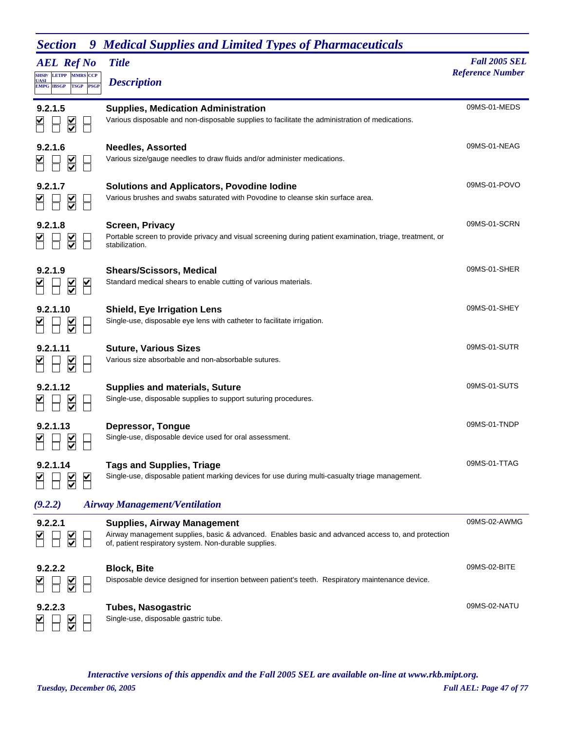| <b>AEL Ref No</b>                                                            | <b>Title</b>                                                                                                                                                                                      | <b>Fall 2005 SEL</b>    |
|------------------------------------------------------------------------------|---------------------------------------------------------------------------------------------------------------------------------------------------------------------------------------------------|-------------------------|
| <b>SHSP/ LETPP MMRS CCP</b><br>UASI<br><b>TSGP PSGP</b><br><b>EMPG IBSGP</b> | <b>Description</b>                                                                                                                                                                                | <b>Reference Number</b> |
| 9.2.1.5<br>$\overline{\underline{\mathsf{S}}}$                               | <b>Supplies, Medication Administration</b><br>Various disposable and non-disposable supplies to facilitate the administration of medications.                                                     | 09MS-01-MEDS            |
| 9.2.1.6<br>$\sum_{i=1}^{n}$                                                  | <b>Needles, Assorted</b><br>Various size/gauge needles to draw fluids and/or administer medications.                                                                                              | 09MS-01-NEAG            |
| 9.2.1.7<br>$\overline{\underline{\underline{\mathsf{Y}}}}$                   | <b>Solutions and Applicators, Povodine lodine</b><br>Various brushes and swabs saturated with Povodine to cleanse skin surface area.                                                              | 09MS-01-POVO            |
| 9.2.1.8<br>$\overline{\mathsf{S}}$                                           | Screen, Privacy<br>Portable screen to provide privacy and visual screening during patient examination, triage, treatment, or<br>stabilization.                                                    | 09MS-01-SCRN            |
| 9.2.1.9<br>$\sum_{i=1}^{n}$                                                  | <b>Shears/Scissors, Medical</b><br>Standard medical shears to enable cutting of various materials.                                                                                                | 09MS-01-SHER            |
| 9.2.1.10<br>$\overline{\mathsf{S}}$                                          | <b>Shield, Eye Irrigation Lens</b><br>Single-use, disposable eye lens with catheter to facilitate irrigation.                                                                                     | 09MS-01-SHEY            |
| 9.2.1.11<br>$\sum_{i=1}^{n}$                                                 | <b>Suture, Various Sizes</b><br>Various size absorbable and non-absorbable sutures.                                                                                                               | 09MS-01-SUTR            |
| 9.2.1.12                                                                     | <b>Supplies and materials, Suture</b><br>Single-use, disposable supplies to support suturing procedures.                                                                                          | 09MS-01-SUTS            |
| 9.2.1.13                                                                     | <b>Depressor, Tongue</b><br>Single-use, disposable device used for oral assessment.                                                                                                               | 09MS-01-TNDP            |
| 9.2.1.14<br>$\frac{\mathsf{V}}{\mathsf{V}}$                                  | <b>Tags and Supplies, Triage</b><br>Single-use, disposable patient marking devices for use during multi-casualty triage management.                                                               | 09MS-01-TTAG            |
| (9.2.2)                                                                      | <b>Airway Management/Ventilation</b>                                                                                                                                                              |                         |
| 9.2.2.1<br>$\frac{\checkmark}{\checkmark}$                                   | <b>Supplies, Airway Management</b><br>Airway management supplies, basic & advanced. Enables basic and advanced access to, and protection<br>of, patient respiratory system. Non-durable supplies. | 09MS-02-AWMG            |
| 9.2.2.2<br>$\sum_{i=1}^{n}$                                                  | <b>Block, Bite</b><br>Disposable device designed for insertion between patient's teeth. Respiratory maintenance device.                                                                           | 09MS-02-BITE            |
| 9.2.2.3                                                                      | <b>Tubes, Nasogastric</b><br>Single-use, disposable gastric tube.                                                                                                                                 | 09MS-02-NATU            |

*Tuesday, December 06, 2005 Full AEL: Page 47 of 77 Interactive versions of this appendix and the Fall 2005 SEL are available on-line at www.rkb.mipt.org.*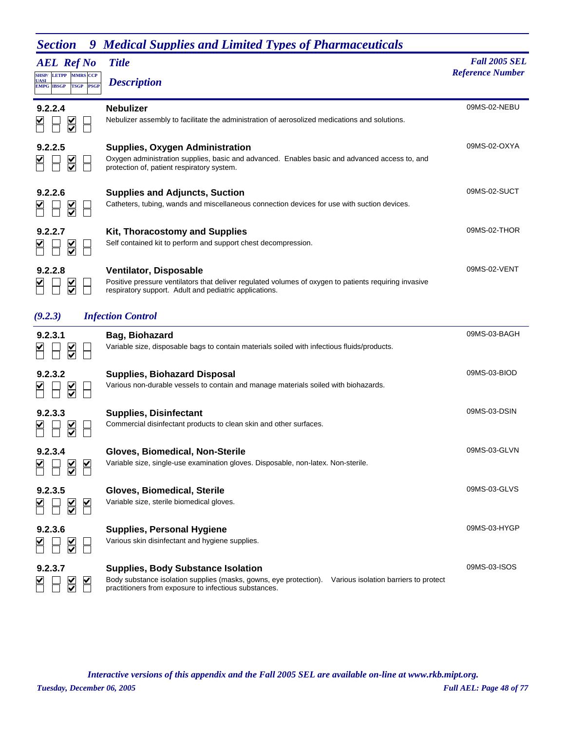| <b>AEL Ref No</b>                                                                                       | <b>Title</b>                                                                                                                                                                                                     | <b>Fall 2005 SEL</b>    |
|---------------------------------------------------------------------------------------------------------|------------------------------------------------------------------------------------------------------------------------------------------------------------------------------------------------------------------|-------------------------|
| <b>SHSP/ LETPP</b><br><b>MMRS CCP</b><br><b>UASI</b><br><b>EMPG IBSGP</b><br><b>TSGP</b><br><b>PSGP</b> | <b>Description</b>                                                                                                                                                                                               | <b>Reference Number</b> |
| 9.2.2.4<br>$\frac{1}{2}$                                                                                | <b>Nebulizer</b><br>Nebulizer assembly to facilitate the administration of aerosolized medications and solutions.                                                                                                | 09MS-02-NEBU            |
| 9.2.2.5<br>$\frac{1}{2}$                                                                                | <b>Supplies, Oxygen Administration</b><br>Oxygen administration supplies, basic and advanced. Enables basic and advanced access to, and<br>protection of, patient respiratory system.                            | 09MS-02-OXYA            |
| 9.2.2.6                                                                                                 | <b>Supplies and Adjuncts, Suction</b><br>Catheters, tubing, wands and miscellaneous connection devices for use with suction devices.                                                                             | 09MS-02-SUCT            |
| 9.2.2.7                                                                                                 | <b>Kit, Thoracostomy and Supplies</b><br>Self contained kit to perform and support chest decompression.                                                                                                          | 09MS-02-THOR            |
| 9.2.2.8<br>$\frac{\mathsf{N}}{\mathsf{N}}$                                                              | <b>Ventilator, Disposable</b><br>Positive pressure ventilators that deliver regulated volumes of oxygen to patients requiring invasive<br>respiratory support. Adult and pediatric applications.                 | 09MS-02-VENT            |
| (9.2.3)                                                                                                 | <b>Infection Control</b>                                                                                                                                                                                         |                         |
| 9.2.3.1<br>$\frac{1}{2}$                                                                                | Bag, Biohazard<br>Variable size, disposable bags to contain materials soiled with infectious fluids/products.                                                                                                    | 09MS-03-BAGH            |
| 9.2.3.2<br>$\overline{\leq}$                                                                            | <b>Supplies, Biohazard Disposal</b><br>Various non-durable vessels to contain and manage materials soiled with biohazards.                                                                                       | 09MS-03-BIOD            |
| 9.2.3.3<br>$\frac{\textcolor{blue}{\blacktriangleleft}}{\textcolor{blue}{\blacktriangledown}}$          | <b>Supplies, Disinfectant</b><br>Commercial disinfectant products to clean skin and other surfaces.                                                                                                              | 09MS-03-DSIN            |
| 9.2.3.4<br>V<br>M<br>⊻                                                                                  | Gloves, Biomedical, Non-Sterile<br>Variable size, single-use examination gloves. Disposable, non-latex. Non-sterile.                                                                                             | 09MS-03-GLVN            |
| 9.2.3.5<br>$\overline{\le}$<br>$\blacktriangleright$                                                    | Gloves, Biomedical, Sterile<br>Variable size, sterile biomedical gloves.                                                                                                                                         | 09MS-03-GLVS            |
| 9.2.3.6                                                                                                 | <b>Supplies, Personal Hygiene</b><br>Various skin disinfectant and hygiene supplies.                                                                                                                             | 09MS-03-HYGP            |
| 9.2.3.7                                                                                                 | <b>Supplies, Body Substance Isolation</b><br>Body substance isolation supplies (masks, gowns, eye protection).<br>Various isolation barriers to protect<br>practitioners from exposure to infectious substances. | 09MS-03-ISOS            |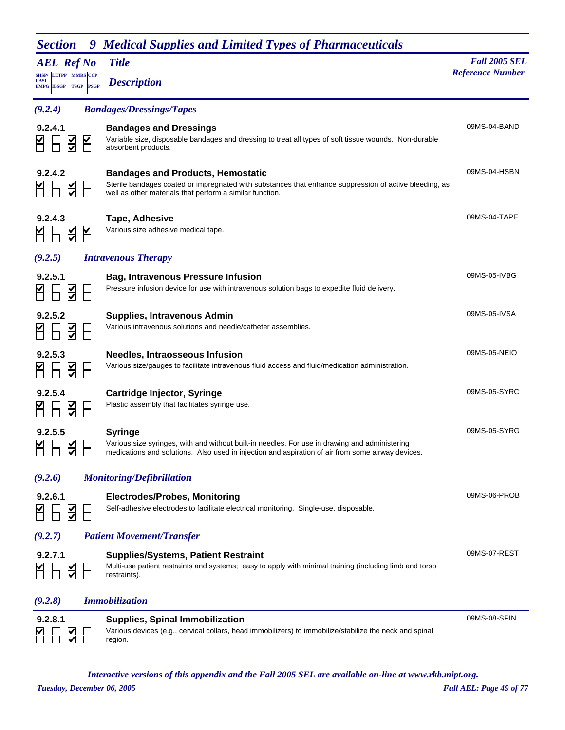| <b>AEL Ref No</b>                                                                                      | <b>Title</b>                                                                                                                                                                                                          | <b>Fall 2005 SEL</b>    |
|--------------------------------------------------------------------------------------------------------|-----------------------------------------------------------------------------------------------------------------------------------------------------------------------------------------------------------------------|-------------------------|
| <b>SHSP/LETPP</b><br><b>MMRS CCP</b><br><b>UASI</b><br><b>TSGP</b><br><b>PSGP</b><br><b>EMPG IBSGP</b> | <b>Description</b>                                                                                                                                                                                                    | <b>Reference Number</b> |
| (9.2.4)                                                                                                | <b>Bandages/Dressings/Tapes</b>                                                                                                                                                                                       |                         |
| 9.2.4.1<br>$\frac{1}{2}$<br>$\blacktriangleright$                                                      | <b>Bandages and Dressings</b><br>Variable size, disposable bandages and dressing to treat all types of soft tissue wounds. Non-durable<br>absorbent products.                                                         | 09MS-04-BAND            |
| 9.2.4.2                                                                                                | <b>Bandages and Products, Hemostatic</b><br>Sterile bandages coated or impregnated with substances that enhance suppression of active bleeding, as<br>well as other materials that perform a similar function.        | 09MS-04-HSBN            |
| 9.2.4.3<br>$\frac{\blacktriangle}{\blacktriangledown}$<br>⊻                                            | <b>Tape, Adhesive</b><br>Various size adhesive medical tape.                                                                                                                                                          | 09MS-04-TAPE            |
| (9.2.5)                                                                                                | <b>Intravenous Therapy</b>                                                                                                                                                                                            |                         |
| 9.2.5.1                                                                                                | <b>Bag, Intravenous Pressure Infusion</b><br>Pressure infusion device for use with intravenous solution bags to expedite fluid delivery.                                                                              | 09MS-05-IVBG            |
| 9.2.5.2<br>$\frac{1}{2}$                                                                               | <b>Supplies, Intravenous Admin</b><br>Various intravenous solutions and needle/catheter assemblies.                                                                                                                   | 09MS-05-IVSA            |
| 9.2.5.3<br>$\frac{\mathsf{v}}{\mathsf{v}}$                                                             | Needles, Intraosseous Infusion<br>Various size/gauges to facilitate intravenous fluid access and fluid/medication administration.                                                                                     | 09MS-05-NEIO            |
| 9.2.5.4<br>$\frac{1}{\sqrt{2}}$                                                                        | <b>Cartridge Injector, Syringe</b><br>Plastic assembly that facilitates syringe use.                                                                                                                                  | 09MS-05-SYRC            |
| 9.2.5.5                                                                                                | <b>Syringe</b><br>Various size syringes, with and without built-in needles. For use in drawing and administering<br>medications and solutions. Also used in injection and aspiration of air from some airway devices. | 09MS-05-SYRG            |
| (9.2.6)                                                                                                | <b>Monitoring/Defibrillation</b>                                                                                                                                                                                      |                         |
| 9.2.6.1<br>$\frac{1}{2}$                                                                               | <b>Electrodes/Probes, Monitoring</b><br>Self-adhesive electrodes to facilitate electrical monitoring. Single-use, disposable.                                                                                         | 09MS-06-PROB            |
| (9.2.7)                                                                                                | <b>Patient Movement/Transfer</b>                                                                                                                                                                                      |                         |
| 9.2.7.1<br>$\frac{\blacktriangledown}{\blacktriangledown}$                                             | <b>Supplies/Systems, Patient Restraint</b><br>Multi-use patient restraints and systems; easy to apply with minimal training (including limb and torso<br>restraints).                                                 | 09MS-07-REST            |
| (9.2.8)                                                                                                | <b>Immobilization</b>                                                                                                                                                                                                 |                         |
| 9.2.8.1                                                                                                | <b>Supplies, Spinal Immobilization</b><br>Various devices (e.g., cervical collars, head immobilizers) to immobilize/stabilize the neck and spinal<br>region.                                                          | 09MS-08-SPIN            |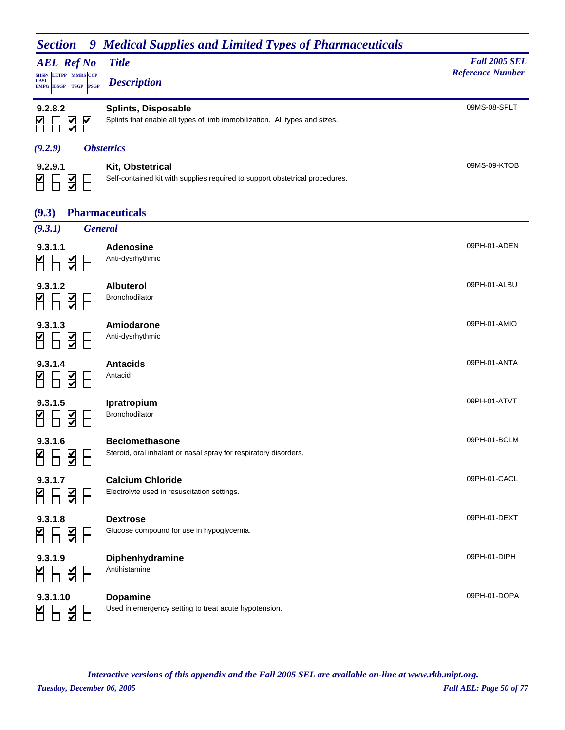| <b>Section</b><br>9                                                                                                | <b>Medical Supplies and Limited Types of Pharmaceuticals</b>                                             |                                                 |
|--------------------------------------------------------------------------------------------------------------------|----------------------------------------------------------------------------------------------------------|-------------------------------------------------|
| <b>AEL Ref No</b><br><b>SHSP/ LETPP MMRS CCP</b><br><b>UASI</b><br><b>TSGP</b><br><b>PSGP</b><br><b>EMPG IBSGP</b> | <b>Title</b><br><b>Description</b>                                                                       | <b>Fall 2005 SEL</b><br><b>Reference Number</b> |
| 9.2.8.2<br>⊻<br>$\overline{\blacktriangledown}$                                                                    | <b>Splints, Disposable</b><br>Splints that enable all types of limb immobilization. All types and sizes. | 09MS-08-SPLT                                    |
| (9.2.9)                                                                                                            | <i><b>Obstetrics</b></i>                                                                                 |                                                 |
| 9.2.9.1<br>$\frac{\checkmark}{\checkmark}$                                                                         | Kit, Obstetrical<br>Self-contained kit with supplies required to support obstetrical procedures.         | 09MS-09-KTOB                                    |
| (9.3)                                                                                                              | <b>Pharmaceuticals</b>                                                                                   |                                                 |
| (9.3.1)                                                                                                            | <b>General</b>                                                                                           |                                                 |
| 9.3.1.1<br>$\frac{\blacktriangle}{\blacktriangledown}$                                                             | <b>Adenosine</b><br>Anti-dysrhythmic                                                                     | 09PH-01-ADEN                                    |
| 9.3.1.2<br>$\frac{\checkmark}{\checkmark}$                                                                         | <b>Albuterol</b><br><b>Bronchodilator</b>                                                                | 09PH-01-ALBU                                    |
| 9.3.1.3<br>$\overline{\checkmark}$                                                                                 | Amiodarone<br>Anti-dysrhythmic                                                                           | 09PH-01-AMIO                                    |
| 9.3.1.4<br>$\frac{\checkmark}{\checkmark}$                                                                         | <b>Antacids</b><br>Antacid                                                                               | 09PH-01-ANTA                                    |

**9.3.1.5 Ipratropium**<br> **1 I V Bronchodilator** 09PH-01-ATVT Bronchodilator **9.3.1.6 Beclomethasone** 09PH-01-BCLM SHSH Steroid, oral inhalant or nasal spray for respiratory disorders. **9.3.1.7 Calcium Chloride**<br>  $\begin{array}{|c|c|c|}\n\hline\n\hline\n\end{array}$  **C** Electrolyte used in resu: 09PH-01-CACL Electrolyte used in resuscitation settings.



*Tuesday, December 06, 2005 Full AEL: Page 50 of 77 Interactive versions of this appendix and the Fall 2005 SEL are available on-line at www.rkb.mipt.org.*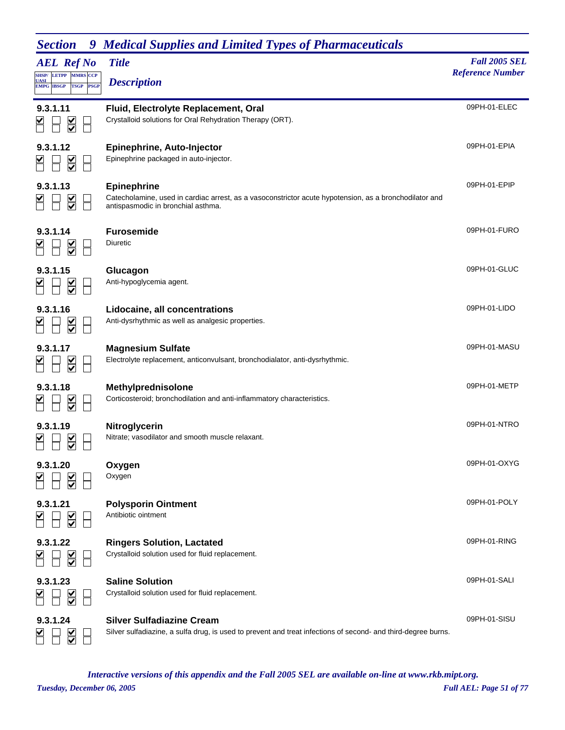| <b>AEL Ref No</b><br>SHSP/ LETPP MMRS CCP<br><b>UASI</b><br><b>EMPG IBSGP</b><br><b>TSGP PSGP</b> | <b>Title</b><br><b>Description</b>                                                                                                                                 | <b>Fall 2005 SEL</b><br><b>Reference Number</b> |
|---------------------------------------------------------------------------------------------------|--------------------------------------------------------------------------------------------------------------------------------------------------------------------|-------------------------------------------------|
| 9.3.1.11<br>$\overline{\underline{\underline{\mathsf{X}}}}$                                       | Fluid, Electrolyte Replacement, Oral<br>Crystalloid solutions for Oral Rehydration Therapy (ORT).                                                                  | 09PH-01-ELEC                                    |
| 9.3.1.12<br>$\overline{\underline{\underline{\mathsf{Y}}}}$                                       | <b>Epinephrine, Auto-Injector</b><br>Epinephrine packaged in auto-injector.                                                                                        | 09PH-01-EPIA                                    |
| 9.3.1.13<br>$\overline{\underline{\mathsf{KL}}}$                                                  | <b>Epinephrine</b><br>Catecholamine, used in cardiac arrest, as a vasoconstrictor acute hypotension, as a bronchodilator and<br>antispasmodic in bronchial asthma. | 09PH-01-EPIP                                    |
| 9.3.1.14<br>$\overline{\underline{\underline{\mathsf{Y}}}}$                                       | <b>Furosemide</b><br>Diuretic                                                                                                                                      | 09PH-01-FURO                                    |
| 9.3.1.15<br>$\frac{1}{\sqrt{2}}$                                                                  | Glucagon<br>Anti-hypoglycemia agent.                                                                                                                               | 09PH-01-GLUC                                    |
| 9.3.1.16<br>$\overline{\underline{\underline{\mathsf{Y}}}}$                                       | Lidocaine, all concentrations<br>Anti-dysrhythmic as well as analgesic properties.                                                                                 | 09PH-01-LIDO                                    |
| 9.3.1.17<br>$\sum_{i=1}^{n}$                                                                      | <b>Magnesium Sulfate</b><br>Electrolyte replacement, anticonvulsant, bronchodialator, anti-dysrhythmic.                                                            | 09PH-01-MASU                                    |
| 9.3.1.18<br>$\frac{1}{2}$                                                                         | Methylprednisolone<br>Corticosteroid; bronchodilation and anti-inflammatory characteristics.                                                                       | 09PH-01-METP                                    |
| 9.3.1.19                                                                                          | Nitroglycerin<br>Nitrate; vasodilator and smooth muscle relaxant.                                                                                                  | 09PH-01-NTRO                                    |
| 9.3.1.20                                                                                          | Oxygen<br>Oxygen                                                                                                                                                   | 09PH-01-OXYG                                    |
| 9.3.1.21<br>$\frac{1}{2}$                                                                         | <b>Polysporin Ointment</b><br>Antibiotic ointment                                                                                                                  | 09PH-01-POLY                                    |
| 9.3.1.22<br>$\frac{1}{2}$                                                                         | <b>Ringers Solution, Lactated</b><br>Crystalloid solution used for fluid replacement.                                                                              | 09PH-01-RING                                    |
| 9.3.1.23<br>$\frac{1}{2}$                                                                         | <b>Saline Solution</b><br>Crystalloid solution used for fluid replacement.                                                                                         | 09PH-01-SALI                                    |
| 9.3.1.24                                                                                          | <b>Silver Sulfadiazine Cream</b><br>Silver sulfadiazine, a sulfa drug, is used to prevent and treat infections of second- and third-degree burns.                  | 09PH-01-SISU                                    |

*Tuesday, December 06, 2005 Full AEL: Page 51 of 77 Interactive versions of this appendix and the Fall 2005 SEL are available on-line at www.rkb.mipt.org.*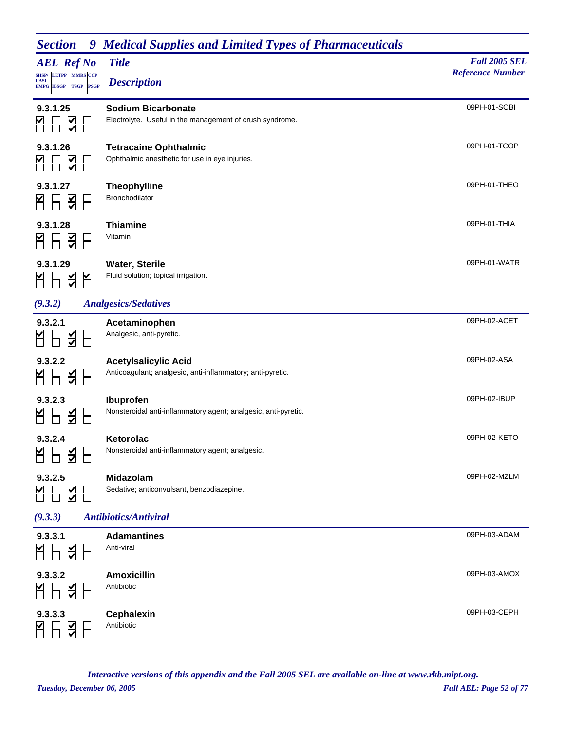| <b>AEL Ref No</b><br><b>SHSP/</b> LETPP<br><b>MMRS CCP</b><br><b>UASI</b><br>PSGP<br><b>EMPG IBSGP</b><br><b>TSGP</b> | <b>Title</b><br><b>Description</b>                                                        | <b>Fall 2005 SEL</b><br><b>Reference Number</b> |
|-----------------------------------------------------------------------------------------------------------------------|-------------------------------------------------------------------------------------------|-------------------------------------------------|
| 9.3.1.25<br>$\overline{\underline{\underline{\mathsf{X}}}}$                                                           | <b>Sodium Bicarbonate</b><br>Electrolyte. Useful in the management of crush syndrome.     | 09PH-01-SOBI                                    |
| 9.3.1.26<br>$\overline{\leq}$                                                                                         | <b>Tetracaine Ophthalmic</b><br>Ophthalmic anesthetic for use in eye injuries.            | 09PH-01-TCOP                                    |
| 9.3.1.27<br>$\overline{\underline{\underline{\mathsf{X}}}}$                                                           | <b>Theophylline</b><br>Bronchodilator                                                     | 09PH-01-THEO                                    |
| 9.3.1.28                                                                                                              | <b>Thiamine</b><br>Vitamin                                                                | 09PH-01-THIA                                    |
| 9.3.1.29<br>$\overline{\underline{\underline{\mathsf{Y}}}}$<br>$\blacktriangleright$                                  | <b>Water, Sterile</b><br>Fluid solution; topical irrigation.                              | 09PH-01-WATR                                    |
| (9.3.2)                                                                                                               | <b>Analgesics/Sedatives</b>                                                               |                                                 |
| 9.3.2.1<br>$\frac{1}{\sqrt{2}}$                                                                                       | Acetaminophen<br>Analgesic, anti-pyretic.                                                 | 09PH-02-ACET                                    |
| 9.3.2.2<br>$\overline{\underline{\underline{\underline{\mathsf{X}}}}}$                                                | <b>Acetylsalicylic Acid</b><br>Anticoagulant; analgesic, anti-inflammatory; anti-pyretic. | 09PH-02-ASA                                     |
| 9.3.2.3<br>$\overline{\le}$                                                                                           | Ibuprofen<br>Nonsteroidal anti-inflammatory agent; analgesic, anti-pyretic.               | 09PH-02-IBUP                                    |
| 9.3.2.4<br>$\overline{\leq}$                                                                                          | Ketorolac<br>Nonsteroidal anti-inflammatory agent; analgesic.                             | 09PH-02-KETO                                    |
| 9.3.2.5<br>$\overline{\leq}$                                                                                          | Midazolam<br>Sedative; anticonvulsant, benzodiazepine.                                    | 09PH-02-MZLM                                    |
| (9.3.3)                                                                                                               | <b>Antibiotics/Antiviral</b>                                                              |                                                 |
| 9.3.3.1<br>$\overline{\underline{\underline{\mathsf{X}}}}$                                                            | <b>Adamantines</b><br>Anti-viral                                                          | 09PH-03-ADAM                                    |
| 9.3.3.2<br>$\leq$                                                                                                     | <b>Amoxicillin</b><br>Antibiotic                                                          | 09PH-03-AMOX                                    |
| 9.3.3.3<br>$\overline{\underline{\mathsf{S}}}$                                                                        | <b>Cephalexin</b><br>Antibiotic                                                           | 09PH-03-CEPH                                    |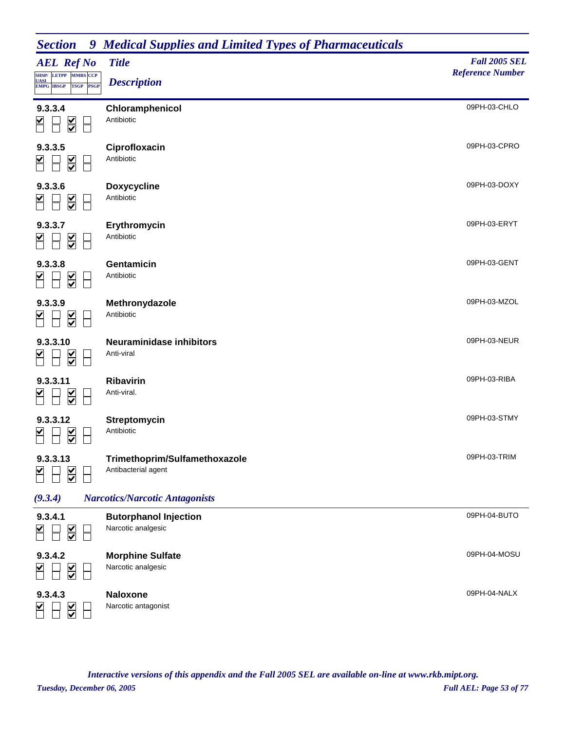| <b>Section</b> 9 Medical Supplies and Limited Types of Pharmaceuticals |
|------------------------------------------------------------------------|
|------------------------------------------------------------------------|

| <i>o</i> velvo ne<br><b>AEL Ref No</b>                                       | <b>HURROW SWPPWOS WHAT LUMBER I TPOS OF I HAM MACCHINGUIS</b><br><b>Title</b> | <b>Fall 2005 SEL</b><br><b>Reference Number</b> |
|------------------------------------------------------------------------------|-------------------------------------------------------------------------------|-------------------------------------------------|
| SHSP/ LETPP MMRS CCP<br><b>UASI</b><br><b>EMPG IBSGP TSGP</b><br><b>PSGP</b> | <b>Description</b>                                                            |                                                 |
| 9.3.3.4<br>$\overline{\underline{\underline{\mathsf{Y}}}}$                   | Chloramphenicol<br>Antibiotic                                                 | 09PH-03-CHLO                                    |
| 9.3.3.5<br>$\leq$                                                            | Ciprofloxacin<br>Antibiotic                                                   | 09PH-03-CPRO                                    |
| 9.3.3.6<br>$\overline{\underline{\underline{\mathsf{Y}}}}$                   | <b>Doxycycline</b><br>Antibiotic                                              | 09PH-03-DOXY                                    |
| 9.3.3.7<br>$\leq$                                                            | Erythromycin<br>Antibiotic                                                    | 09PH-03-ERYT                                    |
| 9.3.3.8<br>$\overline{\underline{\underline{\mathsf{Y}}}}$                   | Gentamicin<br>Antibiotic                                                      | 09PH-03-GENT                                    |
| 9.3.3.9<br>$\leq$                                                            | Methronydazole<br>Antibiotic                                                  | 09PH-03-MZOL                                    |
| 9.3.3.10<br>$\overline{\underline{\underline{\mathsf{Y}}}}$                  | <b>Neuraminidase inhibitors</b><br>Anti-viral                                 | 09PH-03-NEUR                                    |
| 9.3.3.11<br>$\leq$                                                           | Ribavirin<br>Anti-viral.                                                      | 09PH-03-RIBA                                    |
| 9.3.3.12<br>$\overline{\leq}$                                                | Streptomycin<br>Antibiotic                                                    | 09PH-03-STMY                                    |
| 9.3.3.13                                                                     | Trimethoprim/Sulfamethoxazole<br>Antibacterial agent                          | 09PH-03-TRIM                                    |
| (9.3.4)                                                                      | <b>Narcotics/Narcotic Antagonists</b>                                         |                                                 |
| 9.3.4.1<br>$\overline{\underline{\underline{\mathsf{Y}}}}$                   | <b>Butorphanol Injection</b><br>Narcotic analgesic                            | 09PH-04-BUTO                                    |
| 9.3.4.2<br>$\leq$                                                            | <b>Morphine Sulfate</b><br>Narcotic analgesic                                 | 09PH-04-MOSU                                    |
| 9.3.4.3<br>$\frac{\checkmark}{\checkmark}$                                   | <b>Naloxone</b><br>Narcotic antagonist                                        | 09PH-04-NALX                                    |

*Tuesday, December 06, 2005 Full AEL: Page 53 of 77 Interactive versions of this appendix and the Fall 2005 SEL are available on-line at www.rkb.mipt.org.*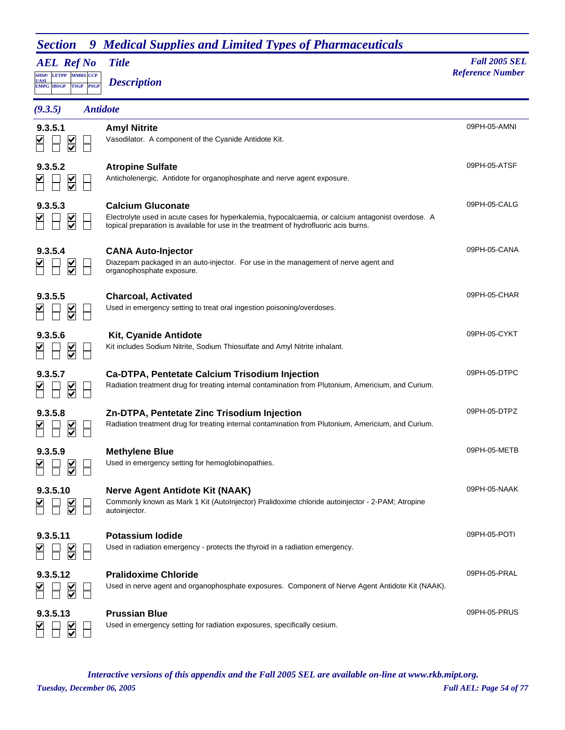| JUULUIL<br><b>AEL Ref No</b><br>SHSP/LETPP<br><b>MMRS</b> CCP<br><b>UASI</b><br><b>EMPG IBSGP</b><br><b>PSGP</b><br><b>TSGP</b> | пісання баррися ана Енниса і урся от і нагніасинсам<br><b>Title</b><br><b>Description</b>                                                                                                                               | <b>Fall 2005 SEL</b><br><b>Reference Number</b> |
|---------------------------------------------------------------------------------------------------------------------------------|-------------------------------------------------------------------------------------------------------------------------------------------------------------------------------------------------------------------------|-------------------------------------------------|
| (9.3.5)                                                                                                                         | <b>Antidote</b>                                                                                                                                                                                                         |                                                 |
| 9.3.5.1                                                                                                                         | <b>Amyl Nitrite</b><br>Vasodilator. A component of the Cyanide Antidote Kit.                                                                                                                                            | 09PH-05-AMNI                                    |
| 9.3.5.2                                                                                                                         | <b>Atropine Sulfate</b><br>Anticholenergic. Antidote for organophosphate and nerve agent exposure.                                                                                                                      | 09PH-05-ATSF                                    |
| 9.3.5.3<br>$\sum$                                                                                                               | <b>Calcium Gluconate</b><br>Electrolyte used in acute cases for hyperkalemia, hypocalcaemia, or calcium antagonist overdose. A<br>topical preparation is available for use in the treatment of hydrofluoric acis burns. | 09PH-05-CALG                                    |
| 9.3.5.4                                                                                                                         | <b>CANA Auto-Injector</b><br>Diazepam packaged in an auto-injector. For use in the management of nerve agent and<br>organophosphate exposure.                                                                           | 09PH-05-CANA                                    |
| 9.3.5.5<br>$\frac{1}{2}$                                                                                                        | <b>Charcoal, Activated</b><br>Used in emergency setting to treat oral ingestion poisoning/overdoses.                                                                                                                    | 09PH-05-CHAR                                    |
| 9.3.5.6<br>$\overline{\underline{\underline{\mathsf{Y}}}}$                                                                      | <b>Kit, Cyanide Antidote</b><br>Kit includes Sodium Nitrite, Sodium Thiosulfate and Amyl Nitrite inhalant.                                                                                                              | 09PH-05-CYKT                                    |
| 9.3.5.7                                                                                                                         | <b>Ca-DTPA, Pentetate Calcium Trisodium Injection</b><br>Radiation treatment drug for treating internal contamination from Plutonium, Americium, and Curium.                                                            | 09PH-05-DTPC                                    |
| 9.3.5.8                                                                                                                         | Zn-DTPA, Pentetate Zinc Trisodium Injection<br>Radiation treatment drug for treating internal contamination from Plutonium, Americium, and Curium.                                                                      | 09PH-05-DTPZ                                    |
| 9.3.5.9                                                                                                                         | <b>Methylene Blue</b><br>Used in emergency setting for hemoglobinopathies.                                                                                                                                              | 09PH-05-METB                                    |
| 9.3.5.10                                                                                                                        | <b>Nerve Agent Antidote Kit (NAAK)</b><br>Commonly known as Mark 1 Kit (AutoInjector) Pralidoxime chloride autoinjector - 2-PAM; Atropine<br>autoinjector.                                                              | 09PH-05-NAAK                                    |
| 9.3.5.11                                                                                                                        | <b>Potassium lodide</b><br>Used in radiation emergency - protects the thyroid in a radiation emergency.                                                                                                                 | 09PH-05-POTI                                    |
| 9.3.5.12                                                                                                                        | <b>Pralidoxime Chloride</b><br>Used in nerve agent and organophosphate exposures. Component of Nerve Agent Antidote Kit (NAAK).                                                                                         | 09PH-05-PRAL                                    |
| 9.3.5.13                                                                                                                        | <b>Prussian Blue</b><br>Used in emergency setting for radiation exposures, specifically cesium.                                                                                                                         | 09PH-05-PRUS                                    |

*Tuesday, December 06, 2005 Full AEL: Page 54 of 77 Interactive versions of this appendix and the Fall 2005 SEL are available on-line at www.rkb.mipt.org.*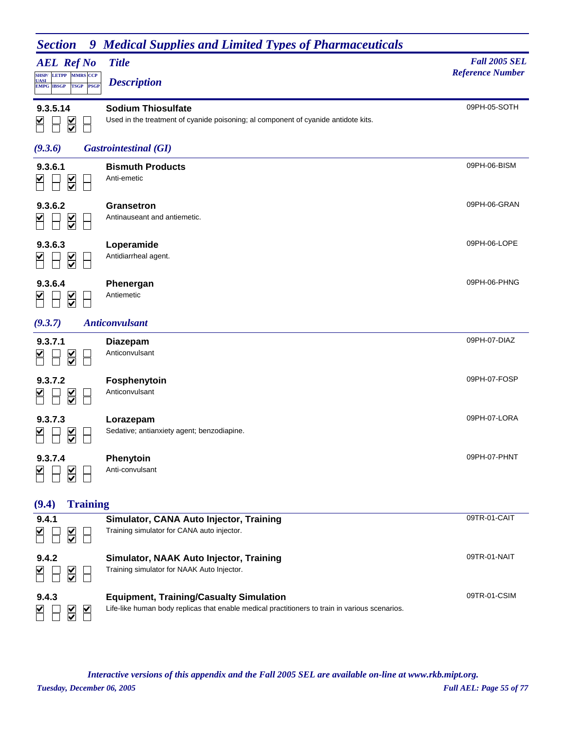| <b>Section</b><br>9                                            | <b>Medical Supplies and Limited Types of Pharmaceuticals</b>                                                    |                                                 |
|----------------------------------------------------------------|-----------------------------------------------------------------------------------------------------------------|-------------------------------------------------|
| <b>AEL Ref No</b><br>SHSP/ LETPP MMRS CCP                      | <b>Title</b>                                                                                                    | <b>Fall 2005 SEL</b><br><b>Reference Number</b> |
| <b>UASI</b><br><b>TSGP</b><br><b>PSGP</b><br><b>EMPG IBSGP</b> | <b>Description</b>                                                                                              |                                                 |
| 9.3.5.14<br>$\frac{\text{V}}{\text{V}}$                        | <b>Sodium Thiosulfate</b><br>Used in the treatment of cyanide poisoning; al component of cyanide antidote kits. | 09PH-05-SOTH                                    |
| (9.3.6)                                                        | <b>Gastrointestinal (GI)</b>                                                                                    |                                                 |
| 9.3.6.1<br>$\overline{\le}$                                    | <b>Bismuth Products</b><br>Anti-emetic                                                                          | 09PH-06-BISM                                    |
| 9.3.6.2<br>$\overline{\leq}$                                   | Gransetron<br>Antinauseant and antiemetic.                                                                      | 09PH-06-GRAN                                    |
| 9.3.6.3<br>$\overline{\leq}$                                   | Loperamide<br>Antidiarrheal agent.                                                                              | 09PH-06-LOPE                                    |
| 9.3.6.4<br>$\overline{\textbf{M}}$                             | Phenergan<br>Antiemetic                                                                                         | 09PH-06-PHNG                                    |
| (9.3.7)                                                        | <b>Anticonvulsant</b>                                                                                           |                                                 |
| 9.3.7.1<br>$\frac{\checkmark}{\checkmark}$                     | <b>Diazepam</b><br>Anticonvulsant                                                                               | 09PH-07-DIAZ                                    |
| 9.3.7.2<br>$\frac{1}{2}$                                       | Fosphenytoin<br>Anticonvulsant                                                                                  | 09PH-07-FOSP                                    |
| 9.3.7.3<br>$\frac{1}{2}$                                       | Lorazepam<br>Sedative; antianxiety agent; benzodiapine.                                                         | 09PH-07-LORA                                    |
| 9.3.7.4<br>$\frac{1}{2}$                                       | Phenytoin<br>Anti-convulsant                                                                                    | 09PH-07-PHNT                                    |
| <b>Training</b><br>(9.4)                                       |                                                                                                                 |                                                 |
| 9.4.1<br>$\overline{\le}$                                      | Simulator, CANA Auto Injector, Training<br>Training simulator for CANA auto injector.                           | 09TR-01-CAIT                                    |

| 9.4.2<br>$\leq$ $\Box$<br>$\overline{S}$      | <b>Simulator, NAAK Auto Injector, Training</b><br>Training simulator for NAAK Auto Injector.                                                     | 09TR-01-NAIT |
|-----------------------------------------------|--------------------------------------------------------------------------------------------------------------------------------------------------|--------------|
| 9.4.3<br>$\blacktriangleright$<br>$\sum$<br>₩ | <b>Equipment, Training/Casualty Simulation</b><br>Life-like human body replicas that enable medical practitioners to train in various scenarios. | 09TR-01-CSIM |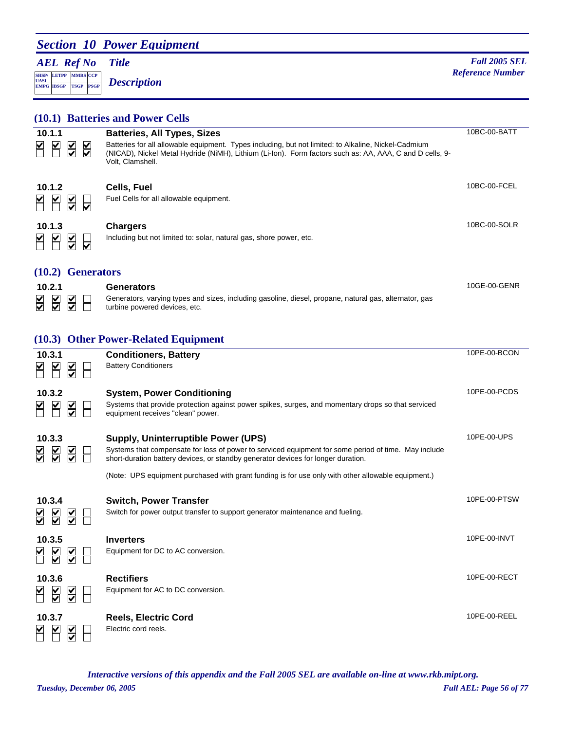### **Section 10 Power Equipment**

### *AEL Ref No*

**SHSP/ UASI LETPP PSGP CCP EMPG IBSGP TSGP** *Description*

*Title Fall 2005 SEL Meterion* **Reference Number** *Reference Number Reference Number* 

|                                          |                                                                      | (10.1) Batteries and Power Cells                                                                                                                                                                                                     |              |
|------------------------------------------|----------------------------------------------------------------------|--------------------------------------------------------------------------------------------------------------------------------------------------------------------------------------------------------------------------------------|--------------|
| 10.1.1                                   |                                                                      | <b>Batteries, All Types, Sizes</b>                                                                                                                                                                                                   | 10BC-00-BATT |
| ⊻                                        | $\overline{\leq}$<br>$\overline{\underline{\underline{\mathsf{X}}}}$ | Batteries for all allowable equipment. Types including, but not limited: to Alkaline, Nickel-Cadmium<br>(NICAD), Nickel Metal Hydride (NiMH), Lithium (Li-Ion). Form factors such as: AA, AAA, C and D cells, 9-<br>Volt, Clamshell. |              |
| 10.1.2                                   |                                                                      | Cells, Fuel                                                                                                                                                                                                                          | 10BC-00-FCEL |
|                                          | $\frac{1}{2}$<br>$\overline{\mathsf{v}}$                             | Fuel Cells for all allowable equipment.                                                                                                                                                                                              |              |
| 10.1.3                                   |                                                                      | <b>Chargers</b>                                                                                                                                                                                                                      | 10BC-00-SOLR |
| ⊻                                        | $\frac{1}{2}$<br>$\overline{\bm{\mathsf{v}}}$                        | Including but not limited to: solar, natural gas, shore power, etc.                                                                                                                                                                  |              |
|                                          | $(10.2)$ Generators                                                  |                                                                                                                                                                                                                                      |              |
| 10.2.1                                   |                                                                      | Generators                                                                                                                                                                                                                           | 10GE-00-GENR |
| $\overline{\leq}$<br>⋚                   | $\frac{1}{2}$                                                        | Generators, varying types and sizes, including gasoline, diesel, propane, natural gas, alternator, gas<br>turbine powered devices, etc.                                                                                              |              |
|                                          |                                                                      | (10.3) Other Power-Related Equipment                                                                                                                                                                                                 |              |
| 10.3.1                                   |                                                                      | <b>Conditioners, Battery</b>                                                                                                                                                                                                         | 10PE-00-BCON |
| ⊻                                        | $\overline{\underline{\underline{\mathsf{Y}}}}$                      | <b>Battery Conditioners</b>                                                                                                                                                                                                          |              |
| 10.3.2                                   |                                                                      | <b>System, Power Conditioning</b>                                                                                                                                                                                                    | 10PE-00-PCDS |
|                                          | $\overline{\mathsf{S}}$                                              | Systems that provide protection against power spikes, surges, and momentary drops so that serviced<br>equipment receives "clean" power.                                                                                              |              |
| 10.3.3                                   |                                                                      | <b>Supply, Uninterruptible Power (UPS)</b>                                                                                                                                                                                           | 10PE-00-UPS  |
| $\overline{\underline{\mathsf{S}}}$<br>₩ | $\sum$                                                               | Systems that compensate for loss of power to serviced equipment for some period of time. May include<br>short-duration battery devices, or standby generator devices for longer duration.                                            |              |
|                                          |                                                                      | (Note: UPS equipment purchased with grant funding is for use only with other allowable equipment.)                                                                                                                                   |              |
| 10.3.4                                   |                                                                      | <b>Switch, Power Transfer</b>                                                                                                                                                                                                        | 10PE-00-PTSW |
|                                          |                                                                      | Switch for power output transfer to support generator maintenance and fueling.                                                                                                                                                       |              |
| $\frac{1}{2}$<br>$\frac{1}{2}$           |                                                                      |                                                                                                                                                                                                                                      |              |
| 10.3.5                                   |                                                                      | <b>Inverters</b>                                                                                                                                                                                                                     | 10PE-00-INVT |
|                                          | $\overline{\underline{\mathsf{S}}}$                                  | Equipment for DC to AC conversion.                                                                                                                                                                                                   |              |
| 10.3.6                                   |                                                                      | <b>Rectifiers</b>                                                                                                                                                                                                                    | 10PE-00-RECT |
| $\sum$                                   |                                                                      | Equipment for AC to DC conversion.                                                                                                                                                                                                   |              |
| 10.3.7                                   |                                                                      | <b>Reels, Electric Cord</b>                                                                                                                                                                                                          | 10PE-00-REEL |
|                                          |                                                                      | Electric cord reels.                                                                                                                                                                                                                 |              |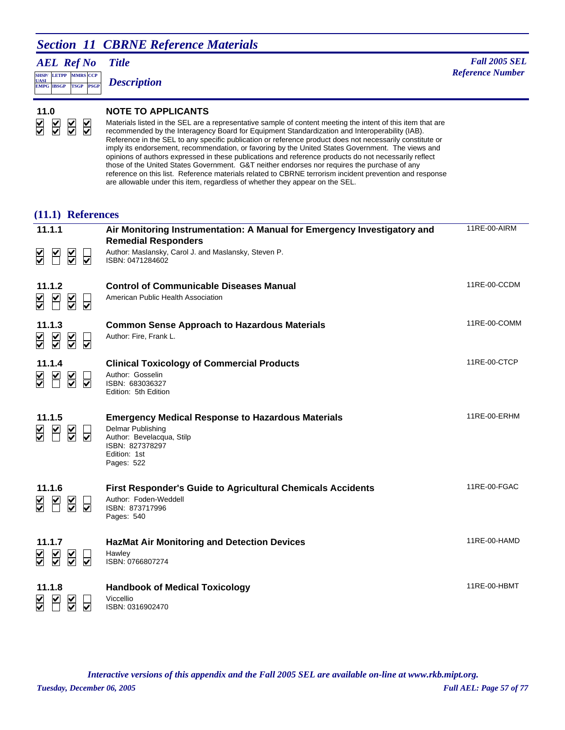### **Section 11 CBRNE Reference Materials**

*AEL Ref No*

**SHSP/ UASI LETPP PSGP CCP EMPG IBSGP TSGP** *Description*

#### **11.0 NOTE TO APPLICANTS**

Materials listed in the SEL are a representative sample of content meeting the intent of this item that are recommended by the Interagency Board for Equipment Standardization and Interoperability (IAB). Reference in the SEL to any specific publication or reference product does not necessarily constitute or imply its endorsement, recommendation, or favoring by the United States Government. The views and opinions of authors expressed in these publications and reference products do not necessarily reflect those of the United States Government. G&T neither endorses nor requires the purchase of any reference on this list. Reference materials related to CBRNE terrorism incident prevention and response are allowable under this item, regardless of whether they appear on the SEL.

#### **(11.1) References**

| 11.1.1                                                                                                                                                      | Air Monitoring Instrumentation: A Manual for Emergency Investigatory and<br><b>Remedial Responders</b>                                                             | 11RE-00-AIRM |
|-------------------------------------------------------------------------------------------------------------------------------------------------------------|--------------------------------------------------------------------------------------------------------------------------------------------------------------------|--------------|
| $\overline{\underline{\mathsf{S}}}$<br>$\overline{\mathsf{M}}$<br>୰<br>$\overline{\mathbf{v}}$                                                              | Author: Maslansky, Carol J. and Maslansky, Steven P.<br>ISBN: 0471284602                                                                                           |              |
| 11.1.2<br>$\overline{\mathbf{Y}}$<br>$\overline{\underline{\underline{\mathsf{S}}}}$<br>$\frac{1}{2}$<br>$\overline{\mathbf{v}}$                            | <b>Control of Communicable Diseases Manual</b><br>American Public Health Association                                                                               | 11RE-00-CCDM |
| 11.1.3<br>$\overline{\mathbf{S}}$<br>$\frac{1}{2}$<br>$\overline{\underline{\mathsf{S}}}$<br>₩                                                              | <b>Common Sense Approach to Hazardous Materials</b><br>Author: Fire, Frank L.                                                                                      | 11RE-00-COMM |
| 11.1.4<br>$\overline{\underline{\underline{\mathsf{Y}}}}$<br>$\sum_{i=1}^{n}$<br>$\frac{\blacktriangledown}{\blacktriangledown}$<br>$\overline{\mathbf{v}}$ | <b>Clinical Toxicology of Commercial Products</b><br>Author: Gosselin<br>ISBN: 683036327<br>Edition: 5th Edition                                                   | 11RE-00-CTCP |
| 11.1.5<br>M<br>$\sum$<br>⋚<br>⊽                                                                                                                             | <b>Emergency Medical Response to Hazardous Materials</b><br><b>Delmar Publishing</b><br>Author: Bevelacqua, Stilp<br>ISBN: 827378297<br>Edition: 1st<br>Pages: 522 | 11RE-00-ERHM |
| 11.1.6<br>$\overline{\underline{\mathsf{v}}}$<br>M<br>⋚<br>⊽                                                                                                | <b>First Responder's Guide to Agricultural Chemicals Accidents</b><br>Author: Foden-Weddell<br>ISBN: 873717996<br>Pages: 540                                       | 11RE-00-FGAC |
| 11.1.7<br>$\overline{\underline{\underline{\mathsf{S}}}}$<br>$\sum$<br>╣<br>⊽                                                                               | <b>HazMat Air Monitoring and Detection Devices</b><br>Hawley<br>ISBN: 0766807274                                                                                   | 11RE-00-HAMD |
| 11.1.8<br>$\frac{1}{2}$<br>$\overline{\mathsf{v}}$                                                                                                          | <b>Handbook of Medical Toxicology</b><br>Viccellio<br>ISBN: 0316902470                                                                                             | 11RE-00-HBMT |

*Tuesday, December 06, 2005 Full AEL: Page 57 of 77 Interactive versions of this appendix and the Fall 2005 SEL are available on-line at www.rkb.mipt.org.*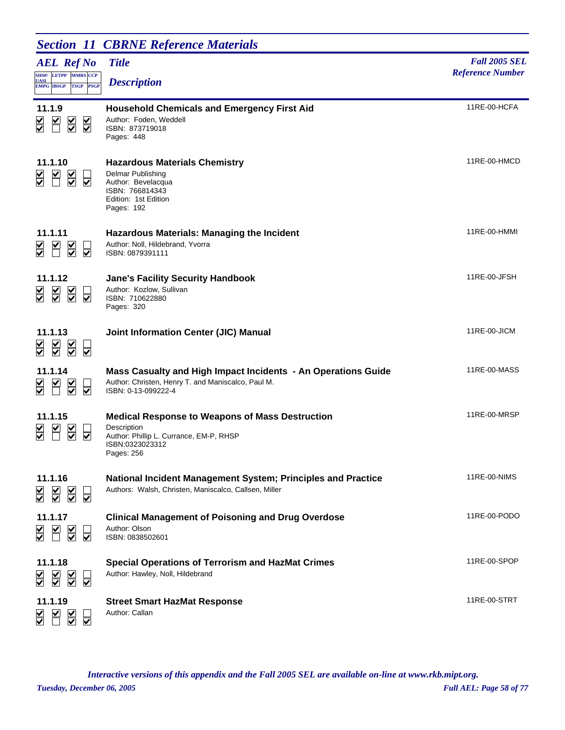|                                                                                                             | <b>Section 11 CBRNE Reference Materials</b>                                                                                                       |                                                 |
|-------------------------------------------------------------------------------------------------------------|---------------------------------------------------------------------------------------------------------------------------------------------------|-------------------------------------------------|
| <b>AEL Ref No</b><br>SHSP/ LETPP MMRS CCP<br><b>UASI</b><br><b>EMPG IBSGP</b><br><b>TSGP</b><br><b>PSGP</b> | <b>Title</b><br><b>Description</b>                                                                                                                | <b>Fall 2005 SEL</b><br><b>Reference Number</b> |
| 11.1.9<br>$\overline{\leq}$<br>$\leq$<br>$\overline{\underline{\underline{\mathsf{Y}}}}$                    | <b>Household Chemicals and Emergency First Aid</b><br>Author: Foden, Weddell<br>ISBN: 873719018<br>Pages: 448                                     | 11RE-00-HCFA                                    |
| 11.1.10<br>M<br>$\overline{\leq}$<br>₩<br>⊽                                                                 | <b>Hazardous Materials Chemistry</b><br><b>Delmar Publishing</b><br>Author: Bevelacqua<br>ISBN: 766814343<br>Edition: 1st Edition<br>Pages: 192   | 11RE-00-HMCD                                    |
| 11.1.11<br>$\overline{\underline{\underline{\mathsf{Y}}}}$<br>⊻<br>⊽                                        | <b>Hazardous Materials: Managing the Incident</b><br>Author: Noll, Hildebrand, Yvorra<br>ISBN: 0879391111                                         | 11RE-00-HMMI                                    |
| 11.1.12<br>$\overline{\underline{\underline{\mathsf{Y}}}}$<br>$\overline{\underline{\mathsf{S}}}$<br>⋚<br>⊽ | <b>Jane's Facility Security Handbook</b><br>Author: Kozlow, Sullivan<br>ISBN: 710622880<br>Pages: 320                                             | 11RE-00-JFSH                                    |
| 11.1.13<br>$\overline{\underline{\mathsf{S}}}$<br>$\overline{\underline{\mathsf{S}}}$<br>⋚<br>₩             | Joint Information Center (JIC) Manual                                                                                                             | 11RE-00-JICM                                    |
| 11.1.14<br>$\overline{\underline{\mathsf{S}}}$<br>⊽                                                         | Mass Casualty and High Impact Incidents - An Operations Guide<br>Author: Christen, Henry T. and Maniscalco, Paul M.<br>ISBN: 0-13-099222-4        | 11RE-00-MASS                                    |
| 11.1.15<br>$\frac{\mathsf{v}}{\mathsf{v}}$<br>$\overline{\mathsf{v}}$                                       | <b>Medical Response to Weapons of Mass Destruction</b><br>Description<br>Author: Phillip L. Currance, EM-P, RHSP<br>ISBN:0323023312<br>Pages: 256 | 11RE-00-MRSP                                    |
| 11.1.16<br>$\overline{\underline{\mathsf{S}}}$<br>$\sum$<br>⋚<br>$\overline{\mathbf{v}}$                    | National Incident Management System; Principles and Practice<br>Authors: Walsh, Christen, Maniscalco, Callsen, Miller                             | 11RE-00-NIMS                                    |
| 11.1.17<br>$\overline{\underline{\underline{\mathsf{X}}}}$<br>₩                                             | <b>Clinical Management of Poisoning and Drug Overdose</b><br>Author: Olson<br>ISBN: 0838502601                                                    | 11RE-00-PODO                                    |
| 11.1.18<br>$\overline{\underline{\underline{\mathsf{Y}}}}$<br>⊽                                             | <b>Special Operations of Terrorism and HazMat Crimes</b><br>Author: Hawley, Noll, Hildebrand                                                      | 11RE-00-SPOP                                    |
| 11.1.19<br>⊽                                                                                                | <b>Street Smart HazMat Response</b><br>Author: Callan                                                                                             | 11RE-00-STRT                                    |

*Tuesday, December 06, 2005 Full AEL: Page 58 of 77 Interactive versions of this appendix and the Fall 2005 SEL are available on-line at www.rkb.mipt.org.*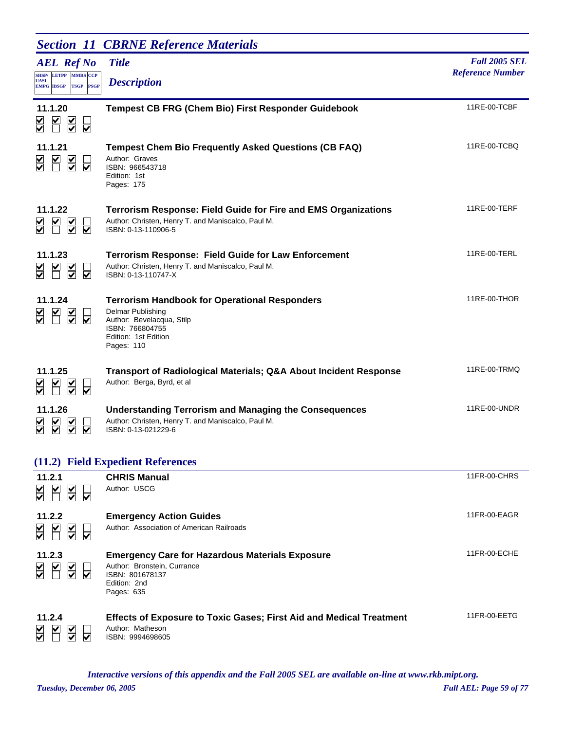|                                                                                          | <b>Section 11 CBRNE Reference Materials</b>                                                                                                                     |                         |
|------------------------------------------------------------------------------------------|-----------------------------------------------------------------------------------------------------------------------------------------------------------------|-------------------------|
| <b>AEL Ref No</b>                                                                        | <b>Title</b>                                                                                                                                                    | <b>Fall 2005 SEL</b>    |
| SHSP/ LETPP MMRS CCP<br><b>UASI</b><br><b>TSGP</b><br><b>PSGP</b><br><b>EMPG IBSGP</b>   | <b>Description</b>                                                                                                                                              | <b>Reference Number</b> |
| 11.1.20<br>$\blacktriangleright$<br>$\overline{\underline{\underline{\mathsf{Y}}}}$<br>⊽ | <b>Tempest CB FRG (Chem Bio) First Responder Guidebook</b>                                                                                                      | 11RE-00-TCBF            |
| 11.1.21<br>$\overline{\le}$<br>⊽                                                         | <b>Tempest Chem Bio Frequently Asked Questions (CB FAQ)</b><br>Author: Graves<br>ISBN: 966543718<br>Edition: 1st<br>Pages: 175                                  | 11RE-00-TCBQ            |
| 11.1.22<br>K<br>$\overline{\mathsf{S}}$<br>⊽                                             | <b>Terrorism Response: Field Guide for Fire and EMS Organizations</b><br>Author: Christen, Henry T. and Maniscalco, Paul M.<br>ISBN: 0-13-110906-5              | 11RE-00-TERF            |
| 11.1.23<br>M<br>$\frac{\mathsf{K}}{\mathsf{S}}$<br>⊽                                     | <b>Terrorism Response: Field Guide for Law Enforcement</b><br>Author: Christen, Henry T. and Maniscalco, Paul M.<br>ISBN: 0-13-110747-X                         | 11RE-00-TERL            |
| 11.1.24<br>$\overline{\leq}$<br>⊽                                                        | <b>Terrorism Handbook for Operational Responders</b><br>Delmar Publishing<br>Author: Bevelacqua, Stilp<br>ISBN: 766804755<br>Edition: 1st Edition<br>Pages: 110 | 11RE-00-THOR            |
| 11.1.25<br>$\overline{\underline{\underline{\mathsf{Y}}}}$<br>⊽                          | <b>Transport of Radiological Materials; Q&amp;A About Incident Response</b><br>Author: Berga, Byrd, et al                                                       | 11RE-00-TRMQ            |
| 11.1.26<br>⊽                                                                             | <b>Understanding Terrorism and Managing the Consequences</b><br>Author: Christen, Henry T. and Maniscalco, Paul M.<br>ISBN: 0-13-021229-6                       | 11RE-00-UNDR            |
|                                                                                          | (11.2) Field Expedient References                                                                                                                               |                         |
| 11.2.1<br>$\overline{\leq}$<br>M<br>⊽                                                    | <b>CHRIS Manual</b><br>Author: USCG                                                                                                                             | 11FR-00-CHRS            |
| 11.2.2<br>⊻<br>$\overline{\underline{\underline{\mathsf{Y}}}}$<br>⊽                      | <b>Emergency Action Guides</b><br>Author: Association of American Railroads                                                                                     | 11FR-00-EAGR            |
| 11.2.3<br>$\overline{\underline{\underline{\underline{\mathsf{Y}}}}}$<br>⊽               | <b>Emergency Care for Hazardous Materials Exposure</b><br>Author: Bronstein, Currance<br>ISBN: 801678137<br>Edition: 2nd<br>Pages: 635                          | 11FR-00-ECHE            |
| 11.2.4<br>₩<br>⊽                                                                         | <b>Effects of Exposure to Toxic Gases; First Aid and Medical Treatment</b><br>Author: Matheson<br>ISBN: 9994698605                                              | 11FR-00-EETG            |

*Tuesday, December 06, 2005 Full AEL: Page 59 of 77 Interactive versions of this appendix and the Fall 2005 SEL are available on-line at www.rkb.mipt.org.*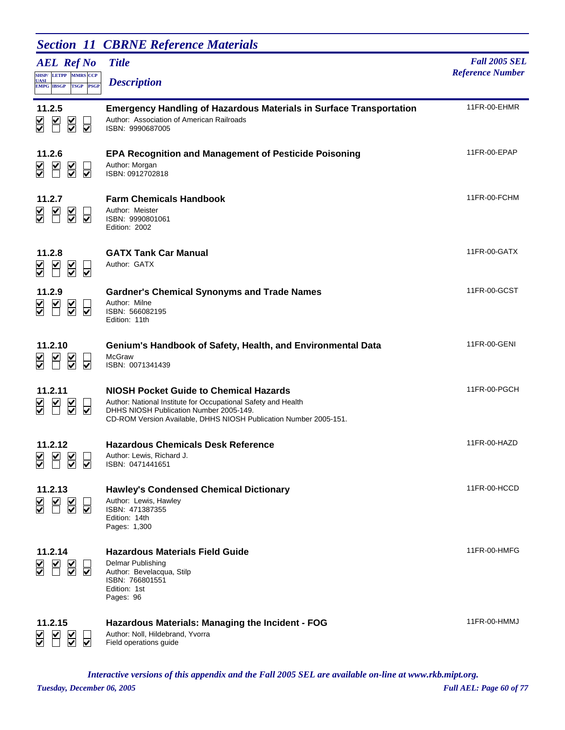|                                                                                       | <b>Section 11 CBRNE Reference Materials</b>                                                                                                                                                                                    |                                                 |
|---------------------------------------------------------------------------------------|--------------------------------------------------------------------------------------------------------------------------------------------------------------------------------------------------------------------------------|-------------------------------------------------|
| <b>AEL Ref No</b>                                                                     | <b>Title</b>                                                                                                                                                                                                                   | <b>Fall 2005 SEL</b><br><b>Reference Number</b> |
| SHSP/LETPP MMRS CCP<br><b>UASI</b><br><b>PSGP</b><br><b>EMPG IBSGP</b><br><b>TSGP</b> | <b>Description</b>                                                                                                                                                                                                             |                                                 |
| 11.2.5<br>$\overline{\underline{\underline{\mathsf{Y}}}}$<br>M<br>₩<br>☑              | <b>Emergency Handling of Hazardous Materials in Surface Transportation</b><br>Author: Association of American Railroads<br>ISBN: 9990687005                                                                                    | 11FR-00-EHMR                                    |
| 11.2.6<br>M<br>$\frac{1}{2}$<br>₩<br>$\overline{\blacktriangledown}$                  | <b>EPA Recognition and Management of Pesticide Poisoning</b><br>Author: Morgan<br>ISBN: 0912702818                                                                                                                             | 11FR-00-EPAP                                    |
| 11.2.7<br>M<br>$\frac{1}{2}$<br>⊽                                                     | <b>Farm Chemicals Handbook</b><br>Author: Meister<br>ISBN: 9990801061<br>Edition: 2002                                                                                                                                         | 11FR-00-FCHM                                    |
| 11.2.8<br>$\leq$<br>⊽                                                                 | <b>GATX Tank Car Manual</b><br>Author: GATX                                                                                                                                                                                    | 11FR-00-GATX                                    |
| 11.2.9<br>$\overline{\leq}$<br>$\preceq$<br>⋚<br>⊽                                    | <b>Gardner's Chemical Synonyms and Trade Names</b><br>Author: Milne<br>ISBN: 566082195<br>Edition: 11th                                                                                                                        | 11FR-00-GCST                                    |
| 11.2.10<br>$\frac{1}{\sqrt{2}}$<br>⊽                                                  | Genium's Handbook of Safety, Health, and Environmental Data<br>McGraw<br>ISBN: 0071341439                                                                                                                                      | 11FR-00-GENI                                    |
| 11.2.11<br>$\overline{\underline{\underline{\mathsf{Y}}}}$<br>₩<br>⊽                  | <b>NIOSH Pocket Guide to Chemical Hazards</b><br>Author: National Institute for Occupational Safety and Health<br>DHHS NIOSH Publication Number 2005-149.<br>CD-ROM Version Available, DHHS NIOSH Publication Number 2005-151. | 11FR-00-PGCH                                    |
| 11.2.12<br>M<br>$\sum_{i=1}^{n}$<br>$\overline{\mathbf{v}}$                           | <b>Hazardous Chemicals Desk Reference</b><br>Author: Lewis, Richard J.<br>ISBN: 0471441651                                                                                                                                     | 11FR-00-HAZD                                    |
| 11.2.13<br>$\overline{\underline{\underline{\mathsf{X}}}}$<br>₩<br>⊽                  | <b>Hawley's Condensed Chemical Dictionary</b><br>Author: Lewis, Hawley<br>ISBN: 471387355<br>Edition: 14th<br>Pages: 1,300                                                                                                     | 11FR-00-HCCD                                    |
| 11.2.14<br>$\frac{1}{\sqrt{2}}$<br>⊽                                                  | <b>Hazardous Materials Field Guide</b><br>Delmar Publishing<br>Author: Bevelacqua, Stilp<br>ISBN: 766801551<br>Edition: 1st<br>Pages: 96                                                                                       | 11FR-00-HMFG                                    |
| 11.2.15<br>$\frac{\mathsf{v}}{\mathsf{v}}$<br>$\overline{\blacktriangledown}$         | Hazardous Materials: Managing the Incident - FOG<br>Author: Noll, Hildebrand, Yvorra<br>Field operations guide                                                                                                                 | 11FR-00-HMMJ                                    |

*Tuesday, December 06, 2005 Full AEL: Page 60 of 77 Interactive versions of this appendix and the Fall 2005 SEL are available on-line at www.rkb.mipt.org.*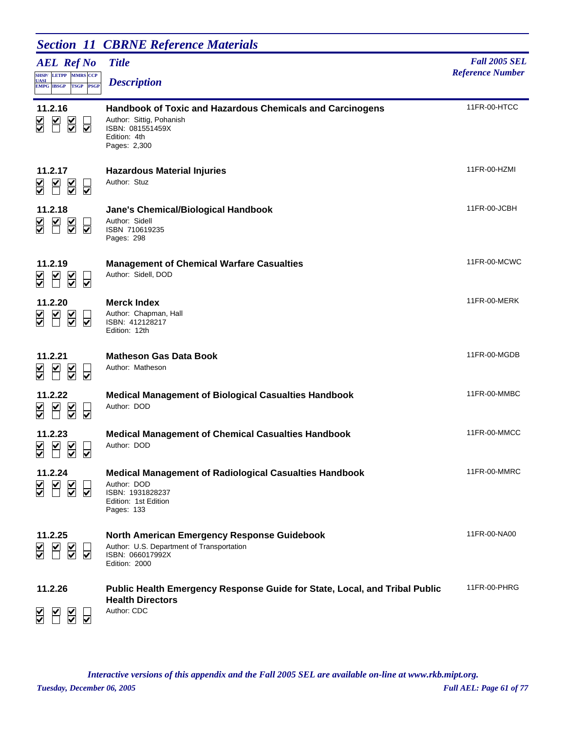|                                                                                                                    | <b>Section 11 CBRNE Reference Materials</b>                                                                                                      |                                                 |
|--------------------------------------------------------------------------------------------------------------------|--------------------------------------------------------------------------------------------------------------------------------------------------|-------------------------------------------------|
| <b>AEL Ref No</b><br><b>SHSP/ LETPP MMRS CCP</b><br><b>UASI</b><br><b>EMPG IBSGP</b><br><b>TSGP</b><br><b>PSGP</b> | <b>Title</b><br><b>Description</b>                                                                                                               | <b>Fall 2005 SEL</b><br><b>Reference Number</b> |
| 11.2.16<br>$\blacktriangleright$<br>$\overline{\underline{\underline{\mathsf{Y}}}}$<br>⊽                           | <b>Handbook of Toxic and Hazardous Chemicals and Carcinogens</b><br>Author: Sittig, Pohanish<br>ISBN: 081551459X<br>Edition: 4th<br>Pages: 2,300 | 11FR-00-HTCC                                    |
| 11.2.17<br>$\overline{\blacktriangle}$<br>⊽                                                                        | <b>Hazardous Material Injuries</b><br>Author: Stuz                                                                                               | 11FR-00-HZMI                                    |
| 11.2.18<br>⊻<br>$\overline{\leq}$<br>⊽                                                                             | Jane's Chemical/Biological Handbook<br>Author: Sidell<br>ISBN 710619235<br>Pages: 298                                                            | 11FR-00-JCBH                                    |
| 11.2.19<br>$\overline{\underline{\underline{\mathsf{Y}}}}$<br>M<br>⊽                                               | <b>Management of Chemical Warfare Casualties</b><br>Author: Sidell, DOD                                                                          | 11FR-00-MCWC                                    |
| 11.2.20<br>$\overline{\leq}$<br>⊽                                                                                  | <b>Merck Index</b><br>Author: Chapman, Hall<br>ISBN: 412128217<br>Edition: 12th                                                                  | 11FR-00-MERK                                    |
| 11.2.21<br>$\leq$ $\leq$<br>⊽                                                                                      | <b>Matheson Gas Data Book</b><br>Author: Matheson                                                                                                | 11FR-00-MGDB                                    |
| 11.2.22<br>$\overline{\leq}$<br>₩                                                                                  | <b>Medical Management of Biological Casualties Handbook</b><br>Author: DOD                                                                       | 11FR-00-MMBC                                    |
| 11.2.23<br>$\blacktriangledown$<br>$\blacktriangledown$<br>$\vert\bm{\mathsf{v}}\vert$<br>$\blacksquare$<br>⊽ ⊽    | <b>Medical Management of Chemical Casualties Handbook</b><br>Author: DOD                                                                         | 11FR-00-MMCC                                    |
| 11.2.24<br>$\overline{\leq}$<br>⊽                                                                                  | <b>Medical Management of Radiological Casualties Handbook</b><br>Author: DOD<br>ISBN: 1931828237<br>Edition: 1st Edition<br>Pages: 133           | 11FR-00-MMRC                                    |
| 11.2.25<br>$\blacktriangleright$<br>$\overline{\leq}$<br>⊽                                                         | <b>North American Emergency Response Guidebook</b><br>Author: U.S. Department of Transportation<br>ISBN: 066017992X<br><b>Edition: 2000</b>      | 11FR-00-NA00                                    |
| 11.2.26                                                                                                            | Public Health Emergency Response Guide for State, Local, and Tribal Public<br><b>Health Directors</b><br>Author: CDC                             | 11FR-00-PHRG                                    |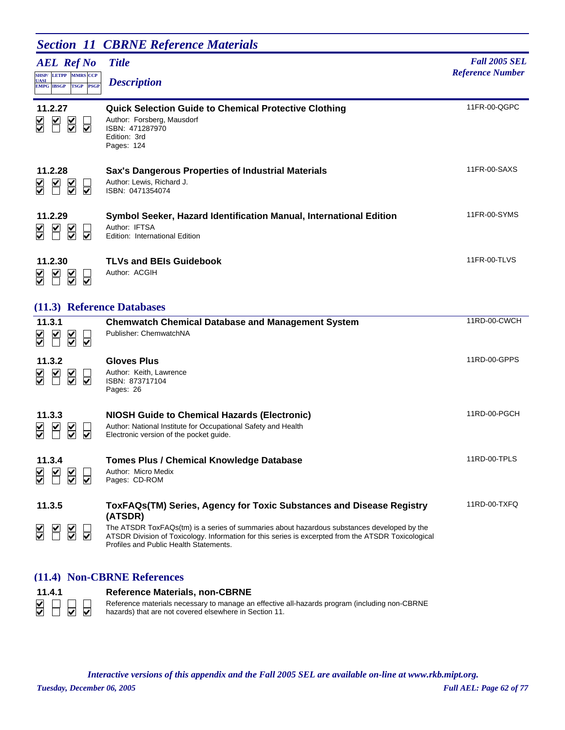# **Section 11 CBRNE Reference Materials**

| <b>AEL Ref No</b><br><b>SHSP/ LETPP MMRS CCP</b><br><b>UASI</b><br><b>PSGP</b><br><b>EMPG IBSGP</b><br><b>TSGP</b>                     | <b>Title</b><br><b>Description</b>                                                                                                          | <b>Fall 2005 SEL</b><br><b>Reference Number</b> |
|----------------------------------------------------------------------------------------------------------------------------------------|---------------------------------------------------------------------------------------------------------------------------------------------|-------------------------------------------------|
| 11.2.27<br>$\blacktriangleright$<br>$\overline{\underline{\underline{\mathsf{X}}}}$<br>$\frac{1}{\sqrt{2}}$<br>$\overline{\mathsf{v}}$ | <b>Quick Selection Guide to Chemical Protective Clothing</b><br>Author: Forsberg, Mausdorf<br>ISBN: 471287970<br>Edition: 3rd<br>Pages: 124 | 11FR-00-QGPC                                    |
| 11.2.28<br>$\blacktriangleright$<br>$\overline{\le}$<br>$\frac{1}{\sqrt{2}}$                                                           | <b>Sax's Dangerous Properties of Industrial Materials</b><br>Author: Lewis, Richard J.<br>ISBN: 0471354074                                  | 11FR-00-SAXS                                    |
| 11.2.29<br>$\sum$<br>$\overline{\underline{\underline{\mathsf{Y}}}}$<br>४<br>$\overline{\blacktriangledown}$                           | Symbol Seeker, Hazard Identification Manual, International Edition<br>Author: IFTSA<br>Edition: International Edition                       | 11FR-00-SYMS                                    |
| 11.2.30<br>$\overline{\leq}$<br>$\blacktriangle$<br>$\frac{\blacktriangle}{\blacktriangledown}$<br>$\overline{\mathsf{v}}$             | <b>TLVs and BEIs Guidebook</b><br>Author: ACGIH                                                                                             | 11FR-00-TLVS                                    |
| (11.3) Reference Databases                                                                                                             |                                                                                                                                             |                                                 |
| 11.3.1                                                                                                                                 | <b>Chemwatch Chemical Database and Management System</b>                                                                                    | 11RD-00-CWCH                                    |

| $\frac{1}{2}$<br>⊽                                                                                                        | Publisher: ChemwatchNA                                                                                                                                                                                                                                                                                                         |              |
|---------------------------------------------------------------------------------------------------------------------------|--------------------------------------------------------------------------------------------------------------------------------------------------------------------------------------------------------------------------------------------------------------------------------------------------------------------------------|--------------|
| 11.3.2<br>$\ge$<br>$\sum_{i=1}^{n}$<br>$\frac{\blacktriangledown}{\blacktriangledown}$                                    | <b>Gloves Plus</b><br>Author: Keith, Lawrence<br>ISBN: 873717104<br>Pages: 26                                                                                                                                                                                                                                                  | 11RD-00-GPPS |
| 11.3.3<br>$\overline{\underline{\check{\ }}}$<br>$\sum_{i=1}^{n}$<br>$\frac{\blacktriangledown}{\blacktriangledown}$<br>⊽ | NIOSH Guide to Chemical Hazards (Electronic)<br>Author: National Institute for Occupational Safety and Health<br>Electronic version of the pocket guide.                                                                                                                                                                       | 11RD-00-PGCH |
| 11.3.4<br>$\frac{1}{2}$<br>$\leq$                                                                                         | Tomes Plus / Chemical Knowledge Database<br>Author: Micro Medix<br>Pages: CD-ROM                                                                                                                                                                                                                                               | 11RD-00-TPLS |
| 11.3.5<br>$\sum$<br>⊽                                                                                                     | ToxFAQs(TM) Series, Agency for Toxic Substances and Disease Registry<br>(ATSDR)<br>The ATSDR ToxFAQs(tm) is a series of summaries about hazardous substances developed by the<br>ATSDR Division of Toxicology. Information for this series is excerpted from the ATSDR Toxicological<br>Profiles and Public Health Statements. | 11RD-00-TXFQ |

#### **(11.4) Non-CBRNE References**



**11.4.1 Reference Materials, non-CBRNE**

Reference materials necessary to manage an effective all-hazards program (including non-CBRNE hazards) that are not covered elsewhere in Section 11.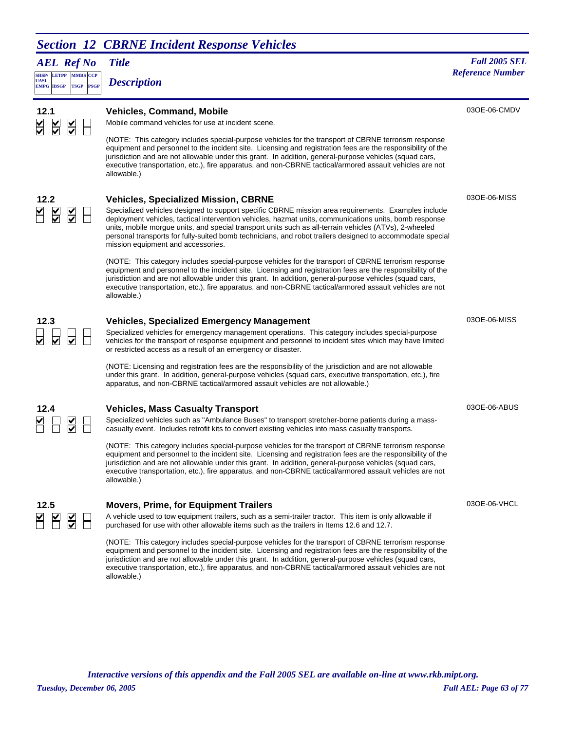# **Section 12 CBRNE Incident Response Vehicles**

*AEL Ref No* **SHSP/ UASI LETPP PSGP CCP EMPG IBSGP TSGP** *Description*

# *Title Fall 2005 SEL Meterion* **Reference Number** *Reference Number Reference Number*

| 12.1<br>$\overline{\blacktriangle}$<br>$\overline{\leq}$ | $\frac{1}{2}$                   | <b>Vehicles, Command, Mobile</b><br>Mobile command vehicles for use at incident scene.                                                                                                                                                                                                                                                                                                                                                                                     | 03OE-06-CMDV |
|----------------------------------------------------------|---------------------------------|----------------------------------------------------------------------------------------------------------------------------------------------------------------------------------------------------------------------------------------------------------------------------------------------------------------------------------------------------------------------------------------------------------------------------------------------------------------------------|--------------|
|                                                          |                                 | (NOTE: This category includes special-purpose vehicles for the transport of CBRNE terrorism response<br>equipment and personnel to the incident site. Licensing and registration fees are the responsibility of the<br>jurisdiction and are not allowable under this grant. In addition, general-purpose vehicles (squad cars,<br>executive transportation, etc.), fire apparatus, and non-CBRNE tactical/armored assault vehicles are not<br>allowable.)                  |              |
| 12.2                                                     |                                 | <b>Vehicles, Specialized Mission, CBRNE</b>                                                                                                                                                                                                                                                                                                                                                                                                                                | 030E-06-MISS |
| $\overline{\underline{\underline{\mathsf{Y}}}}$          | $\overline{\le}$                | Specialized vehicles designed to support specific CBRNE mission area requirements. Examples include<br>deployment vehicles, tactical intervention vehicles, hazmat units, communications units, bomb response<br>units, mobile morgue units, and special transport units such as all-terrain vehicles (ATVs), 2-wheeled<br>personal transports for fully-suited bomb technicians, and robot trailers designed to accommodate special<br>mission equipment and accessories. |              |
|                                                          |                                 | (NOTE: This category includes special-purpose vehicles for the transport of CBRNE terrorism response<br>equipment and personnel to the incident site. Licensing and registration fees are the responsibility of the<br>jurisdiction and are not allowable under this grant. In addition, general-purpose vehicles (squad cars,<br>executive transportation, etc.), fire apparatus, and non-CBRNE tactical/armored assault vehicles are not<br>allowable.)                  |              |
| 12.3                                                     |                                 | <b>Vehicles, Specialized Emergency Management</b>                                                                                                                                                                                                                                                                                                                                                                                                                          | 030E-06-MISS |
| $\overline{\blacktriangledown}$                          | $\overline{\blacktriangledown}$ | Specialized vehicles for emergency management operations. This category includes special-purpose<br>vehicles for the transport of response equipment and personnel to incident sites which may have limited<br>or restricted access as a result of an emergency or disaster.                                                                                                                                                                                               |              |
|                                                          |                                 | (NOTE: Licensing and registration fees are the responsibility of the jurisdiction and are not allowable<br>under this grant. In addition, general-purpose vehicles (squad cars, executive transportation, etc.), fire<br>apparatus, and non-CBRNE tactical/armored assault vehicles are not allowable.)                                                                                                                                                                    |              |
| 12.4                                                     |                                 | <b>Vehicles, Mass Casualty Transport</b>                                                                                                                                                                                                                                                                                                                                                                                                                                   | 03OE-06-ABUS |
|                                                          | $\frac{\checkmark}{\checkmark}$ | Specialized vehicles such as "Ambulance Buses" to transport stretcher-borne patients during a mass-<br>casualty event. Includes retrofit kits to convert existing vehicles into mass casualty transports.                                                                                                                                                                                                                                                                  |              |
|                                                          |                                 | (NOTE: This category includes special-purpose vehicles for the transport of CBRNE terrorism response<br>equipment and personnel to the incident site. Licensing and registration fees are the responsibility of the<br>jurisdiction and are not allowable under this grant. In addition, general-purpose vehicles (squad cars,<br>executive transportation, etc.), fire apparatus, and non-CBRNE tactical/armored assault vehicles are not<br>allowable.)                  |              |
| 12.5                                                     |                                 | <b>Movers, Prime, for Equipment Trailers</b>                                                                                                                                                                                                                                                                                                                                                                                                                               | 03OE-06-VHCL |
|                                                          |                                 | A vehicle used to tow equipment trailers, such as a semi-trailer tractor. This item is only allowable if<br>purchased for use with other allowable items such as the trailers in Items 12.6 and 12.7.                                                                                                                                                                                                                                                                      |              |
|                                                          |                                 | (NOTE: This category includes special-purpose vehicles for the transport of CBRNE terrorism response<br>equipment and personnel to the incident site. Licensing and registration fees are the responsibility of the<br>jurisdiction and are not allowable under this grant. In addition, general-purpose vehicles (squad cars,<br>executive transportation, etc.), fire apparatus, and non-CBRNE tactical/armored assault vehicles are not<br>allowable.)                  |              |
|                                                          |                                 |                                                                                                                                                                                                                                                                                                                                                                                                                                                                            |              |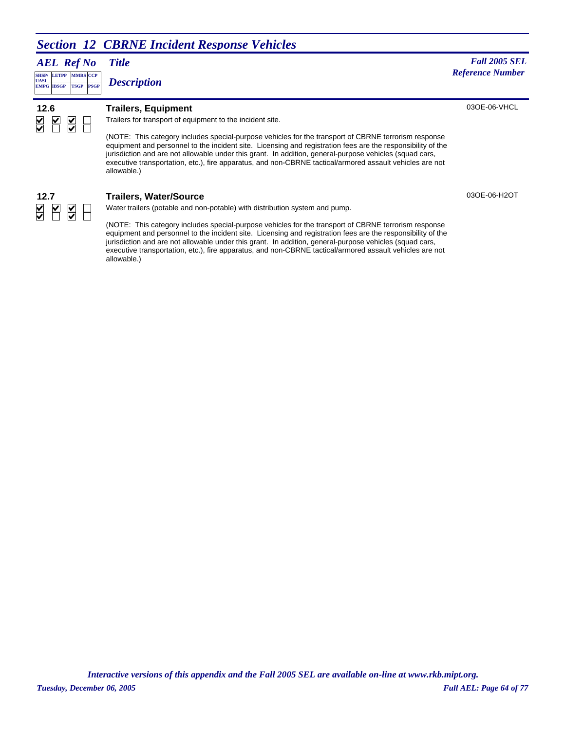# **Section 12 CBRNE Incident Response Vehicles**

*AEL Ref No*

**SHSP/ UASI LETPP PSGP CCP EMPG IBSGP TSGP** *Description*

#### *Title Fall 2005 SEL Reference Number Reference Number*

03OE-06-VHCL

 $\frac{1}{2}$  $\overline{\blacktriangle}$ Н

#### **12.6 Trailers, Equipment**

Trailers for transport of equipment to the incident site.

(NOTE: This category includes special-purpose vehicles for the transport of CBRNE terrorism response equipment and personnel to the incident site. Licensing and registration fees are the responsibility of the jurisdiction and are not allowable under this grant. In addition, general-purpose vehicles (squad cars, executive transportation, etc.), fire apparatus, and non-CBRNE tactical/armored assault vehicles are not allowable.)



#### **12.7 Trailers, Water/Source**

Water trailers (potable and non-potable) with distribution system and pump.

(NOTE: This category includes special-purpose vehicles for the transport of CBRNE terrorism response equipment and personnel to the incident site. Licensing and registration fees are the responsibility of the jurisdiction and are not allowable under this grant. In addition, general-purpose vehicles (squad cars, executive transportation, etc.), fire apparatus, and non-CBRNE tactical/armored assault vehicles are not allowable.)

03OE-06-H2OT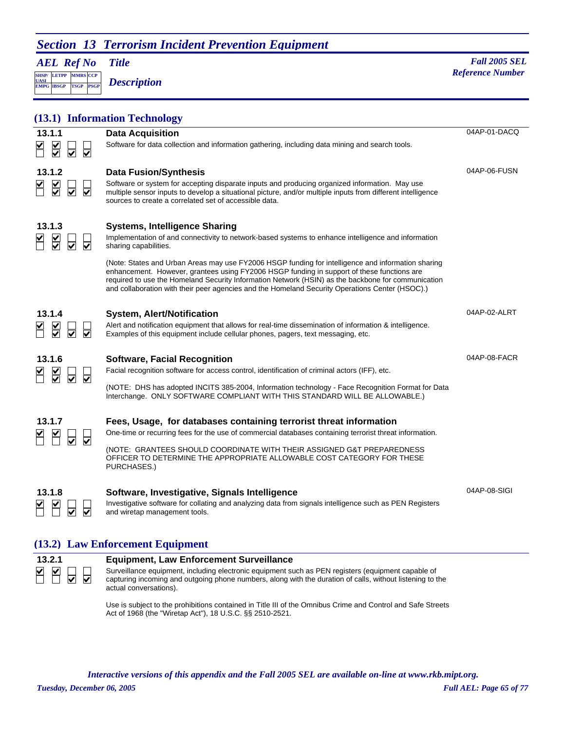### **Section 13 Terrorism Incident Prevention Equipment**

*AEL Ref No* **SHSP/ UASI LETPP PSGP MMRS** CCP

**EMPG IBSGP TSGP** *Description*

*Title Fall 2005 SEL* **Reference Number** 

|                            |                                      | (13.1) Information Technology                                                                                                                                                                                                                                                                                                                                                                                                                                                                                                                                                     |              |
|----------------------------|--------------------------------------|-----------------------------------------------------------------------------------------------------------------------------------------------------------------------------------------------------------------------------------------------------------------------------------------------------------------------------------------------------------------------------------------------------------------------------------------------------------------------------------------------------------------------------------------------------------------------------------|--------------|
| 13.1.1<br>$\overline{\le}$ | $\overline{\blacktriangledown}$<br>⊽ | <b>Data Acquisition</b><br>Software for data collection and information gathering, including data mining and search tools.                                                                                                                                                                                                                                                                                                                                                                                                                                                        | 04AP-01-DACQ |
| 13.1.2<br>₩                | ⊽<br>⊽                               | <b>Data Fusion/Synthesis</b><br>Software or system for accepting disparate inputs and producing organized information. May use<br>multiple sensor inputs to develop a situational picture, and/or multiple inputs from different intelligence<br>sources to create a correlated set of accessible data.                                                                                                                                                                                                                                                                           | 04AP-06-FUSN |
| 13.1.3                     |                                      | <b>Systems, Intelligence Sharing</b><br>Implementation of and connectivity to network-based systems to enhance intelligence and information<br>sharing capabilities.<br>(Note: States and Urban Areas may use FY2006 HSGP funding for intelligence and information sharing<br>enhancement. However, grantees using FY2006 HSGP funding in support of these functions are<br>required to use the Homeland Security Information Network (HSIN) as the backbone for communication<br>and collaboration with their peer agencies and the Homeland Security Operations Center (HSOC).) |              |
| 13.1.4                     |                                      | <b>System, Alert/Notification</b><br>Alert and notification equipment that allows for real-time dissemination of information & intelligence.<br>Examples of this equipment include cellular phones, pagers, text messaging, etc.                                                                                                                                                                                                                                                                                                                                                  | 04AP-02-ALRT |
| 13.1.6                     |                                      | <b>Software, Facial Recognition</b><br>Facial recognition software for access control, identification of criminal actors (IFF), etc.<br>(NOTE: DHS has adopted INCITS 385-2004, Information technology - Face Recognition Format for Data<br>Interchange. ONLY SOFTWARE COMPLIANT WITH THIS STANDARD WILL BE ALLOWABLE.)                                                                                                                                                                                                                                                          | 04AP-08-FACR |
| 13.1.7                     | ⊽<br>⊽                               | Fees, Usage, for databases containing terrorist threat information<br>One-time or recurring fees for the use of commercial databases containing terrorist threat information.<br>(NOTE: GRANTEES SHOULD COORDINATE WITH THEIR ASSIGNED G&T PREPAREDNESS<br>OFFICER TO DETERMINE THE APPROPRIATE ALLOWABLE COST CATEGORY FOR THESE<br>PURCHASES.)                                                                                                                                                                                                                                  |              |
| 13.1.8                     |                                      | Software, Investigative, Signals Intelligence<br>Investigative software for collating and analyzing data from signals intelligence such as PEN Registers<br>and wiretap management tools.                                                                                                                                                                                                                                                                                                                                                                                         | 04AP-08-SIGI |

#### **(13.2) Law Enforcement Equipment**



#### **13.2.1 Equipment, Law Enforcement Surveillance**

Surveillance equipment, including electronic equipment such as PEN registers (equipment capable of capturing incoming and outgoing phone numbers, along with the duration of calls, without listening to the actual conversations).

Use is subject to the prohibitions contained in Title III of the Omnibus Crime and Control and Safe Streets Act of 1968 (the "Wiretap Act"), 18 U.S.C. §§ 2510-2521.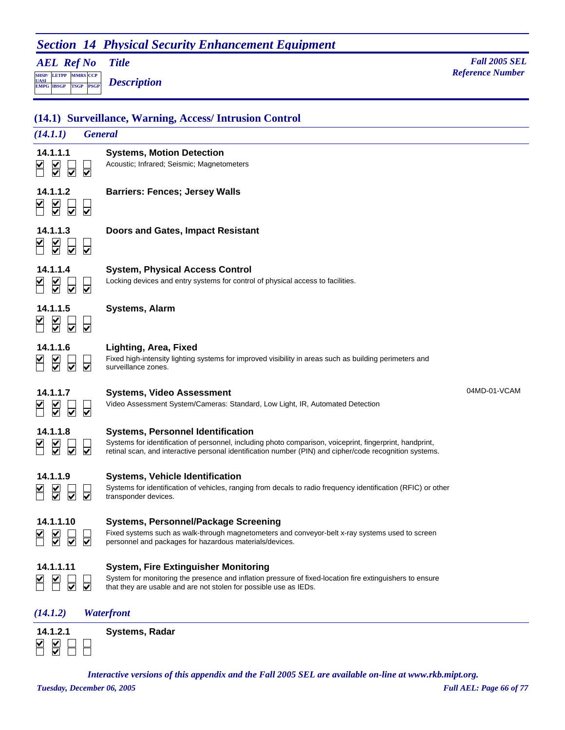# **Section 14 Physical Security Enhancement Equipment**

*AEL Ref No*

**SHSP/ UASI LETPP PSGP CCP EMPG IBSGP TSGP** *Description*

*Title Fall 2005 SEL Meterion* **Reference Number** *Reference Number Reference Number* 

|                                                                                                                                | (14.1) Surveillance, Warning, Access/Intrusion Control                                                                                                                                                                                                          |              |
|--------------------------------------------------------------------------------------------------------------------------------|-----------------------------------------------------------------------------------------------------------------------------------------------------------------------------------------------------------------------------------------------------------------|--------------|
| (14.1.1)                                                                                                                       | <b>General</b>                                                                                                                                                                                                                                                  |              |
| 14.1.1.1<br>$\frac{1}{2}$<br>$\overline{\bm{\mathsf{v}}}$<br>☑                                                                 | <b>Systems, Motion Detection</b><br>Acoustic; Infrared; Seismic; Magnetometers                                                                                                                                                                                  |              |
| 14.1.1.2<br>$\frac{1}{2}$<br>$\overline{\blacktriangledown}$<br>$\overline{\mathbf{v}}$                                        | <b>Barriers: Fences; Jersey Walls</b>                                                                                                                                                                                                                           |              |
| 14.1.1.3<br>$\frac{1}{2}$<br>$\overline{\mathbf{v}}$<br>$\overline{\mathbf{v}}$                                                | <b>Doors and Gates, Impact Resistant</b>                                                                                                                                                                                                                        |              |
| 14.1.1.4<br>$\overline{\underline{\underline{\mathsf{Y}}}}$<br>$\overline{\blacktriangledown}$<br>$\overline{\bm{\mathsf{v}}}$ | <b>System, Physical Access Control</b><br>Locking devices and entry systems for control of physical access to facilities.                                                                                                                                       |              |
| 14.1.1.5<br>$\overline{\bm{\mathsf{v}}}$<br>$\overline{\blacktriangledown}$                                                    | <b>Systems, Alarm</b>                                                                                                                                                                                                                                           |              |
| 14.1.1.6<br>$\frac{\mathsf{V}}{\mathsf{V}}$<br>$\overline{\blacktriangledown}$<br>⊽                                            | Lighting, Area, Fixed<br>Fixed high-intensity lighting systems for improved visibility in areas such as building perimeters and<br>surveillance zones.                                                                                                          |              |
| 14.1.1.7<br>$\frac{\mathsf{V}}{\mathsf{V}}$<br>$\overline{\bm{\mathsf{v}}}$<br>$\overline{\blacktriangledown}$                 | <b>Systems, Video Assessment</b><br>Video Assessment System/Cameras: Standard, Low Light, IR, Automated Detection                                                                                                                                               | 04MD-01-VCAM |
| 14.1.1.8<br>$\frac{1}{2}$<br>☑<br>☑                                                                                            | <b>Systems, Personnel Identification</b><br>Systems for identification of personnel, including photo comparison, voiceprint, fingerprint, handprint,<br>retinal scan, and interactive personal identification number (PIN) and cipher/code recognition systems. |              |
| 14.1.1.9<br>$\frac{1}{2}$<br>$\overline{\blacktriangledown}$<br>☑                                                              | <b>Systems, Vehicle Identification</b><br>Systems for identification of vehicles, ranging from decals to radio frequency identification (RFIC) or other<br>transponder devices.                                                                                 |              |
| ⊽                                                                                                                              | Systems, Personnel/Package Screening<br>Fixed systems such as walk-through magnetometers and conveyor-belt x-ray systems used to screen<br>personnel and packages for hazardous materials/devices.                                                              |              |
| 14.1.1.11<br>$\overline{\blacktriangledown}$<br>✓                                                                              | <b>System, Fire Extinguisher Monitoring</b><br>System for monitoring the presence and inflation pressure of fixed-location fire extinguishers to ensure<br>that they are usable and are not stolen for possible use as IEDs.                                    |              |
| (14.1.2)                                                                                                                       | Waterfront                                                                                                                                                                                                                                                      |              |
| 14.1.2.1                                                                                                                       | <b>Systems, Radar</b>                                                                                                                                                                                                                                           |              |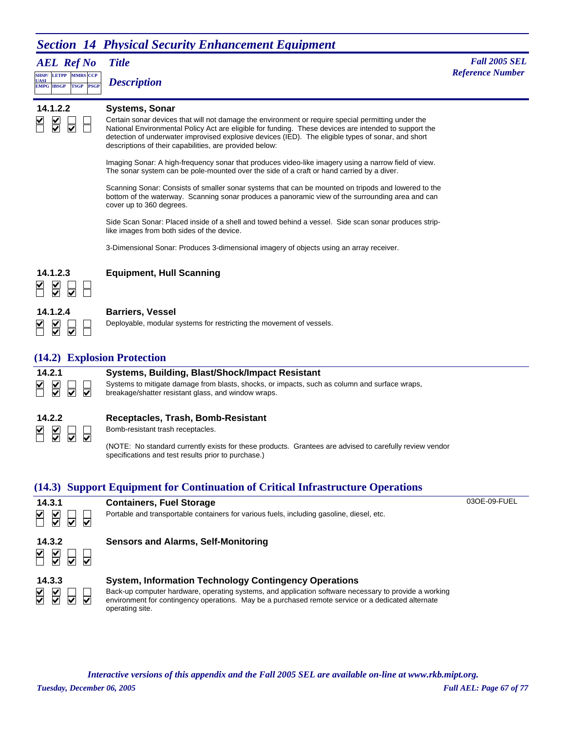# **Section 14 Physical Security Enhancement Equipment**

### *AEL Ref No*

**SHSP/ UASI LETPP PSGP CCP EMPG IBSGP TSGP** *Description*



#### **14.1.2.2 Systems, Sonar**

Certain sonar devices that will not damage the environment or require special permitting under the National Environmental Policy Act are eligible for funding. These devices are intended to support the detection of underwater improvised explosive devices (IED). The eligible types of sonar, and short descriptions of their capabilities, are provided below:

Imaging Sonar: A high-frequency sonar that produces video-like imagery using a narrow field of view. The sonar system can be pole-mounted over the side of a craft or hand carried by a diver.

Scanning Sonar: Consists of smaller sonar systems that can be mounted on tripods and lowered to the bottom of the waterway. Scanning sonar produces a panoramic view of the surrounding area and can cover up to 360 degrees.

Side Scan Sonar: Placed inside of a shell and towed behind a vessel. Side scan sonar produces striplike images from both sides of the device.

3-Dimensional Sonar: Produces 3-dimensional imagery of objects using an array receiver.



#### **14.1.2.3 Equipment, Hull Scanning**

| 14.1.2.4 |  |
|----------|--|
|          |  |

#### **14.1.2.4 Barriers, Vessel**

Deployable, modular systems for restricting the movement of vessels.

### **(14.2) Explosion Protection**



#### **14.2.1 Systems, Building, Blast/Shock/Impact Resistant**

Systems to mitigate damage from blasts, shocks, or impacts, such as column and surface wraps, breakage/shatter resistant glass, and window wraps.

| 14.2.2 |  |
|--------|--|
|        |  |

#### **14.2.2 Receptacles, Trash, Bomb-Resistant**

Bomb-resistant trash receptacles.

(NOTE: No standard currently exists for these products. Grantees are advised to carefully review vendor specifications and test results prior to purchase.)

### **(14.3) Support Equipment for Continuation of Critical Infrastructure Operations**



**14.3.1 Containers, Fuel Storage** Portable and transportable containers for various fuels, including gasoline, diesel, etc. 03OE-09-FUEL

### **14.3.2 Sensors and Alarms, Self-Monitoring**  $\overline{\mathbf{v}}$





#### **14.3.3 System, Information Technology Contingency Operations**

Back-up computer hardware, operating systems, and application software necessary to provide a working environment for contingency operations. May be a purchased remote service or a dedicated alternate operating site.

*Tuesday, December 06, 2005 Full AEL: Page 67 of 77 Interactive versions of this appendix and the Fall 2005 SEL are available on-line at www.rkb.mipt.org.*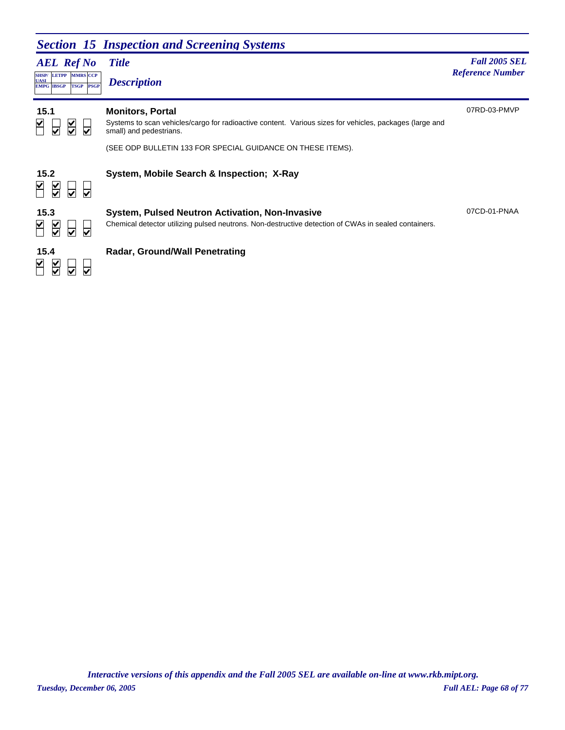### *Section 15 Inspection and Screening Systems*

### *AEL Ref No*

**SHSP/ UASI LETPP PSGP CCP EMPG IBSGP TSGP** *Description*

# *Title Fall 2005 SEL* **MARS** *Reference Number <b><i>Reference Number Reference Number Reference Number*

07RD-03-PMVP

07CD-01-PNAA

| 15.1 |  |  |
|------|--|--|
|      |  |  |

#### **15.1 Monitors, Portal**

Systems to scan vehicles/cargo for radioactive content. Various sizes for vehicles, packages (large and small) and pedestrians.

(SEE ODP BULLETIN 133 FOR SPECIAL GUIDANCE ON THESE ITEMS).

# $\frac{1}{2}$  $\leq$  $\overline{\mathbf{v}}$  $\overline{\mathsf{S}}$  $\leq$  $\overline{\mathbf{v}}$ **KANN**

#### **15.2 System, Mobile Search & Inspection; X-Ray**

### **15.3 System, Pulsed Neutron Activation, Non-Invasive**

Chemical detector utilizing pulsed neutrons. Non-destructive detection of CWAs in sealed containers.

### **15.4 Radar, Ground/Wall Penetrating**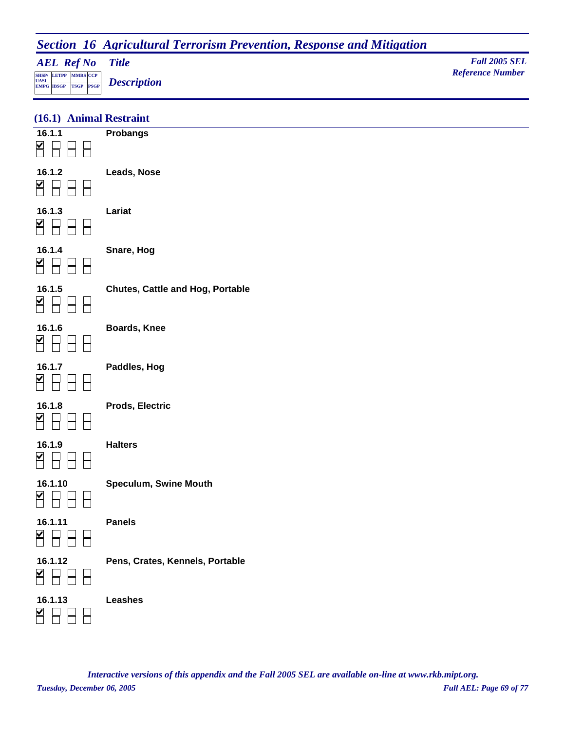# **Section 16 Agricultural Terrorism Prevention, Response and Mitigation**

| <b>AEL Ref No</b> Title                                                 | <b>Fall 2005 SEL</b>    |
|-------------------------------------------------------------------------|-------------------------|
| SHSP/LETPP MMRS CCP                                                     | <b>Reference Number</b> |
| $\frac{UASI}{EMPG}$ $\frac{UASI}{IBSGP}$ $\frac{V}{TSGP}$ $Description$ |                         |

| (16.1) Animal Restraint |  |
|-------------------------|--|
|                         |  |

| 16.1.1<br>K                     | <b>Probangs</b>                         |
|---------------------------------|-----------------------------------------|
| 16.1.2<br>¥                     | Leads, Nose                             |
| 16.1.3<br>$\blacktriangleright$ | Lariat                                  |
| 16.1.4<br>M                     | Snare, Hog                              |
| 16.1.5<br>M                     | <b>Chutes, Cattle and Hog, Portable</b> |
| 16.1.6<br>M                     | <b>Boards, Knee</b>                     |
| 16.1.7                          | Paddles, Hog                            |
| 16.1.8                          | <b>Prods, Electric</b>                  |
| 16.1.9                          | <b>Halters</b>                          |
| 16.1.10                         | Speculum, Swine Mouth                   |
| 16.1.11<br>☑                    | <b>Panels</b>                           |
| 16.1.12<br>K                    | Pens, Crates, Kennels, Portable         |
| 16.1.13                         | <b>Leashes</b>                          |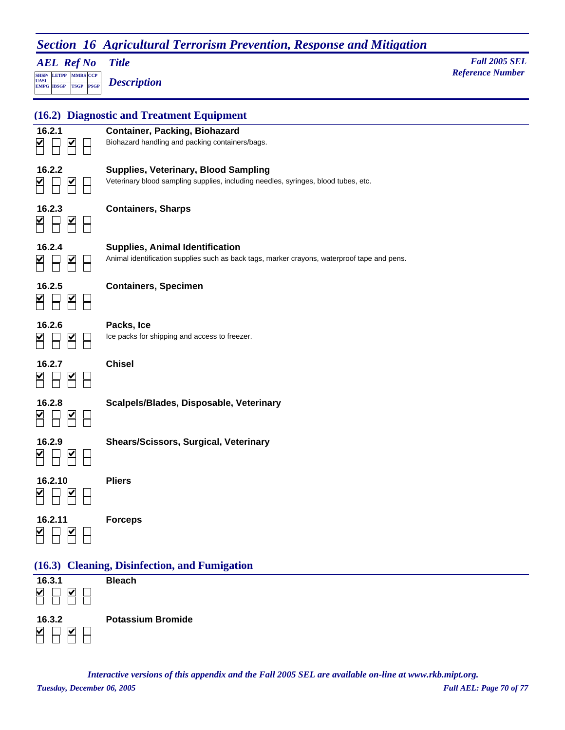| <b>AEL Ref No</b>                                                                             | <b>Title</b>                                                                                                                          | <b>Fall 2005 SEL</b><br><b>Reference Number</b> |
|-----------------------------------------------------------------------------------------------|---------------------------------------------------------------------------------------------------------------------------------------|-------------------------------------------------|
| <b>SHSP/ LETPP MMRS CCP</b><br><b>UASI</b><br><b>PSGP</b><br><b>EMPG IBSGP</b><br><b>TSGP</b> | <b>Description</b>                                                                                                                    |                                                 |
| (16.2)                                                                                        | <b>Diagnostic and Treatment Equipment</b>                                                                                             |                                                 |
| 16.2.1                                                                                        | <b>Container, Packing, Biohazard</b><br>Biohazard handling and packing containers/bags.                                               |                                                 |
| 16.2.2<br>M                                                                                   | <b>Supplies, Veterinary, Blood Sampling</b><br>Veterinary blood sampling supplies, including needles, syringes, blood tubes, etc.     |                                                 |
| 16.2.3                                                                                        | <b>Containers, Sharps</b>                                                                                                             |                                                 |
| 16.2.4                                                                                        | <b>Supplies, Animal Identification</b><br>Animal identification supplies such as back tags, marker crayons, waterproof tape and pens. |                                                 |
| 16.2.5                                                                                        | <b>Containers, Specimen</b>                                                                                                           |                                                 |
| 16.2.6                                                                                        | Packs, Ice<br>Ice packs for shipping and access to freezer.                                                                           |                                                 |
| 16.2.7                                                                                        | <b>Chisel</b>                                                                                                                         |                                                 |
| 16.2.8                                                                                        | Scalpels/Blades, Disposable, Veterinary                                                                                               |                                                 |
| 16.2.9<br>M<br>M                                                                              | <b>Shears/Scissors, Surgical, Veterinary</b>                                                                                          |                                                 |
| 16.2.10<br>M                                                                                  | <b>Pliers</b>                                                                                                                         |                                                 |
| 16.2.11<br>$\overline{\mathsf{H}}$                                                            | <b>Forceps</b>                                                                                                                        |                                                 |
|                                                                                               | (16.3) Cleaning, Disinfection, and Fumigation                                                                                         |                                                 |
| 16.3.1<br>$\blacktriangleright$<br>M                                                          | <b>Bleach</b>                                                                                                                         |                                                 |
| 16.3.2                                                                                        | <b>Potassium Bromide</b>                                                                                                              |                                                 |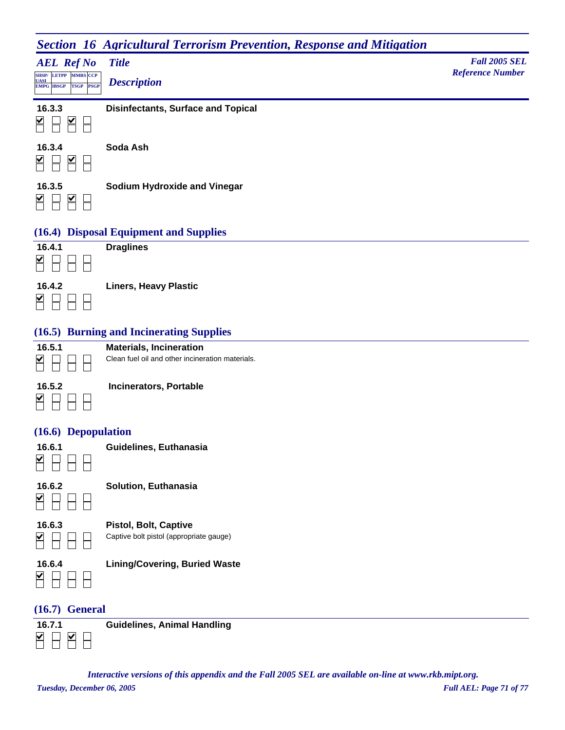# **Section 16 Agricultural Terrorism Prevention, Response and Mitigation**

|                                                                                                                       | --                                        |                                                 |
|-----------------------------------------------------------------------------------------------------------------------|-------------------------------------------|-------------------------------------------------|
| <b>AEL Ref No</b><br>LETPP MMRS CCP<br><b>SHSP/</b><br><b>UASI</b><br><b>PSGP</b><br><b>TSGP</b><br><b>EMPG IBSGP</b> | <b>Title</b><br><b>Description</b>        | <b>Fall 2005 SEL</b><br><b>Reference Number</b> |
| 16.3.3<br>M<br>V                                                                                                      | <b>Disinfectants, Surface and Topical</b> |                                                 |
| 16.3.4<br>V<br>M                                                                                                      | Soda Ash                                  |                                                 |
| 16.3.5<br>V<br>M                                                                                                      | Sodium Hydroxide and Vinegar              |                                                 |

#### **(16.4) Disposal Equipment and Supplies**



#### **(16.5) Burning and Incinerating Supplies**

| 16.5.1 |  |
|--------|--|
|        |  |

Clean fuel oil and other incineration materials.

|   | 16.5.2 |  |
|---|--------|--|
| ✓ |        |  |

**16.5.2 Incinerators, Portable**

**16.5.1 Materials, Incineration**

#### **(16.6) Depopulation**

 $\Box$ 

| 16.6.1 |  |
|--------|--|
|        |  |

**16.6.1 Guidelines, Euthanasia**

 $\sum$  $\Box$  $\Box$ 

**16.6.2 Solution, Euthanasia**

 $P$   $P$   $P$ 

**16.6.3 Pistol, Bolt, Captive** Captive bolt pistol (appropriate gauge)

| 16.6.4 |  |
|--------|--|
|        |  |

**16.6.4 Lining/Covering, Buried Waste**

#### **(16.7) General**



**16.7.1 Guidelines, Animal Handling**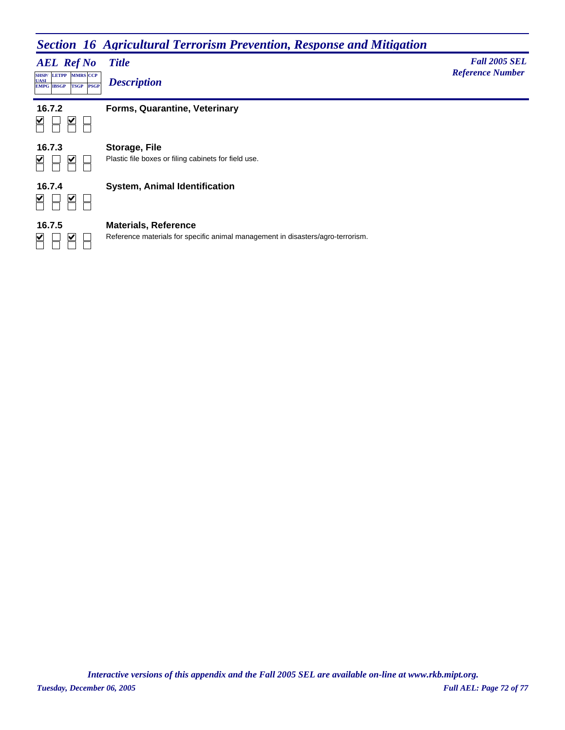# **Section 16 Agricultural Terrorism Prevention, Response and Mitigation**

*AEL Ref No* **SHSP/ UASI LETPP PSGP CCP EMPG IBSGP TSGP** *Description*

**MARS** *Reference Number <b><i>Reference Number Reference Number* 

*Title Fall 2005 SEL*



## **16.7.2 Forms, Quarantine, Veterinary**

**16.7.3 Storage, File**  $\overline{\mathsf{M}}$  $\blacktriangleright$  $\Box$ 

Plastic file boxes or filing cabinets for field use.



 $\sum$  $\Box$ 

 $\overline{\mathbf{S}}$ 

## **16.7.4 System, Animal Identification**

**16.7.5 Materials, Reference**

Reference materials for specific animal management in disasters/agro-terrorism.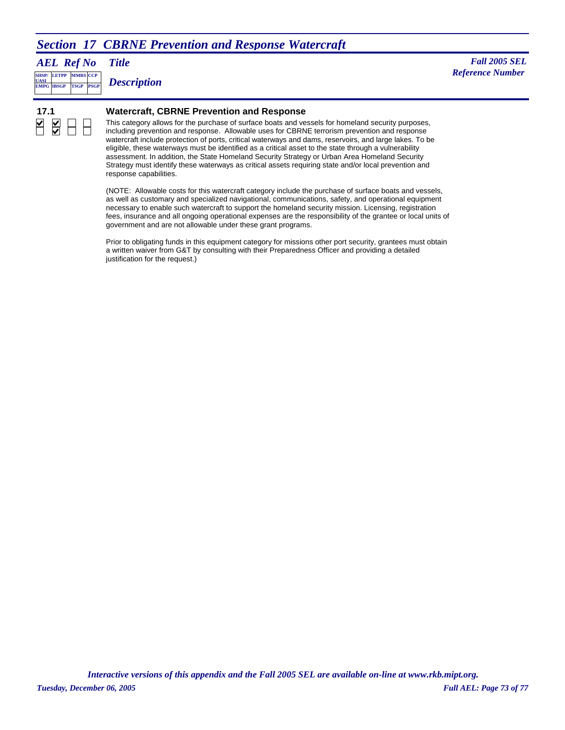# **Section 17 CBRNE Prevention and Response Watercraft**

*AEL Ref No*

**SHSP/ EMPG LETPP PSGP CCP EMPG IBSGP TSGP** *Description*

*Title Fall 2005 SEL Reference Number Reference Number* 

 $\frac{1}{2}$ 

#### **17.1 Watercraft, CBRNE Prevention and Response**

This category allows for the purchase of surface boats and vessels for homeland security purposes, including prevention and response. Allowable uses for CBRNE terrorism prevention and response watercraft include protection of ports, critical waterways and dams, reservoirs, and large lakes. To be eligible, these waterways must be identified as a critical asset to the state through a vulnerability assessment. In addition, the State Homeland Security Strategy or Urban Area Homeland Security Strategy must identify these waterways as critical assets requiring state and/or local prevention and response capabilities.

(NOTE: Allowable costs for this watercraft category include the purchase of surface boats and vessels, as well as customary and specialized navigational, communications, safety, and operational equipment necessary to enable such watercraft to support the homeland security mission. Licensing, registration fees, insurance and all ongoing operational expenses are the responsibility of the grantee or local units of government and are not allowable under these grant programs.

Prior to obligating funds in this equipment category for missions other port security, grantees must obtain a written waiver from G&T by consulting with their Preparedness Officer and providing a detailed justification for the request.)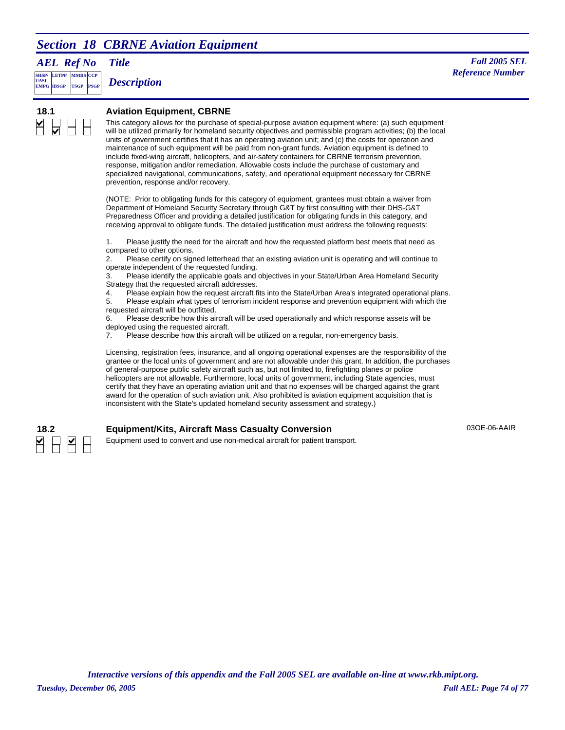# *Section 18 CBRNE Aviation Equipment*

*AEL Ref No*

**SHSP/ UASI LETPP PSGP CCP EMPG IBSGP TSGP** *Description*

*Title Fall 2005 SEL* **MMRS** *Reference Number* 

#### **18.1 Aviation Equipment, CBRNE**

This category allows for the purchase of special-purpose aviation equipment where: (a) such equipment will be utilized primarily for homeland security objectives and permissible program activities; (b) the local units of government certifies that it has an operating aviation unit; and (c) the costs for operation and maintenance of such equipment will be paid from non-grant funds. Aviation equipment is defined to include fixed-wing aircraft, helicopters, and air-safety containers for CBRNE terrorism prevention, response, mitigation and/or remediation. Allowable costs include the purchase of customary and specialized navigational, communications, safety, and operational equipment necessary for CBRNE prevention, response and/or recovery.

(NOTE: Prior to obligating funds for this category of equipment, grantees must obtain a waiver from Department of Homeland Security Secretary through G&T by first consulting with their DHS-G&T Preparedness Officer and providing a detailed justification for obligating funds in this category, and receiving approval to obligate funds. The detailed justification must address the following requests:

1. Please justify the need for the aircraft and how the requested platform best meets that need as compared to other options.

2. Please certify on signed letterhead that an existing aviation unit is operating and will continue to operate independent of the requested funding.

3. Please identify the applicable goals and objectives in your State/Urban Area Homeland Security Strategy that the requested aircraft addresses.

4. Please explain how the request aircraft fits into the State/Urban Area's integrated operational plans.

5. Please explain what types of terrorism incident response and prevention equipment with which the requested aircraft will be outfitted.

6. Please describe how this aircraft will be used operationally and which response assets will be deployed using the requested aircraft.

7. Please describe how this aircraft will be utilized on a regular, non-emergency basis.

Licensing, registration fees, insurance, and all ongoing operational expenses are the responsibility of the grantee or the local units of government and are not allowable under this grant. In addition, the purchases of general-purpose public safety aircraft such as, but not limited to, firefighting planes or police helicopters are not allowable. Furthermore, local units of government, including State agencies, must certify that they have an operating aviation unit and that no expenses will be charged against the grant award for the operation of such aviation unit. Also prohibited is aviation equipment acquisition that is inconsistent with the State's updated homeland security assessment and strategy.)

### **18.2 Equipment/Kits, Aircraft Mass Casualty Conversion**

03OE-06-AAIR



Equipment used to convert and use non-medical aircraft for patient transport.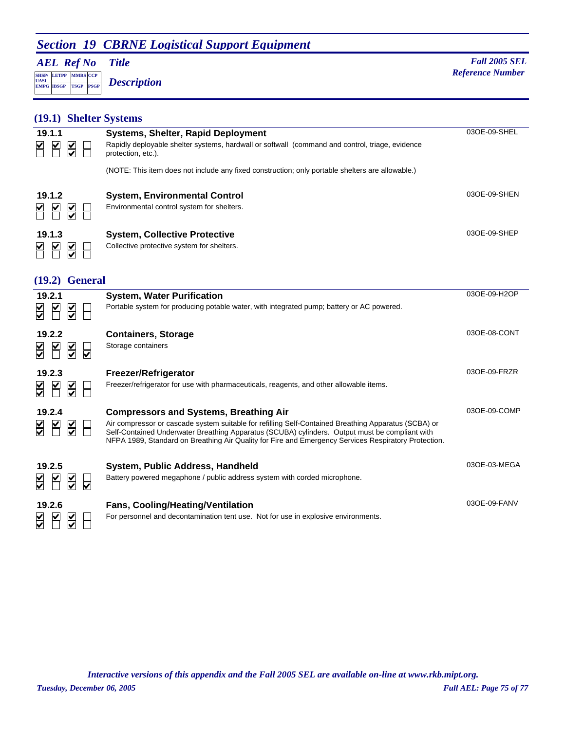# **Section 19 CBRNE Logistical Support Equipment**

*AEL Ref No*

**SHSP/ UASI LETPP PSGP CCP EMPG IBSGP TSGP** *Description*

*Title Fall 2005 SEL* **MARS** *Reference Number <b><i>Reference Number Reference Number* 

03OE-09-FANV

## **(19.1) Shelter Systems**

| 19.1.1<br>⊻<br>V<br>⊻               | <b>Systems, Shelter, Rapid Deployment</b><br>Rapidly deployable shelter systems, hardwall or softwall (command and control, triage, evidence<br>protection, etc.). | 03OE-09-SHEL |
|-------------------------------------|--------------------------------------------------------------------------------------------------------------------------------------------------------------------|--------------|
|                                     | (NOTE: This item does not include any fixed construction; only portable shelters are allowable.)                                                                   |              |
| 19.1.2<br>⊻<br>V                    | <b>System, Environmental Control</b><br>Environmental control system for shelters.                                                                                 | 03OE-09-SHEN |
| 19.1.3<br>⊻<br>V                    | <b>System, Collective Protective</b><br>Collective protective system for shelters.                                                                                 | 03OE-09-SHEP |
| (19.2)                              | <b>General</b>                                                                                                                                                     |              |
| 19.2.1<br>$\frac{1}{\sqrt{2}}$<br>V | <b>System, Water Purification</b><br>Portable system for producing potable water, with integrated pump; battery or AC powered.                                     | 03OE-09-H2OP |

| v i      |             | ו שיו                   |  |
|----------|-------------|-------------------------|--|
| $\Delta$ | 19.2.2<br>⊻ |                         |  |
|          |             | $\overline{\mathbf{S}}$ |  |

| 19.2.2<br>$\overline{\blacktriangledown}$        | <b>Containers, Storage</b><br>Storage containers                                                                                                                                                                                                                                                                                                                | 030E-08-CONT |
|--------------------------------------------------|-----------------------------------------------------------------------------------------------------------------------------------------------------------------------------------------------------------------------------------------------------------------------------------------------------------------------------------------------------------------|--------------|
| 19.2.3<br>$\overline{\mathsf{S}}$<br>V           | Freezer/Refrigerator<br>Freezer/refrigerator for use with pharmaceuticals, reagents, and other allowable items.                                                                                                                                                                                                                                                 | 030E-09-FRZR |
| 19.2.4<br>⊻<br>$\sum_{i=1}^{n}$<br>$\frac{1}{2}$ | <b>Compressors and Systems, Breathing Air</b><br>Air compressor or cascade system suitable for refilling Self-Contained Breathing Apparatus (SCBA) or<br>Self-Contained Underwater Breathing Apparatus (SCUBA) cylinders. Output must be compliant with<br>NFPA 1989, Standard on Breathing Air Quality for Fire and Emergency Services Respiratory Protection. | 03OE-09-COMP |
| 19.2.5<br>$\frac{\mathsf{v}}{\mathsf{v}}$        | System, Public Address, Handheld<br>Battery powered megaphone / public address system with corded microphone.                                                                                                                                                                                                                                                   | 03OE-03-MEGA |

 $\Box$ 

**19.2.6 Fans, Cooling/Heating/Ventilation** For personnel and decontamination tent use. Not for use in explosive environments.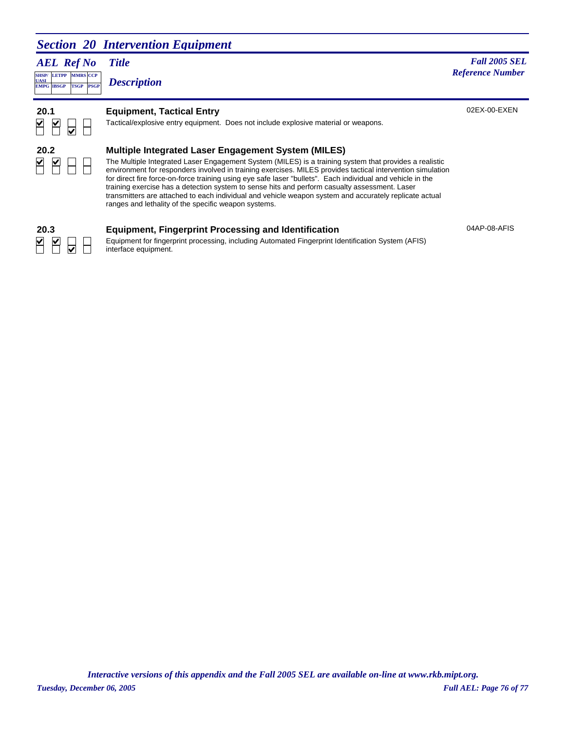## *Section 20 Intervention Equipment*

*AEL Ref No* **SHSP/ UASI LETPP PSGP CCP EMPG IBSGP TSGP** *Description*

## *Title Fall 2005 SEL Reference Number Reference Number*

02EX-00-EXEN

04AP-08-AFIS



## **20.1 Equipment, Tactical Entry**

Tactical/explosive entry equipment. Does not include explosive material or weapons.

# H

## **20.2 Multiple Integrated Laser Engagement System (MILES)**

The Multiple Integrated Laser Engagement System (MILES) is a training system that provides a realistic environment for responders involved in training exercises. MILES provides tactical intervention simulation for direct fire force-on-force training using eye safe laser "bullets". Each individual and vehicle in the training exercise has a detection system to sense hits and perform casualty assessment. Laser transmitters are attached to each individual and vehicle weapon system and accurately replicate actual ranges and lethality of the specific weapon systems.

# <u>Y Y</u>

#### **20.3 Equipment, Fingerprint Processing and Identification**

Equipment for fingerprint processing, including Automated Fingerprint Identification System (AFIS) interface equipment.